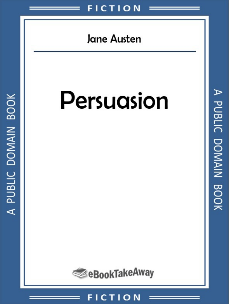

#### $O<sub>N</sub>$  $C$  T  $\vert$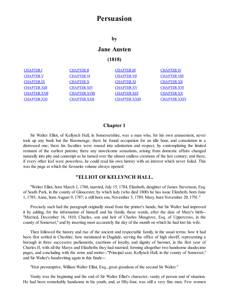# **Persuasion**

**by**

## **Jane Austen**

#### **(1818)**

| <b>CHAPTER I</b>    | <b>CHAPTER II</b>    | <b>CHAPTER III</b>   | <b>CHAPTER IV</b>   |
|---------------------|----------------------|----------------------|---------------------|
| <b>CHAPTER V</b>    | <b>CHAPTER VI</b>    | <b>CHAPTER VII</b>   | <b>CHAPTER VIII</b> |
| <b>CHAPTER IX</b>   | <b>CHAPTER X</b>     | <b>CHAPTER XI</b>    | <b>CHAPTER XII</b>  |
| <b>CHAPTER XIII</b> | <b>CHAPTER XIV</b>   | <b>CHAPTER XV</b>    | <b>CHAPTER XVI</b>  |
| <b>CHAPTER XVII</b> | <b>CHAPTER XVIII</b> | <b>CHAPTER XIX</b>   | <b>CHAPTER XX</b>   |
| <b>CHAPTER XXI</b>  | <b>CHAPTER XXII</b>  | <b>CHAPTER XXIII</b> | <b>CHAPTER XXIV</b> |
|                     |                      |                      |                     |

#### **Chapter 1**

<span id="page-1-0"></span>Sir Walter Elliot, of Kellynch Hall, in Somersetshire, was a man who, for his own amusement, never took up any book but the Baronetage; there he found occupation for an idle hour, and consolation in a distressed one; there his faculties were roused into admiration and respect, by contemplating the limited remnant of the earliest patents; there any unwelcome sensations, arising from domestic affairs changed naturally into pity and contempt as he turned over the almost endless creations of the last century; and there, if every other leaf were powerless, he could read his own history with an interest which never failed. This was the page at which the favourite volume always opened:

### **"ELLIOT OF KELLYNCH HALL.**

"Walter Elliot, born March 1, 1760, married, July 15, 1784, Elizabeth, daughter of James Stevenson, Esq. of South Park, in the county of Gloucester, by which lady (who died 1800) he has issue Elizabeth, born June 1, 1785; Anne, born August 9, 1787; a still-born son, November 5, 1789; Mary, born November 20, 1791."

Precisely such had the paragraph originally stood from the printer's hands; but Sir Walter had improved it by adding, for the information of himself and his family, these words, after the date of Mary's birth-- "Married, December 16, 1810, Charles, son and heir of Charles Musgrove, Esq. of Uppercross, in the county of Somerset," and by inserting most accurately the day of the month on which he had lost his wife.

Then followed the history and rise of the ancient and respectable family, in the usual terms; how it had been first settled in Cheshire; how mentioned in Dugdale, serving the office of high sheriff, representing a borough in three successive parliaments, exertions of loyalty, and dignity of baronet, in the first year of Charles II, with all the Marys and Elizabeths they had married; forming altogether two handsome duodecimo pages, and concluding with the arms and motto:--"Principal seat, Kellynch Hall, in the county of Somerset," and Sir Walter's handwriting again in this finale:--

"Heir presumptive, William Walter Elliot, Esq., great grandson of the second Sir Walter."

Vanity was the beginning and the end of Sir Walter Elliot's character; vanity of person and of situation. He had been remarkably handsome in his youth; and, at fifty-four, was still a very fine man. Few women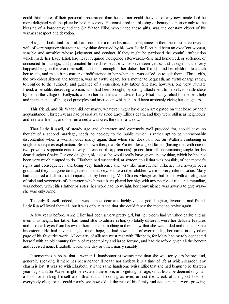could think more of their personal appearance than he did, nor could the valet of any new made lord be more delighted with the place he held in society. He considered the blessing of beauty as inferior only to the blessing of a baronetcy; and the Sir Walter Elliot, who united these gifts, was the constant object of his warmest respect and devotion.

His good looks and his rank had one fair claim on his attachment; since to them he must have owed a wife of very superior character to any thing deserved by his own. Lady Elliot had been an excellent woman, sensible and amiable; whose judgement and conduct, if they might be pardoned the youthful infatuation which made her Lady Elliot, had never required indulgence afterwards.--She had humoured, or softened, or concealed his failings, and promoted his real respectability for seventeen years; and though not the very happiest being in the world herself, had found enough in her duties, her friends, and her children, to attach her to life, and make it no matter of indifference to her when she was called on to quit them.--Three girls, the two eldest sixteen and fourteen, was an awful legacy for a mother to bequeath, an awful charge rather, to confide to the authority and guidance of a conceited, silly father. She had, however, one very intimate friend, a sensible, deserving woman, who had been brought, by strong attachment to herself, to settle close by her, in the village of Kellynch; and on her kindness and advice, Lady Elliot mainly relied for the best help and maintenance of the good principles and instruction which she had been anxiously giving her daughters.

This friend, and Sir Walter, did not marry, whatever might have been anticipated on that head by their acquaintance. Thirteen years had passed away since Lady Elliot's death, and they were still near neighbours and intimate friends, and one remained a widower, the other a widow.

That Lady Russell, of steady age and character, and extremely well provided for, should have no thought of a second marriage, needs no apology to the public, which is rather apt to be unreasonably discontented when a woman does marry again, than when she does not; but Sir Walter's continuing in singleness requires explanation. Be it known then, that Sir Walter, like a good father, (having met with one or two private disappointments in very unreasonable applications), prided himself on remaining single for his dear daughters' sake. For one daughter, his eldest, he would really have given up any thing, which he had not been very much tempted to do. Elizabeth had succeeded, at sixteen, to all that was possible, of her mother's rights and consequence; and being very handsome, and very like himself, her influence had always been great, and they had gone on together most happily. His two other children were of very inferior value. Mary had acquired a little artificial importance, by becoming Mrs Charles Musgrove; but Anne, with an elegance of mind and sweetness of character, which must have placed her high with any people of real understanding, was nobody with either father or sister; her word had no weight, her convenience was always to give way- she was only Anne.

To Lady Russell, indeed, she was a most dear and highly valued god-daughter, favourite, and friend. Lady Russell loved them all; but it was only in Anne that she could fancy the mother to revive again.

A few years before, Anne Elliot had been a very pretty girl, but her bloom had vanished early; and as even in its height, her father had found little to admire in her, (so totally different were her delicate features and mild dark eyes from his own), there could be nothing in them, now that she was faded and thin, to excite his esteem. He had never indulged much hope, he had now none, of ever reading her name in any other page of his favourite work. All equality of alliance must rest with Elizabeth, for Mary had merely connected herself with an old country family of respectability and large fortune, and had therefore given all the honour and received none: Elizabeth would, one day or other, marry suitably.

It sometimes happens that a woman is handsomer at twenty-nine than she was ten years before; and, generally speaking, if there has been neither ill health nor anxiety, it is a time of life at which scarcely any charm is lost. It was so with Elizabeth, still the same handsome Miss Elliot that she had begun to be thirteen years ago, and Sir Walter might be excused, therefore, in forgetting her age, or, at least, be deemed only half a fool, for thinking himself and Elizabeth as blooming as ever, amidst the wreck of the good looks of everybody else; for he could plainly see how old all the rest of his family and acquaintance were growing.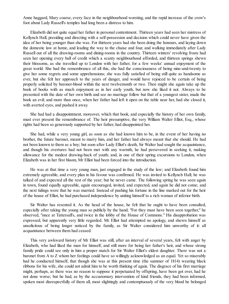Anne haggard, Mary coarse, every face in the neighbourhood worsting, and the rapid increase of the crow's foot about Lady Russell's temples had long been a distress to him.

Elizabeth did not quite equal her father in personal contentment. Thirteen years had seen her mistress of Kellynch Hall, presiding and directing with a self-possession and decision which could never have given the idea of her being younger than she was. For thirteen years had she been doing the honours, and laying down the domestic law at home, and leading the way to the chaise and four, and walking immediately after Lady Russell out of all the drawing-rooms and dining-rooms in the country. Thirteen winters' revolving frosts had seen her opening every ball of credit which a scanty neighbourhood afforded, and thirteen springs shewn their blossoms, as she travelled up to London with her father, for a few weeks' annual enjoyment of the great world. She had the remembrance of all this, she had the consciousness of being nine-and-twenty to give her some regrets and some apprehensions; she was fully satisfied of being still quite as handsome as ever, but she felt her approach to the years of danger, and would have rejoiced to be certain of being properly solicited by baronet-blood within the next twelvemonth or two. Then might she again take up the book of books with as much enjoyment as in her early youth, but now she liked it not. Always to be presented with the date of her own birth and see no marriage follow but that of a youngest sister, made the book an evil; and more than once, when her father had left it open on the table near her, had she closed it, with averted eyes, and pushed it away.

She had had a disappointment, moreover, which that book, and especially the history of her own family, must ever present the remembrance of. The heir presumptive, the very William Walter Elliot, Esq., whose rights had been so generously supported by her father, had disappointed her.

She had, while a very young girl, as soon as she had known him to be, in the event of her having no brother, the future baronet, meant to marry him, and her father had always meant that she should. He had not been known to them as a boy; but soon after Lady Elliot's death, Sir Walter had sought the acquaintance, and though his overtures had not been met with any warmth, he had persevered in seeking it, making allowance for the modest drawing-back of youth; and, in one of their spring excursions to London, when Elizabeth was in her first bloom, Mr Elliot had been forced into the introduction.

He was at that time a very young man, just engaged in the study of the law; and Elizabeth found him extremely agreeable, and every plan in his favour was confirmed. He was invited to Kellynch Hall; he was talked of and expected all the rest of the year; but he never came. The following spring he was seen again in town, found equally agreeable, again encouraged, invited, and expected, and again he did not come; and the next tidings were that he was married. Instead of pushing his fortune in the line marked out for the heir of the house of Elliot, he had purchased independence by uniting himself to a rich woman of inferior birth.

Sir Walter has resented it. As the head of the house, he felt that he ought to have been consulted, especially after taking the young man so publicly by the hand; "For they must have been seen together," he observed, "once at Tattersall's, and twice in the lobby of the House of Commons." His disapprobation was expressed, but apparently very little regarded. Mr Elliot had attempted no apology, and shewn himself as unsolicitous of being longer noticed by the family, as Sir Walter considered him unworthy of it: all acquaintance between them had ceased.

This very awkward history of Mr Elliot was still, after an interval of several years, felt with anger by Elizabeth, who had liked the man for himself, and still more for being her father's heir, and whose strong family pride could see only in him a proper match for Sir Walter Elliot's eldest daughter. There was not a baronet from A to Z whom her feelings could have so willingly acknowledged as an equal. Yet so miserably had he conducted himself, that though she was at this present time (the summer of 1814) wearing black ribbons for his wife, she could not admit him to be worth thinking of again. The disgrace of his first marriage might, perhaps, as there was no reason to suppose it perpetuated by offspring, have been got over, had he not done worse; but he had, as by the accustomary intervention of kind friends, they had been informed, spoken most disrespectfully of them all, most slightingly and contemptuously of the very blood he belonged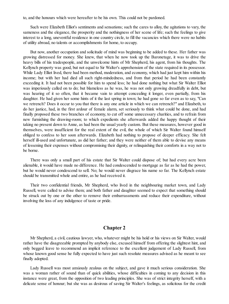to, and the honours which were hereafter to be his own. This could not be pardoned.

Such were Elizabeth Elliot's sentiments and sensations; such the cares to alloy, the agitations to vary, the sameness and the elegance, the prosperity and the nothingness of her scene of life; such the feelings to give interest to a long, uneventful residence in one country circle, to fill the vacancies which there were no habits of utility abroad, no talents or accomplishments for home, to occupy.

But now, another occupation and solicitude of mind was beginning to be added to these. Her father was growing distressed for money. She knew, that when he now took up the Baronetage, it was to drive the heavy bills of his tradespeople, and the unwelcome hints of Mr Shepherd, his agent, from his thoughts. The Kellynch property was good, but not equal to Sir Walter's apprehension of the state required in its possessor. While Lady Elliot lived, there had been method, moderation, and economy, which had just kept him within his income; but with her had died all such right-mindedness, and from that period he had been constantly exceeding it. It had not been possible for him to spend less; he had done nothing but what Sir Walter Elliot was imperiously called on to do; but blameless as he was, he was not only growing dreadfully in debt, but was hearing of it so often, that it became vain to attempt concealing it longer, even partially, from his daughter. He had given her some hints of it the last spring in town; he had gone so far even as to say, "Can we retrench? Does it occur to you that there is any one article in which we can retrench?" and Elizabeth, to do her justice, had, in the first ardour of female alarm, set seriously to think what could be done, and had finally proposed these two branches of economy, to cut off some unnecessary charities, and to refrain from new furnishing the drawing-room; to which expedients she afterwards added the happy thought of their taking no present down to Anne, as had been the usual yearly custom. But these measures, however good in themselves, were insufficient for the real extent of the evil, the whole of which Sir Walter found himself obliged to confess to her soon afterwards. Elizabeth had nothing to propose of deeper efficacy. She felt herself ill-used and unfortunate, as did her father; and they were neither of them able to devise any means of lessening their expenses without compromising their dignity, or relinquishing their comforts in a way not to be borne.

There was only a small part of his estate that Sir Walter could dispose of; but had every acre been alienable, it would have made no difference. He had condescended to mortgage as far as he had the power, but he would never condescend to sell. No; he would never disgrace his name so far. The Kellynch estate should be transmitted whole and entire, as he had received it.

Their two confidential friends, Mr Shepherd, who lived in the neighbouring market town, and Lady Russell, were called to advise them; and both father and daughter seemed to expect that something should be struck out by one or the other to remove their embarrassments and reduce their expenditure, without involving the loss of any indulgence of taste or pride.

#### **Chapter 2**

<span id="page-4-0"></span>Mr Shepherd, a civil, cautious lawyer, who, whatever might be his hold or his views on Sir Walter, would rather have the disagreeable prompted by anybody else, excused himself from offering the slightest hint, and only begged leave to recommend an implicit reference to the excellent judgement of Lady Russell, from whose known good sense he fully expected to have just such resolute measures advised as he meant to see finally adopted.

Lady Russell was most anxiously zealous on the subject, and gave it much serious consideration. She was a woman rather of sound than of quick abilities, whose difficulties in coming to any decision in this instance were great, from the opposition of two leading principles. She was of strict integrity herself, with a delicate sense of honour; but she was as desirous of saving Sir Walter's feelings, as solicitous for the credit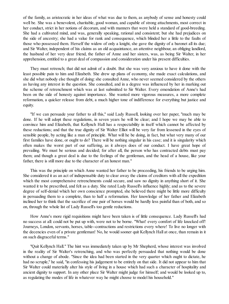of the family, as aristocratic in her ideas of what was due to them, as anybody of sense and honesty could well be. She was a benevolent, charitable, good woman, and capable of strong attachments, most correct in her conduct, strict in her notions of decorum, and with manners that were held a standard of good-breeding. She had a cultivated mind, and was, generally speaking, rational and consistent; but she had prejudices on the side of ancestry; she had a value for rank and consequence, which blinded her a little to the faults of those who possessed them. Herself the widow of only a knight, she gave the dignity of a baronet all its due; and Sir Walter, independent of his claims as an old acquaintance, an attentive neighbour, an obliging landlord, the husband of her very dear friend, the father of Anne and her sisters, was, as being Sir Walter, in her apprehension, entitled to a great deal of compassion and consideration under his present difficulties.

They must retrench; that did not admit of a doubt. But she was very anxious to have it done with the least possible pain to him and Elizabeth. She drew up plans of economy, she made exact calculations, and she did what nobody else thought of doing: she consulted Anne, who never seemed considered by the others as having any interest in the question. She consulted, and in a degree was influenced by her in marking out the scheme of retrenchment which was at last submitted to Sir Walter. Every emendation of Anne's had been on the side of honesty against importance. She wanted more vigorous measures, a more complete reformation, a quicker release from debt, a much higher tone of indifference for everything but justice and equity.

"If we can persuade your father to all this," said Lady Russell, looking over her paper, "much may be done. If he will adopt these regulations, in seven years he will be clear; and I hope we may be able to convince him and Elizabeth, that Kellynch Hall has a respectability in itself which cannot be affected by these reductions; and that the true dignity of Sir Walter Elliot will be very far from lessened in the eyes of sensible people, by acting like a man of principle. What will he be doing, in fact, but what very many of our first families have done, or ought to do? There will be nothing singular in his case; and it is singularity which often makes the worst part of our suffering, as it always does of our conduct. I have great hope of prevailing. We must be serious and decided; for after all, the person who has contracted debts must pay them; and though a great deal is due to the feelings of the gentleman, and the head of a house, like your father, there is still more due to the character of an honest man."

This was the principle on which Anne wanted her father to be proceeding, his friends to be urging him. She considered it as an act of indispensable duty to clear away the claims of creditors with all the expedition which the most comprehensive retrenchments could secure, and saw no dignity in anything short of it. She wanted it to be prescribed, and felt as a duty. She rated Lady Russell's influence highly; and as to the severe degree of self-denial which her own conscience prompted, she believed there might be little more difficulty in persuading them to a complete, than to half a reformation. Her knowledge of her father and Elizabeth inclined her to think that the sacrifice of one pair of horses would be hardly less painful than of both, and so on, through the whole list of Lady Russell's too gentle reductions.

How Anne's more rigid requisitions might have been taken is of little consequence. Lady Russell's had no success at all: could not be put up with, were not to be borne. "What! every comfort of life knocked off! Journeys, London, servants, horses, table--contractions and restrictions every where! To live no longer with the decencies even of a private gentleman! No, he would sooner quit Kellynch Hall at once, than remain in it on such disgraceful terms."

"Quit Kellynch Hall." The hint was immediately taken up by Mr Shepherd, whose interest was involved in the reality of Sir Walter's retrenching, and who was perfectly persuaded that nothing would be done without a change of abode. "Since the idea had been started in the very quarter which ought to dictate, he had no scruple," he said, "in confessing his judgement to be entirely on that side. It did not appear to him that Sir Walter could materially alter his style of living in a house which had such a character of hospitality and ancient dignity to support. In any other place Sir Walter might judge for himself; and would be looked up to, as regulating the modes of life in whatever way he might choose to model his household."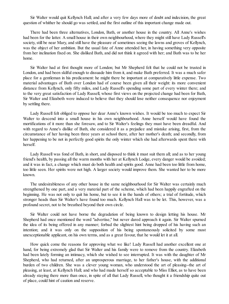Sir Walter would quit Kellynch Hall; and after a very few days more of doubt and indecision, the great question of whither he should go was settled, and the first outline of this important change made out.

There had been three alternatives, London, Bath, or another house in the country. All Anne's wishes had been for the latter. A small house in their own neighbourhood, where they might still have Lady Russell's society, still be near Mary, and still have the pleasure of sometimes seeing the lawns and groves of Kellynch, was the object of her ambition. But the usual fate of Anne attended her, in having something very opposite from her inclination fixed on. She disliked Bath, and did not think it agreed with her; and Bath was to be her home.

Sir Walter had at first thought more of London; but Mr Shepherd felt that he could not be trusted in London, and had been skilful enough to dissuade him from it, and make Bath preferred. It was a much safer place for a gentleman in his predicament: he might there be important at comparatively little expense. Two material advantages of Bath over London had of course been given all their weight: its more convenient distance from Kellynch, only fifty miles, and Lady Russell's spending some part of every winter there; and to the very great satisfaction of Lady Russell, whose first views on the projected change had been for Bath, Sir Walter and Elizabeth were induced to believe that they should lose neither consequence nor enjoyment by settling there.

Lady Russell felt obliged to oppose her dear Anne's known wishes. It would be too much to expect Sir Walter to descend into a small house in his own neighbourhood. Anne herself would have found the mortifications of it more than she foresaw, and to Sir Walter's feelings they must have been dreadful. And with regard to Anne's dislike of Bath, she considered it as a prejudice and mistake arising, first, from the circumstance of her having been three years at school there, after her mother's death; and secondly, from her happening to be not in perfectly good spirits the only winter which she had afterwards spent there with herself.

Lady Russell was fond of Bath, in short, and disposed to think it must suit them all; and as to her young friend's health, by passing all the warm months with her at Kellynch Lodge, every danger would be avoided; and it was in fact, a change which must do both health and spirits good. Anne had been too little from home, too little seen. Her spirits were not high. A larger society would improve them. She wanted her to be more known.

The undesirableness of any other house in the same neighbourhood for Sir Walter was certainly much strengthened by one part, and a very material part of the scheme, which had been happily engrafted on the beginning. He was not only to quit his home, but to see it in the hands of others; a trial of fortitude, which stronger heads than Sir Walter's have found too much. Kellynch Hall was to be let. This, however, was a profound secret, not to be breathed beyond their own circle.

Sir Walter could not have borne the degradation of being known to design letting his house. Mr Shepherd had once mentioned the word "advertise," but never dared approach it again. Sir Walter spurned the idea of its being offered in any manner; forbad the slightest hint being dropped of his having such an intention; and it was only on the supposition of his being spontaneously solicited by some most unexceptionable applicant, on his own terms, and as a great favour, that he would let it at all.

How quick come the reasons for approving what we like! Lady Russell had another excellent one at hand, for being extremely glad that Sir Walter and his family were to remove from the country. Elizabeth had been lately forming an intimacy, which she wished to see interrupted. It was with the daughter of Mr Shepherd, who had returned, after an unprosperous marriage, to her father's house, with the additional burden of two children. She was a clever young woman, who understood the art of pleasing--the art of pleasing, at least, at Kellynch Hall; and who had made herself so acceptable to Miss Elliot, as to have been already staying there more than once, in spite of all that Lady Russell, who thought it a friendship quite out of place, could hint of caution and reserve.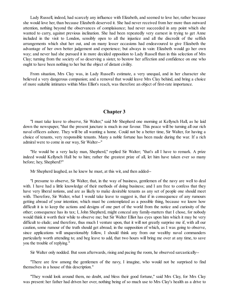Lady Russell, indeed, had scarcely any influence with Elizabeth, and seemed to love her, rather because she would love her, than because Elizabeth deserved it. She had never received from her more than outward attention, nothing beyond the observances of complaisance; had never succeeded in any point which she wanted to carry, against previous inclination. She had been repeatedly very earnest in trying to get Anne included in the visit to London, sensibly open to all the injustice and all the discredit of the selfish arrangements which shut her out, and on many lesser occasions had endeavoured to give Elizabeth the advantage of her own better judgement and experience; but always in vain: Elizabeth would go her own way; and never had she pursued it in more decided opposition to Lady Russell than in this selection of Mrs Clay; turning from the society of so deserving a sister, to bestow her affection and confidence on one who ought to have been nothing to her but the object of distant civility.

From situation, Mrs Clay was, in Lady Russell's estimate, a very unequal, and in her character she believed a very dangerous companion; and a removal that would leave Mrs Clay behind, and bring a choice of more suitable intimates within Miss Elliot's reach, was therefore an object of first-rate importance.

#### **Chapter 3**

<span id="page-7-0"></span>"I must take leave to observe, Sir Walter," said Mr Shepherd one morning at Kellynch Hall, as he laid down the newspaper, "that the present juncture is much in our favour. This peace will be turning all our rich naval officers ashore. They will be all wanting a home. Could not be a better time, Sir Walter, for having a choice of tenants, very responsible tenants. Many a noble fortune has been made during the war. If a rich admiral were to come in our way, Sir Walter--"

"He would be a very lucky man, Shepherd," replied Sir Walter; "that's all I have to remark. A prize indeed would Kellynch Hall be to him; rather the greatest prize of all, let him have taken ever so many before; hey, Shepherd?"

Mr Shepherd laughed, as he knew he must, at this wit, and then added--

"I presume to observe, Sir Walter, that, in the way of business, gentlemen of the navy are well to deal with. I have had a little knowledge of their methods of doing business; and I am free to confess that they have very liberal notions, and are as likely to make desirable tenants as any set of people one should meet with. Therefore, Sir Walter, what I would take leave to suggest is, that if in consequence of any rumours getting abroad of your intention; which must be contemplated as a possible thing, because we know how difficult it is to keep the actions and designs of one part of the world from the notice and curiosity of the other; consequence has its tax; I, John Shepherd, might conceal any family-matters that I chose, for nobody would think it worth their while to observe me; but Sir Walter Elliot has eyes upon him which it may be very difficult to elude; and therefore, thus much I venture upon, that it will not greatly surprise me if, with all our caution, some rumour of the truth should get abroad; in the supposition of which, as I was going to observe, since applications will unquestionably follow, I should think any from our wealthy naval commanders particularly worth attending to; and beg leave to add, that two hours will bring me over at any time, to save you the trouble of replying."

Sir Walter only nodded. But soon afterwards, rising and pacing the room, he observed sarcastically--

"There are few among the gentlemen of the navy, I imagine, who would not be surprised to find themselves in a house of this description."

"They would look around them, no doubt, and bless their good fortune," said Mrs Clay, for Mrs Clay was present: her father had driven her over, nothing being of so much use to Mrs Clay's health as a drive to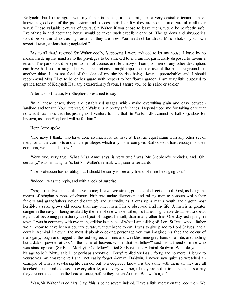Kellynch: "but I quite agree with my father in thinking a sailor might be a very desirable tenant. I have known a good deal of the profession; and besides their liberality, they are so neat and careful in all their ways! These valuable pictures of yours, Sir Walter, if you chose to leave them, would be perfectly safe. Everything in and about the house would be taken such excellent care of! The gardens and shrubberies would be kept in almost as high order as they are now. You need not be afraid, Miss Elliot, of your own sweet flower gardens being neglected."

"As to all that," rejoined Sir Walter coolly, "supposing I were induced to let my house, I have by no means made up my mind as to the privileges to be annexed to it. I am not particularly disposed to favour a tenant. The park would be open to him of course, and few navy officers, or men of any other description, can have had such a range; but what restrictions I might impose on the use of the pleasure-grounds, is another thing. I am not fond of the idea of my shrubberies being always approachable; and I should recommend Miss Elliot to be on her guard with respect to her flower garden. I am very little disposed to grant a tenant of Kellynch Hall any extraordinary favour, I assure you, be he sailor or soldier."

After a short pause, Mr Shepherd presumed to say--

"In all these cases, there are established usages which make everything plain and easy between landlord and tenant. Your interest, Sir Walter, is in pretty safe hands. Depend upon me for taking care that no tenant has more than his just rights. I venture to hint, that Sir Walter Elliot cannot be half so jealous for his own, as John Shepherd will be for him."

Here Anne spoke--

"The navy, I think, who have done so much for us, have at least an equal claim with any other set of men, for all the comforts and all the privileges which any home can give. Sailors work hard enough for their comforts, we must all allow."

"Very true, very true. What Miss Anne says, is very true," was Mr Shepherd's rejoinder, and "Oh! certainly," was his daughter's; but Sir Walter's remark was, soon afterwards--

"The profession has its utility, but I should be sorry to see any friend of mine belonging to it."

"Indeed!" was the reply, and with a look of surprise.

"Yes; it is in two points offensive to me; I have two strong grounds of objection to it. First, as being the means of bringing persons of obscure birth into undue distinction, and raising men to honours which their fathers and grandfathers never dreamt of; and secondly, as it cuts up a man's youth and vigour most horribly; a sailor grows old sooner than any other man. I have observed it all my life. A man is in greater danger in the navy of being insulted by the rise of one whose father, his father might have disdained to speak to, and of becoming prematurely an object of disgust himself, than in any other line. One day last spring, in town, I was in company with two men, striking instances of what I am talking of; Lord St Ives, whose father we all know to have been a country curate, without bread to eat; I was to give place to Lord St Ives, and a certain Admiral Baldwin, the most deplorable-looking personage you can imagine; his face the colour of mahogany, rough and rugged to the last degree; all lines and wrinkles, nine grey hairs of a side, and nothing but a dab of powder at top. 'In the name of heaven, who is that old fellow?' said I to a friend of mine who was standing near, (Sir Basil Morley). 'Old fellow!' cried Sir Basil, 'it is Admiral Baldwin. What do you take his age to be?' 'Sixty,' said I, 'or perhaps sixty-two.' 'Forty,' replied Sir Basil, 'forty, and no more.' Picture to yourselves my amazement; I shall not easily forget Admiral Baldwin. I never saw quite so wretched an example of what a sea-faring life can do; but to a degree, I know it is the same with them all: they are all knocked about, and exposed to every climate, and every weather, till they are not fit to be seen. It is a pity they are not knocked on the head at once, before they reach Admiral Baldwin's age."

"Nay, Sir Walter," cried Mrs Clay, "this is being severe indeed. Have a little mercy on the poor men. We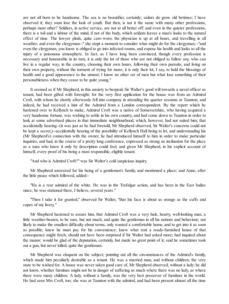are not all born to be handsome. The sea is no beautifier, certainly; sailors do grow old betimes; I have observed it; they soon lose the look of youth. But then, is not it the same with many other professions, perhaps most other? Soldiers, in active service, are not at all better off: and even in the quieter professions, there is a toil and a labour of the mind, if not of the body, which seldom leaves a man's looks to the natural effect of time. The lawyer plods, quite care-worn; the physician is up at all hours, and travelling in all weather; and even the clergyman--" she stopt a moment to consider what might do for the clergyman;--"and even the clergyman, you know is obliged to go into infected rooms, and expose his health and looks to all the injury of a poisonous atmosphere. In fact, as I have long been convinced, though every profession is necessary and honourable in its turn, it is only the lot of those who are not obliged to follow any, who can live in a regular way, in the country, choosing their own hours, following their own pursuits, and living on their own property, without the torment of trying for more; it is only their lot, I say, to hold the blessings of health and a good appearance to the utmost: I know no other set of men but what lose something of their personableness when they cease to be quite young."

It seemed as if Mr Shepherd, in this anxiety to bespeak Sir Walter's good will towards a naval officer as tenant, had been gifted with foresight; for the very first application for the house was from an Admiral Croft, with whom he shortly afterwards fell into company in attending the quarter sessions at Taunton; and indeed, he had received a hint of the Admiral from a London correspondent. By the report which he hastened over to Kellynch to make, Admiral Croft was a native of Somersetshire, who having acquired a very handsome fortune, was wishing to settle in his own country, and had come down to Taunton in order to look at some advertised places in that immediate neighbourhood, which, however, had not suited him; that accidentally hearing--(it was just as he had foretold, Mr Shepherd observed, Sir Walter's concerns could not be kept a secret,)--accidentally hearing of the possibility of Kellynch Hall being to let, and understanding his (Mr Shepherd's) connection with the owner, he had introduced himself to him in order to make particular inquiries, and had, in the course of a pretty long conference, expressed as strong an inclination for the place as a man who knew it only by description could feel; and given Mr Shepherd, in his explicit account of himself, every proof of his being a most responsible, eligible tenant.

"And who is Admiral Croft?" was Sir Walter's cold suspicious inquiry.

Mr Shepherd answered for his being of a gentleman's family, and mentioned a place; and Anne, after the little pause which followed, added--

"He is a rear admiral of the white. He was in the Trafalgar action, and has been in the East Indies since; he was stationed there, I believe, several years."

"Then I take it for granted," observed Sir Walter, "that his face is about as orange as the cuffs and capes of my livery."

Mr Shepherd hastened to assure him, that Admiral Croft was a very hale, hearty, well-looking man, a little weather-beaten, to be sure, but not much, and quite the gentleman in all his notions and behaviour; not likely to make the smallest difficulty about terms, only wanted a comfortable home, and to get into it as soon as possible; knew he must pay for his convenience; knew what rent a ready-furnished house of that consequence might fetch; should not have been surprised if Sir Walter had asked more; had inquired about the manor; would be glad of the deputation, certainly, but made no great point of it; said he sometimes took out a gun, but never killed; quite the gentleman.

Mr Shepherd was eloquent on the subject; pointing out all the circumstances of the Admiral's family, which made him peculiarly desirable as a tenant. He was a married man, and without children; the very state to be wished for. A house was never taken good care of, Mr Shepherd observed, without a lady: he did not know, whether furniture might not be in danger of suffering as much where there was no lady, as where there were many children. A lady, without a family, was the very best preserver of furniture in the world. He had seen Mrs Croft, too; she was at Taunton with the admiral, and had been present almost all the time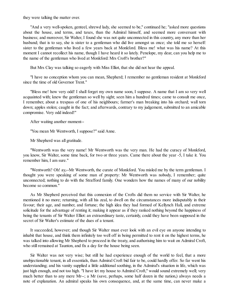they were talking the matter over.

"And a very well-spoken, genteel, shrewd lady, she seemed to be," continued he; "asked more questions about the house, and terms, and taxes, than the Admiral himself, and seemed more conversant with business; and moreover, Sir Walter, I found she was not quite unconnected in this country, any more than her husband; that is to say, she is sister to a gentleman who did live amongst us once; she told me so herself: sister to the gentleman who lived a few years back at Monkford. Bless me! what was his name? At this moment I cannot recollect his name, though I have heard it so lately. Penelope, my dear, can you help me to the name of the gentleman who lived at Monkford: Mrs Croft's brother?"

But Mrs Clay was talking so eagerly with Miss Elliot, that she did not hear the appeal.

"I have no conception whom you can mean, Shepherd; I remember no gentleman resident at Monkford since the time of old Governor Trent."

"Bless me! how very odd! I shall forget my own name soon, I suppose. A name that I am so very well acquainted with; knew the gentleman so well by sight; seen him a hundred times; came to consult me once, I remember, about a trespass of one of his neighbours; farmer's man breaking into his orchard; wall torn down; apples stolen; caught in the fact; and afterwards, contrary to my judgement, submitted to an amicable compromise. Very odd indeed!"

After waiting another moment--

"You mean Mr Wentworth, I suppose?" said Anne.

Mr Shepherd was all gratitude.

"Wentworth was the very name! Mr Wentworth was the very man. He had the curacy of Monkford, you know, Sir Walter, some time back, for two or three years. Came there about the year -5, I take it. You remember him, I am sure."

"Wentworth? Oh! ay,--Mr Wentworth, the curate of Monkford. You misled me by the term gentleman. I thought you were speaking of some man of property: Mr Wentworth was nobody, I remember; quite unconnected; nothing to do with the Strafford family. One wonders how the names of many of our nobility become so common."

As Mr Shepherd perceived that this connexion of the Crofts did them no service with Sir Walter, he mentioned it no more; returning, with all his zeal, to dwell on the circumstances more indisputably in their favour; their age, and number, and fortune; the high idea they had formed of Kellynch Hall, and extreme solicitude for the advantage of renting it; making it appear as if they ranked nothing beyond the happiness of being the tenants of Sir Walter Elliot: an extraordinary taste, certainly, could they have been supposed in the secret of Sir Walter's estimate of the dues of a tenant.

It succeeded, however; and though Sir Walter must ever look with an evil eye on anyone intending to inhabit that house, and think them infinitely too well off in being permitted to rent it on the highest terms, he was talked into allowing Mr Shepherd to proceed in the treaty, and authorising him to wait on Admiral Croft, who still remained at Taunton, and fix a day for the house being seen.

Sir Walter was not very wise; but still he had experience enough of the world to feel, that a more unobjectionable tenant, in all essentials, than Admiral Croft bid fair to be, could hardly offer. So far went his understanding; and his vanity supplied a little additional soothing, in the Admiral's situation in life, which was just high enough, and not too high. "I have let my house to Admiral Croft," would sound extremely well; very much better than to any mere Mr--; a Mr (save, perhaps, some half dozen in the nation,) always needs a note of explanation. An admiral speaks his own consequence, and, at the same time, can never make a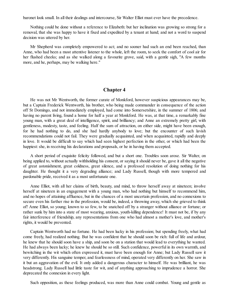baronet look small. In all their dealings and intercourse, Sir Walter Elliot must ever have the precedence.

Nothing could be done without a reference to Elizabeth: but her inclination was growing so strong for a removal, that she was happy to have it fixed and expedited by a tenant at hand; and not a word to suspend decision was uttered by her.

Mr Shepherd was completely empowered to act; and no sooner had such an end been reached, than Anne, who had been a most attentive listener to the whole, left the room, to seek the comfort of cool air for her flushed cheeks; and as she walked along a favourite grove, said, with a gentle sigh, "A few months more, and he, perhaps, may be walking here."

#### **Chapter 4**

<span id="page-11-0"></span>He was not Mr Wentworth, the former curate of Monkford, however suspicious appearances may be, but a Captain Frederick Wentworth, his brother, who being made commander in consequence of the action off St Domingo, and not immediately employed, had come into Somersetshire, in the summer of 1806; and having no parent living, found a home for half a year at Monkford. He was, at that time, a remarkably fine young man, with a great deal of intelligence, spirit, and brilliancy; and Anne an extremely pretty girl, with gentleness, modesty, taste, and feeling. Half the sum of attraction, on either side, might have been enough, for he had nothing to do, and she had hardly anybody to love; but the encounter of such lavish recommendations could not fail. They were gradually acquainted, and when acquainted, rapidly and deeply in love. It would be difficult to say which had seen highest perfection in the other, or which had been the happiest: she, in receiving his declarations and proposals, or he in having them accepted.

A short period of exquisite felicity followed, and but a short one. Troubles soon arose. Sir Walter, on being applied to, without actually withholding his consent, or saying it should never be, gave it all the negative of great astonishment, great coldness, great silence, and a professed resolution of doing nothing for his daughter. He thought it a very degrading alliance; and Lady Russell, though with more tempered and pardonable pride, received it as a most unfortunate one.

Anne Elliot, with all her claims of birth, beauty, and mind, to throw herself away at nineteen; involve herself at nineteen in an engagement with a young man, who had nothing but himself to recommend him, and no hopes of attaining affluence, but in the chances of a most uncertain profession, and no connexions to secure even his farther rise in the profession, would be, indeed, a throwing away, which she grieved to think of! Anne Elliot, so young; known to so few, to be snatched off by a stranger without alliance or fortune; or rather sunk by him into a state of most wearing, anxious, youth-killing dependence! It must not be, if by any fair interference of friendship, any representations from one who had almost a mother's love, and mother's rights, it would be prevented.

Captain Wentworth had no fortune. He had been lucky in his profession; but spending freely, what had come freely, had realized nothing. But he was confident that he should soon be rich: full of life and ardour, he knew that he should soon have a ship, and soon be on a station that would lead to everything he wanted. He had always been lucky; he knew he should be so still. Such confidence, powerful in its own warmth, and bewitching in the wit which often expressed it, must have been enough for Anne; but Lady Russell saw it very differently. His sanguine temper, and fearlessness of mind, operated very differently on her. She saw in it but an aggravation of the evil. It only added a dangerous character to himself. He was brilliant, he was headstrong. Lady Russell had little taste for wit, and of anything approaching to imprudence a horror. She deprecated the connexion in every light.

Such opposition, as these feelings produced, was more than Anne could combat. Young and gentle as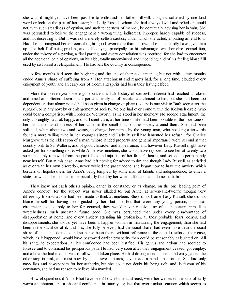she was, it might yet have been possible to withstand her father's ill-will, though unsoftened by one kind word or look on the part of her sister; but Lady Russell, whom she had always loved and relied on, could not, with such steadiness of opinion, and such tenderness of manner, be continually advising her in vain. She was persuaded to believe the engagement a wrong thing: indiscreet, improper, hardly capable of success, and not deserving it. But it was not a merely selfish caution, under which she acted, in putting an end to it. Had she not imagined herself consulting his good, even more than her own, she could hardly have given him up. The belief of being prudent, and self-denying, principally for his advantage, was her chief consolation, under the misery of a parting, a final parting; and every consolation was required, for she had to encounter all the additional pain of opinions, on his side, totally unconvinced and unbending, and of his feeling himself ill used by so forced a relinquishment. He had left the country in consequence.

A few months had seen the beginning and the end of their acquaintance; but not with a few months ended Anne's share of suffering from it. Her attachment and regrets had, for a long time, clouded every enjoyment of youth, and an early loss of bloom and spirits had been their lasting effect.

More than seven years were gone since this little history of sorrowful interest had reached its close; and time had softened down much, perhaps nearly all of peculiar attachment to him, but she had been too dependent on time alone; no aid had been given in change of place (except in one visit to Bath soon after the rupture), or in any novelty or enlargement of society. No one had ever come within the Kellynch circle, who could bear a comparison with Frederick Wentworth, as he stood in her memory. No second attachment, the only thoroughly natural, happy, and sufficient cure, at her time of life, had been possible to the nice tone of her mind, the fastidiousness of her taste, in the small limits of the society around them. She had been solicited, when about two-and-twenty, to change her name, by the young man, who not long afterwards found a more willing mind in her younger sister; and Lady Russell had lamented her refusal; for Charles Musgrove was the eldest son of a man, whose landed property and general importance were second in that country, only to Sir Walter's, and of good character and appearance; and however Lady Russell might have asked yet for something more, while Anne was nineteen, she would have rejoiced to see her at twenty-two so respectably removed from the partialities and injustice of her father's house, and settled so permanently near herself. But in this case, Anne had left nothing for advice to do; and though Lady Russell, as satisfied as ever with her own discretion, never wished the past undone, she began now to have the anxiety which borders on hopelessness for Anne's being tempted, by some man of talents and independence, to enter a state for which she held her to be peculiarly fitted by her warm affections and domestic habits.

They knew not each other's opinion, either its constancy or its change, on the one leading point of Anne's conduct, for the subject was never alluded to; but Anne, at seven-and-twenty, thought very differently from what she had been made to think at nineteen. She did not blame Lady Russell, she did not blame herself for having been guided by her; but she felt that were any young person, in similar circumstances, to apply to her for counsel, they would never receive any of such certain immediate wretchedness, such uncertain future good. She was persuaded that under every disadvantage of disapprobation at home, and every anxiety attending his profession, all their probable fears, delays, and disappointments, she should yet have been a happier woman in maintaining the engagement, than she had been in the sacrifice of it; and this, she fully believed, had the usual share, had even more than the usual share of all such solicitudes and suspense been theirs, without reference to the actual results of their case, which, as it happened, would have bestowed earlier prosperity than could be reasonably calculated on. All his sanguine expectations, all his confidence had been justified. His genius and ardour had seemed to foresee and to command his prosperous path. He had, very soon after their engagement ceased, got employ: and all that he had told her would follow, had taken place. He had distinguished himself, and early gained the other step in rank, and must now, by successive captures, have made a handsome fortune. She had only navy lists and newspapers for her authority, but she could not doubt his being rich; and, in favour of his constancy, she had no reason to believe him married.

How eloquent could Anne Elliot have been! how eloquent, at least, were her wishes on the side of early warm attachment, and a cheerful confidence in futurity, against that over-anxious caution which seems to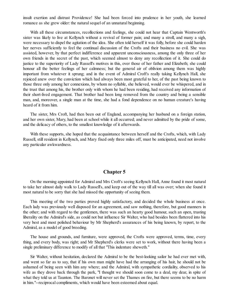insult exertion and distrust Providence! She had been forced into prudence in her youth, she learned romance as she grew older: the natural sequel of an unnatural beginning.

With all these circumstances, recollections and feelings, she could not hear that Captain Wentworth's sister was likely to live at Kellynch without a revival of former pain; and many a stroll, and many a sigh, were necessary to dispel the agitation of the idea. She often told herself it was folly, before she could harden her nerves sufficiently to feel the continual discussion of the Crofts and their business no evil. She was assisted, however, by that perfect indifference and apparent unconsciousness, among the only three of her own friends in the secret of the past, which seemed almost to deny any recollection of it. She could do justice to the superiority of Lady Russell's motives in this, over those of her father and Elizabeth; she could honour all the better feelings of her calmness; but the general air of oblivion among them was highly important from whatever it sprung; and in the event of Admiral Croft's really taking Kellynch Hall, she rejoiced anew over the conviction which had always been most grateful to her, of the past being known to those three only among her connexions, by whom no syllable, she believed, would ever be whispered, and in the trust that among his, the brother only with whom he had been residing, had received any information of their short-lived engagement. That brother had been long removed from the country and being a sensible man, and, moreover, a single man at the time, she had a fond dependence on no human creature's having heard of it from him.

The sister, Mrs Croft, had then been out of England, accompanying her husband on a foreign station, and her own sister, Mary, had been at school while it all occurred; and never admitted by the pride of some, and the delicacy of others, to the smallest knowledge of it afterwards.

With these supports, she hoped that the acquaintance between herself and the Crofts, which, with Lady Russell, still resident in Kellynch, and Mary fixed only three miles off, must be anticipated, need not involve any particular awkwardness.

#### **Chapter 5**

<span id="page-13-0"></span>On the morning appointed for Admiral and Mrs Croft's seeing Kellynch Hall, Anne found it most natural to take her almost daily walk to Lady Russell's, and keep out of the way till all was over; when she found it most natural to be sorry that she had missed the opportunity of seeing them.

This meeting of the two parties proved highly satisfactory, and decided the whole business at once. Each lady was previously well disposed for an agreement, and saw nothing, therefore, but good manners in the other; and with regard to the gentlemen, there was such an hearty good humour, such an open, trusting liberality on the Admiral's side, as could not but influence Sir Walter, who had besides been flattered into his very best and most polished behaviour by Mr Shepherd's assurances of his being known, by report, to the Admiral, as a model of good breeding.

The house and grounds, and furniture, were approved, the Crofts were approved, terms, time, every thing, and every body, was right; and Mr Shepherd's clerks were set to work, without there having been a single preliminary difference to modify of all that "This indenture sheweth."

Sir Walter, without hesitation, declared the Admiral to be the best-looking sailor he had ever met with, and went so far as to say, that if his own man might have had the arranging of his hair, he should not be ashamed of being seen with him any where; and the Admiral, with sympathetic cordiality, observed to his wife as they drove back through the park, "I thought we should soon come to a deal, my dear, in spite of what they told us at Taunton. The Baronet will never set the Thames on fire, but there seems to be no harm in him."--reciprocal compliments, which would have been esteemed about equal.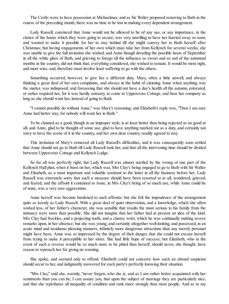The Crofts were to have possession at Michaelmas; and as Sir Walter proposed removing to Bath in the course of the preceding month, there was no time to be lost in making every dependent arrangement.

Lady Russell, convinced that Anne would not be allowed to be of any use, or any importance, in the choice of the house which they were going to secure, was very unwilling to have her hurried away so soon, and wanted to make it possible for her to stay behind till she might convey her to Bath herself after Christmas; but having engagements of her own which must take her from Kellynch for several weeks, she was unable to give the full invitation she wished, and Anne though dreading the possible heats of September in all the white glare of Bath, and grieving to forego all the influence so sweet and so sad of the autumnal months in the country, did not think that, everything considered, she wished to remain. It would be most right, and most wise, and, therefore must involve least suffering to go with the others.

Something occurred, however, to give her a different duty. Mary, often a little unwell, and always thinking a great deal of her own complaints, and always in the habit of claiming Anne when anything was the matter, was indisposed; and foreseeing that she should not have a day's health all the autumn, entreated, or rather required her, for it was hardly entreaty, to come to Uppercross Cottage, and bear her company as long as she should want her, instead of going to Bath.

"I cannot possibly do without Anne," was Mary's reasoning; and Elizabeth's reply was, "Then I am sure Anne had better stay, for nobody will want her in Bath."

To be claimed as a good, though in an improper style, is at least better than being rejected as no good at all; and Anne, glad to be thought of some use, glad to have anything marked out as a duty, and certainly not sorry to have the scene of it in the country, and her own dear country, readily agreed to stay.

This invitation of Mary's removed all Lady Russell's difficulties, and it was consequently soon settled that Anne should not go to Bath till Lady Russell took her, and that all the intervening time should be divided between Uppercross Cottage and Kellynch Lodge.

So far all was perfectly right; but Lady Russell was almost startled by the wrong of one part of the Kellynch Hall plan, when it burst on her, which was, Mrs Clay's being engaged to go to Bath with Sir Walter and Elizabeth, as a most important and valuable assistant to the latter in all the business before her. Lady Russell was extremely sorry that such a measure should have been resorted to at all, wondered, grieved, and feared; and the affront it contained to Anne, in Mrs Clay's being of so much use, while Anne could be of none, was a very sore aggravation.

Anne herself was become hardened to such affronts; but she felt the imprudence of the arrangement quite as keenly as Lady Russell. With a great deal of quiet observation, and a knowledge, which she often wished less, of her father's character, she was sensible that results the most serious to his family from the intimacy were more than possible. She did not imagine that her father had at present an idea of the kind. Mrs Clay had freckles, and a projecting tooth, and a clumsy wrist, which he was continually making severe remarks upon, in her absence; but she was young, and certainly altogether well-looking, and possessed, in an acute mind and assiduous pleasing manners, infinitely more dangerous attractions than any merely personal might have been. Anne was so impressed by the degree of their danger, that she could not excuse herself from trying to make it perceptible to her sister. She had little hope of success; but Elizabeth, who in the event of such a reverse would be so much more to be pitied than herself, should never, she thought, have reason to reproach her for giving no warning.

She spoke, and seemed only to offend. Elizabeth could not conceive how such an absurd suspicion should occur to her, and indignantly answered for each party's perfectly knowing their situation.

"Mrs Clay," said she, warmly, "never forgets who she is; and as I am rather better acquainted with her sentiments than you can be, I can assure you, that upon the subject of marriage they are particularly nice, and that she reprobates all inequality of condition and rank more strongly than most people. And as to my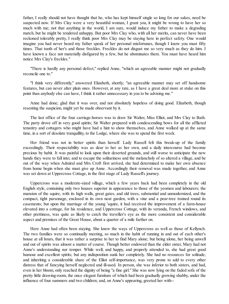father, I really should not have thought that he, who has kept himself single so long for our sakes, need be suspected now. If Mrs Clay were a very beautiful woman, I grant you, it might be wrong to have her so much with me; not that anything in the world, I am sure, would induce my father to make a degrading match, but he might be rendered unhappy. But poor Mrs Clay who, with all her merits, can never have been reckoned tolerably pretty, I really think poor Mrs Clay may be staying here in perfect safety. One would imagine you had never heard my father speak of her personal misfortunes, though I know you must fifty times. That tooth of her's and those freckles. Freckles do not disgust me so very much as they do him. I have known a face not materially disfigured by a few, but he abominates them. You must have heard him notice Mrs Clay's freckles."

"There is hardly any personal defect," replied Anne, "which an agreeable manner might not gradually reconcile one to."

"I think very differently," answered Elizabeth, shortly; "an agreeable manner may set off handsome features, but can never alter plain ones. However, at any rate, as I have a great deal more at stake on this point than anybody else can have, I think it rather unnecessary in you to be advising me."

Anne had done; glad that it was over, and not absolutely hopeless of doing good. Elizabeth, though resenting the suspicion, might yet be made observant by it.

The last office of the four carriage-horses was to draw Sir Walter, Miss Elliot, and Mrs Clay to Bath. The party drove off in very good spirits; Sir Walter prepared with condescending bows for all the afflicted tenantry and cottagers who might have had a hint to show themselves, and Anne walked up at the same time, in a sort of desolate tranquillity, to the Lodge, where she was to spend the first week.

Her friend was not in better spirits than herself. Lady Russell felt this break-up of the family exceedingly. Their respectability was as dear to her as her own, and a daily intercourse had become precious by habit. It was painful to look upon their deserted grounds, and still worse to anticipate the new hands they were to fall into; and to escape the solitariness and the melancholy of so altered a village, and be out of the way when Admiral and Mrs Croft first arrived, she had determined to make her own absence from home begin when she must give up Anne. Accordingly their removal was made together, and Anne was set down at Uppercross Cottage, in the first stage of Lady Russell's journey.

Uppercross was a moderate-sized village, which a few years back had been completely in the old English style, containing only two houses superior in appearance to those of the yeomen and labourers; the mansion of the squire, with its high walls, great gates, and old trees, substantial and unmodernized, and the compact, tight parsonage, enclosed in its own neat garden, with a vine and a pear-tree trained round its casements; but upon the marriage of the young 'squire, it had received the improvement of a farm-house elevated into a cottage, for his residence, and Uppercross Cottage, with its veranda, French windows, and other prettiness, was quite as likely to catch the traveller's eye as the more consistent and considerable aspect and premises of the Great House, about a quarter of a mile farther on.

Here Anne had often been staying. She knew the ways of Uppercross as well as those of Kellynch. The two families were so continually meeting, so much in the habit of running in and out of each other's house at all hours, that it was rather a surprise to her to find Mary alone; but being alone, her being unwell and out of spirits was almost a matter of course. Though better endowed than the elder sister, Mary had not Anne's understanding nor temper. While well, and happy, and properly attended to, she had great good humour and excellent spirits; but any indisposition sunk her completely. She had no resources for solitude; and inheriting a considerable share of the Elliot self-importance, was very prone to add to every other distress that of fancying herself neglected and ill-used. In person, she was inferior to both sisters, and had, even in her bloom, only reached the dignity of being "a fine girl." She was now lying on the faded sofa of the pretty little drawing-room, the once elegant furniture of which had been gradually growing shabby, under the influence of four summers and two children; and, on Anne's appearing, greeted her with--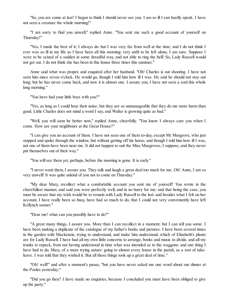"So, you are come at last! I began to think I should never see you. I am so ill I can hardly speak. I have not seen a creature the whole morning!"

"I am sorry to find you unwell," replied Anne. "You sent me such a good account of yourself on Thursday!"

"Yes, I made the best of it; I always do: but I was very far from well at the time; and I do not think I ever was so ill in my life as I have been all this morning: very unfit to be left alone, I am sure. Suppose I were to be seized of a sudden in some dreadful way, and not able to ring the bell! So, Lady Russell would not get out. I do not think she has been in this house three times this summer."

Anne said what was proper, and enquired after her husband. "Oh! Charles is out shooting. I have not seen him since seven o'clock. He would go, though I told him how ill I was. He said he should not stay out long; but he has never come back, and now it is almost one. I assure you, I have not seen a soul this whole long morning."

"You have had your little boys with you?"

"Yes, as long as I could bear their noise; but they are so unmanageable that they do me more harm than good. Little Charles does not mind a word I say, and Walter is growing quite as bad."

"Well, you will soon be better now," replied Anne, cheerfully. "You know I always cure you when I come. How are your neighbours at the Great House?"

"I can give you no account of them. I have not seen one of them to-day, except Mr Musgrove, who just stopped and spoke through the window, but without getting off his horse; and though I told him how ill I was, not one of them have been near me. It did not happen to suit the Miss Musgroves, I suppose, and they never put themselves out of their way."

"You will see them yet, perhaps, before the morning is gone. It is early."

"I never want them, I assure you. They talk and laugh a great deal too much for me. Oh! Anne, I am so very unwell! It was quite unkind of you not to come on Thursday."

"My dear Mary, recollect what a comfortable account you sent me of yourself! You wrote in the cheerfullest manner, and said you were perfectly well, and in no hurry for me; and that being the case, you must be aware that my wish would be to remain with Lady Russell to the last: and besides what I felt on her account, I have really been so busy, have had so much to do, that I could not very conveniently have left Kellynch sooner."

"Dear me! what can you possibly have to do?"

"A great many things, I assure you. More than I can recollect in a moment; but I can tell you some. I have been making a duplicate of the catalogue of my father's books and pictures. I have been several times in the garden with Mackenzie, trying to understand, and make him understand, which of Elizabeth's plants are for Lady Russell. I have had all my own little concerns to arrange, books and music to divide, and all my trunks to repack, from not having understood in time what was intended as to the waggons: and one thing I have had to do, Mary, of a more trying nature: going to almost every house in the parish, as a sort of takeleave. I was told that they wished it. But all these things took up a great deal of time."

"Oh! well!" and after a moment's pause, "but you have never asked me one word about our dinner at the Pooles yesterday."

"Did you go then? I have made no enquiries, because I concluded you must have been obliged to give up the party."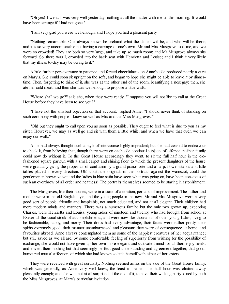"Oh yes! I went. I was very well yesterday; nothing at all the matter with me till this morning. It would have been strange if I had not gone."

"I am very glad you were well enough, and I hope you had a pleasant party."

"Nothing remarkable. One always knows beforehand what the dinner will be, and who will be there; and it is so very uncomfortable not having a carriage of one's own. Mr and Mrs Musgrove took me, and we were so crowded! They are both so very large, and take up so much room; and Mr Musgrove always sits forward. So, there was I, crowded into the back seat with Henrietta and Louise; and I think it very likely that my illness to-day may be owing to it."

A little further perseverance in patience and forced cheerfulness on Anne's side produced nearly a cure on Mary's. She could soon sit upright on the sofa, and began to hope she might be able to leave it by dinnertime. Then, forgetting to think of it, she was at the other end of the room, beautifying a nosegay; then, she ate her cold meat; and then she was well enough to propose a little walk.

"Where shall we go?" said she, when they were ready. "I suppose you will not like to call at the Great House before they have been to see you?"

"I have not the smallest objection on that account," replied Anne. "I should never think of standing on such ceremony with people I know so well as Mrs and the Miss Musgroves."

"Oh! but they ought to call upon you as soon as possible. They ought to feel what is due to you as my sister. However, we may as well go and sit with them a little while, and when we have that over, we can enjoy our walk."

Anne had always thought such a style of intercourse highly imprudent; but she had ceased to endeavour to check it, from believing that, though there were on each side continual subjects of offence, neither family could now do without it. To the Great House accordingly they went, to sit the full half hour in the oldfashioned square parlour, with a small carpet and shining floor, to which the present daughters of the house were gradually giving the proper air of confusion by a grand piano-forte and a harp, flower-stands and little tables placed in every direction. Oh! could the originals of the portraits against the wainscot, could the gentlemen in brown velvet and the ladies in blue satin have seen what was going on, have been conscious of such an overthrow of all order and neatness! The portraits themselves seemed to be staring in astonishment.

The Musgroves, like their houses, were in a state of alteration, perhaps of improvement. The father and mother were in the old English style, and the young people in the new. Mr and Mrs Musgrove were a very good sort of people; friendly and hospitable, not much educated, and not at all elegant. Their children had more modern minds and manners. There was a numerous family; but the only two grown up, excepting Charles, were Henrietta and Louisa, young ladies of nineteen and twenty, who had brought from school at Exeter all the usual stock of accomplishments, and were now like thousands of other young ladies, living to be fashionable, happy, and merry. Their dress had every advantage, their faces were rather pretty, their spirits extremely good, their manner unembarrassed and pleasant; they were of consequence at home, and favourites abroad. Anne always contemplated them as some of the happiest creatures of her acquaintance; but still, saved as we all are, by some comfortable feeling of superiority from wishing for the possibility of exchange, she would not have given up her own more elegant and cultivated mind for all their enjoyments; and envied them nothing but that seemingly perfect good understanding and agreement together, that goodhumoured mutual affection, of which she had known so little herself with either of her sisters.

They were received with great cordiality. Nothing seemed amiss on the side of the Great House family, which was generally, as Anne very well knew, the least to blame. The half hour was chatted away pleasantly enough; and she was not at allsurprised at the end of it, to have their walking party joined by both the Miss Musgroves, at Mary's particular invitation.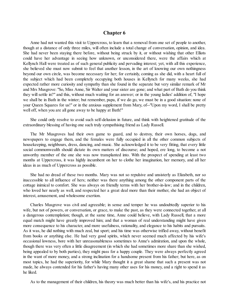#### **Chapter 6**

<span id="page-18-0"></span>Anne had not wanted this visit to Uppercross, to learn that a removal from one set of people to another, though at a distance of only three miles, will often include a total change of conversation, opinion, and idea. She had never been staying there before, without being struck by it, or without wishing that other Elliots could have her advantage in seeing how unknown, or unconsidered there, were the affairs which at Kellynch Hall were treated as of such general publicity and pervading interest; yet, with all this experience, she believed she must now submit to feel that another lesson, in the art of knowing our own nothingness beyond our own circle, was become necessary for her; for certainly, coming as she did, with a heart full of the subject which had been completely occupying both houses in Kellynch for many weeks, she had expected rather more curiosity and sympathy than she found in the separate but very similar remark of Mr and Mrs Musgrove: "So, Miss Anne, Sir Walter and your sister are gone; and what part of Bath do you think they will settle in?" and this, without much waiting for an answer; or in the young ladies' addition of, "I hope we shall be in Bath in the winter; but remember, papa, if we do go, we must be in a good situation: none of your Queen Squares for us!" or in the anxious supplement from Mary, of--"Upon my word, I shall be pretty well off, when you are all gone away to be happy at Bath!"

She could only resolve to avoid such self-delusion in future, and think with heightened gratitude of the extraordinary blessing of having one such truly sympathising friend as Lady Russell.

The Mr Musgroves had their own game to guard, and to destroy, their own horses, dogs, and newspapers to engage them, and the females were fully occupied in all the other common subjects of housekeeping, neighbours, dress, dancing, and music. She acknowledged it to be very fitting, that every little social commonwealth should dictate its own matters of discourse; and hoped, ere long, to become a not unworthy member of the one she was now transplanted into. With the prospect of spending at least two months at Uppercross, it was highly incumbent on her to clothe her imagination, her memory, and all her ideas in as much of Uppercross as possible.

She had no dread of these two months. Mary was not so repulsive and unsisterly as Elizabeth, nor so inaccessible to all influence of hers; neither was there anything among the other component parts of the cottage inimical to comfort. She was always on friendly terms with her brother-in-law; and in the children, who loved her nearly as well, and respected her a great deal more than their mother, she had an object of interest, amusement, and wholesome exertion.

Charles Musgrove was civil and agreeable; in sense and temper he was undoubtedly superior to his wife, but not of powers, or conversation, or grace, to make the past, as they were connected together, at all a dangerous contemplation; though, at the same time, Anne could believe, with Lady Russell, that a more equal match might have greatly improved him; and that a woman of real understanding might have given more consequence to his character, and more usefulness, rationality, and elegance to his habits and pursuits. As it was, he did nothing with much zeal, but sport; and his time was otherwise trifled away, without benefit from books or anything else. He had very good spirits, which never seemed much affected by his wife's occasional lowness, bore with her unreasonableness sometimes to Anne's admiration, and upon the whole, though there was very often a little disagreement (in which she had sometimes more share than she wished, being appealed to by both parties), they might pass for a happy couple. They were always perfectly agreed in the want of more money, and a strong inclination for a handsome present from his father; but here, as on most topics, he had the superiority, for while Mary thought it a great shame that such a present was not made, he always contended for his father's having many other uses for his money, and a right to spend it as he liked.

As to the management of their children, his theory was much better than his wife's, and his practice not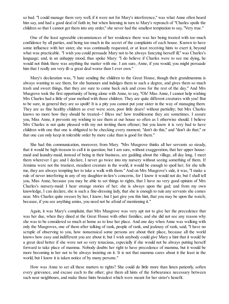so bad. "I could manage them very well, if it were not for Mary's interference," was what Anne often heard him say, and had a good deal of faith in; but when listening in turn to Mary's reproach of "Charles spoils the children so that I cannot get them into any order," she never had the smallest temptation to say, "Very true."

One of the least agreeable circumstances of her residence there was her being treated with too much confidence by all parties, and being too much in the secret of the complaints of each house. Known to have some influence with her sister, she was continually requested, or at least receiving hints to exert it, beyond what was practicable. "I wish you could persuade Mary not to be always fancying herself ill," was Charles's language; and, in an unhappy mood, thus spoke Mary: "I do believe if Charles were to see me dying, he would not think there was anything the matter with me. I am sure, Anne, if you would, you might persuade him that I really am very ill--a great deal worse than I ever own."

Mary's declaration was, "I hate sending the children to the Great House, though their grandmamma is always wanting to see them, for she humours and indulges them to such a degree, and gives them so much trash and sweet things, that they are sure to come back sick and cross for the rest of the day." And Mrs Musgrove took the first opportunity of being alone with Anne, to say, "Oh! Miss Anne, I cannot help wishing Mrs Charles had a little of your method with those children. They are quite different creatures with you! But to be sure, in general they are so spoilt! It is a pity you cannot put your sister in the way of managing them. They are as fine healthy children as ever were seen, poor little dears! without partiality; but Mrs Charles knows no more how they should be treated--! Bless me! how troublesome they are sometimes. I assure you, Miss Anne, it prevents my wishing to see them at our house so often as I otherwise should. I believe Mrs Charles is not quite pleased with my not inviting them oftener; but you know it is very bad to have children with one that one is obligated to be checking every moment; "don't do this," and "don't do that;" or that one can only keep in tolerable order by more cake than is good for them."

She had this communication, moreover, from Mary. "Mrs Musgrove thinks all her servants so steady, that it would be high treason to call it in question; but I am sure, without exaggeration, that her upper housemaid and laundry-maid, instead of being in their business, are gadding about the village, all day long. I meet them wherever I go; and I declare, I never go twice into my nursery without seeing something of them. If Jemima were not the trustiest, steadiest creature in the world, it would be enough to spoil her; for she tells me, they are always tempting her to take a walk with them." And on Mrs Musgrove's side, it was, "I make a rule of never interfering in any of my daughter-in-law's concerns, for I know it would not do; but I shall tell you, Miss Anne, because you may be able to set things to rights, that I have no very good opinion of Mrs Charles's nursery-maid: I hear strange stories of her; she is always upon the gad; and from my own knowledge, I can declare, she is such a fine-dressing lady, that she is enough to ruin any servants she comes near. Mrs Charles quite swears by her, I know; but I just give you this hint, that you may be upon the watch; because, if you see anything amiss, you need not be afraid of mentioning it."

Again, it was Mary's complaint, that Mrs Musgrove was very apt not to give her the precedence that was her due, when they dined at the Great House with other families; and she did not see any reason why she was to be considered so much at home as to lose her place. And one day when Anne was walking with only the Musgroves, one of them after talking of rank, people of rank, and jealousy of rank, said, "I have no scruple of observing to you, how nonsensical some persons are about their place, because all the world knows how easy and indifferent you are about it; but I wish anybody could give Mary a hint that it would be a great deal better if she were not so very tenacious, especially if she would not be always putting herself forward to take place of mamma. Nobody doubts her right to have precedence of mamma, but it would be more becoming in her not to be always insisting on it. It is not that mamma cares about it the least in the world, but I know it is taken notice of by many persons."

How was Anne to set all these matters to rights? She could do little more than listen patiently, soften every grievance, and excuse each to the other; give them all hints of the forbearance necessary between such near neighbours, and make those hints broadest which were meant for her sister's benefit.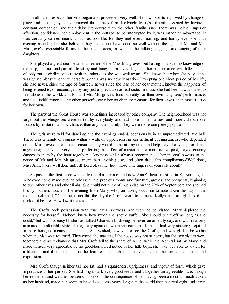In all other respects, her visit began and proceeded very well. Her own spirits improved by change of place and subject, by being removed three miles from Kellynch; Mary's ailments lessened by having a constant companion, and their daily intercourse with the other family, since there was neither superior affection, confidence, nor employment in the cottage, to be interrupted by it, was rather an advantage. It was certainly carried nearly as far as possible, for they met every morning, and hardly ever spent an evening asunder; but she believed they should not have done so well without the sight of Mr and Mrs Musgrove's respectable forms in the usual places, or without the talking, laughing, and singing of their daughters.

She played a great deal better than either of the Miss Musgroves, but having no voice, no knowledge of the harp, and no fond parents, to sit by and fancy themselves delighted, her performance was little thought of, only out of civility, or to refresh the others, as she was well aware. She knew that when she played she was giving pleasure only to herself; but this was no new sensation. Excepting one short period of her life, she had never, since the age of fourteen, never since the loss of her dear mother, known the happiness of being listened to, or encouraged by any just appreciation or real taste. In music she had been always used to feel alone in the world; and Mr and Mrs Musgrove's fond partiality for their own daughters' performance, and total indifference to any other person's, gave her much more pleasure for their sakes, than mortification for her own.

The party at the Great House was sometimes increased by other company. The neighbourhood was not large, but the Musgroves were visited by everybody, and had more dinner-parties, and more callers, more visitors by invitation and by chance, than any other family. They were more completely popular.

The girls were wild for dancing; and the evenings ended, occasionally, in an unpremeditated little ball. There was a family of cousins within a walk of Uppercross, in less affluent circumstances, who depended on the Musgroves for all their pleasures: they would come at any time, and help play at anything, or dance anywhere; and Anne, very much preferring the office of musician to a more active post, played country dances to them by the hour together; a kindness which always recommended her musical powers to the notice of Mr and Mrs Musgrove more than anything else, and often drew this compliment;--"Well done, Miss Anne! very well done indeed! Lord bless me! how those little fingers of yours fly about!"

So passed the first three weeks. Michaelmas came; and now Anne's heart must be in Kellynch again. A beloved home made over to others; all the precious rooms and furniture, groves, and prospects, beginning to own other eyes and other limbs! She could not think of much else on the 29th of September; and she had this sympathetic touch in the evening from Mary, who, on having occasion to note down the day of the month, exclaimed, "Dear me, is not this the day the Crofts were to come to Kellynch? I am glad I did not think of it before. How low it makes me!"

The Crofts took possession with true naval alertness, and were to be visited. Mary deplored the necessity for herself. "Nobody knew how much she should suffer. She should put it off as long as she could;" but was not easy till she had talked Charles into driving her over on an early day, and was in a very animated, comfortable state of imaginary agitation, when she came back. Anne had very sincerely rejoiced in there being no means of her going. She wished, however to see the Crofts, and was glad to be within when the visit was returned. They came: the master of the house was not at home, but the two sisters were together; and as it chanced that Mrs Croft fell to the share of Anne, while the Admiral sat by Mary, and made himself very agreeable by his good-humoured notice of her little boys, she was well able to watch for a likeness, and if it failed her in the features, to catch it in the voice, or in the turn of sentiment and expression.

Mrs Croft, though neither tall nor fat, had a squareness, uprightness, and vigour of form, which gave importance to her person. She had bright dark eyes, good teeth, and altogether an agreeable face; though her reddened and weather-beaten complexion, the consequence of her having been almost as much at sea as her husband, made her seem to have lived some years longer in the world than her real eight-and-thirty.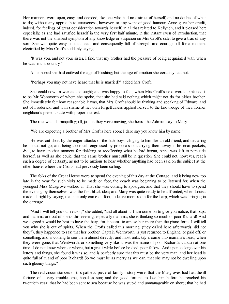Her manners were open, easy, and decided, like one who had no distrust of herself, and no doubts of what to do; without any approach to coarseness, however, or any want of good humour. Anne gave her credit, indeed, for feelings of great consideration towards herself, in all that related to Kellynch, and it pleased her: especially, as she had satisfied herself in the very first half minute, in the instant even of introduction, that there was not the smallest symptom of any knowledge or suspicion on Mrs Croft's side, to give a bias of any sort. She was quite easy on that head, and consequently full of strength and courage, till for a moment electrified by Mrs Croft's suddenly saying,--

"It was you, and not your sister, I find, that my brother had the pleasure of being acquainted with, when he was in this country."

Anne hoped she had outlived the age of blushing; but the age of emotion she certainly had not.

"Perhaps you may not have heard that he is married?" added Mrs Croft.

She could now answer as she ought; and was happy to feel, when Mrs Croft's next words explained it to be Mr Wentworth of whom she spoke, that she had said nothing which might not do for either brother. She immediately felt how reasonable it was, that Mrs Croft should be thinking and speaking of Edward, and not of Frederick; and with shame at her own forgetfulness applied herself to the knowledge of their former neighbour's present state with proper interest.

The rest was all tranquillity; till, just as they were moving, she heard the Admiral say to Mary--

"We are expecting a brother of Mrs Croft's here soon; I dare say you know him by name."

He was cut short by the eager attacks of the little boys, clinging to him like an old friend, and declaring he should not go; and being too much engrossed by proposals of carrying them away in his coat pockets, &c., to have another moment for finishing or recollecting what he had begun, Anne was left to persuade herself, as well as she could, that the same brother must still be in question. She could not, however, reach such a degree of certainty, as not to be anxious to hear whether anything had been said on the subject at the other house, where the Crofts had previously been calling.

The folks of the Great House were to spend the evening of this day at the Cottage; and it being now too late in the year for such visits to be made on foot, the coach was beginning to be listened for, when the youngest Miss Musgrove walked in. That she was coming to apologize, and that they should have to spend the evening by themselves, was the first black idea; and Mary was quite ready to be affronted, when Louisa made all right by saying, that she only came on foot, to leave more room for the harp, which was bringing in the carriage.

"And I will tell you our reason," she added, "and all about it. I am come on to give you notice, that papa and mamma are out of spirits this evening, especially mamma; she is thinking so much of poor Richard! And we agreed it would be best to have the harp, for it seems to amuse her more than the piano-forte. I will tell you why she is out of spirits. When the Crofts called this morning, (they called here afterwards, did not they?), they happened to say, that her brother, Captain Wentworth, is just returned to England, or paid off, or something, and is coming to see them almost directly; and most unluckily it came into mamma's head, when they were gone, that Wentworth, or something very like it, was the name of poor Richard's captain at one time; I do not know when or where, but a great while before he died, poor fellow! And upon looking over his letters and things, she found it was so, and is perfectly sure that this must be the very man, and her head is quite full of it, and of poor Richard! So we must be as merry as we can, that she may not be dwelling upon such gloomy things."

The real circumstances of this pathetic piece of family history were, that the Musgroves had had the ill fortune of a very troublesome, hopeless son; and the good fortune to lose him before he reached his twentieth year; that he had been sent to sea because he was stupid and unmanageable on shore; that he had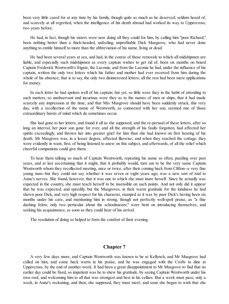been very little cared for at any time by his family, though quite as much as he deserved; seldom heard of, and scarcely at all regretted, when the intelligence of his death abroad had worked its way to Uppercross, two years before.

He had, in fact, though his sisters were now doing all they could for him, by calling him "poor Richard," been nothing better than a thick-headed, unfeeling, unprofitable Dick Musgrove, who had never done anything to entitle himself to more than the abbreviation of his name, living or dead.

He had been several years at sea, and had, in the course of those removals to which all midshipmen are liable, and especially such midshipmen as every captain wishes to get rid of, been six months on board Captain Frederick Wentworth's frigate, the Laconia; and from the Laconia he had, under the influence of his captain, written the only two letters which his father and mother had ever received from him during the whole of his absence; that is to say, the only two disinterested letters; all the rest had been mere applications for money.

In each letter he had spoken well of his captain; but yet, so little were they in the habit of attending to such matters, so unobservant and incurious were they as to the names of men or ships, that it had made scarcely any impression at the time; and that Mrs Musgrove should have been suddenly struck, this very day, with a recollection of the name of Wentworth, as connected with her son, seemed one of those extraordinary bursts of mind which do sometimes occur.

She had gone to her letters, and found it all as she supposed; and the re-perusal of these letters, after so long an interval, her poor son gone for ever, and all the strength of his faults forgotten, had affected her spirits exceedingly, and thrown her into greater grief for him than she had known on first hearing of his death. Mr Musgrove was, in a lesser degree, affected likewise; and when they reached the cottage, they were evidently in want, first, of being listened to anew on this subject, and afterwards, of all the relief which cheerful companions could give them.

To hear them talking so much of Captain Wentworth, repeating his name so often, puzzling over past years, and at last ascertaining that it might, that it probably would, turn out to be the very same Captain Wentworth whom they recollected meeting, once or twice, after their coming back from Clifton--a very fine young man--but they could not say whether it was seven or eight years ago, was a new sort of trial to Anne's nerves. She found, however, that it was one to which she must inure herself. Since he actually was expected in the country, she must teach herself to be insensible on such points. And not only did it appear that he was expected, and speedily, but the Musgroves, in their warm gratitude for the kindness he had shewn poor Dick, and very high respect for his character, stamped as it was by poor Dick's having been six months under his care, and mentioning him in strong, though not perfectly well-spelt praise, as "a fine dashing felow, only two perticular about the schoolmaster," were bent on introducing themselves, and seeking his acquaintance, as soon as they could hear of his arrival.

The resolution of doing so helped to form the comfort of their evening.

#### **Chapter 7**

<span id="page-22-0"></span>A very few days more, and Captain Wentworth was known to be at Kellynch, and Mr Musgrove had called on him, and come back warm in his praise, and he was engaged with the Crofts to dine at Uppercross, by the end of another week. It had been a great disappointment to Mr Musgrove to find that no earlier day could be fixed, so impatient was he to shew his gratitude, by seeing Captain Wentworth under his own roof, and welcoming him to all that was strongest and best in his cellars. But a week must pass; only a week, in Anne's reckoning, and then, she supposed, they must meet; and soon she began to wish that she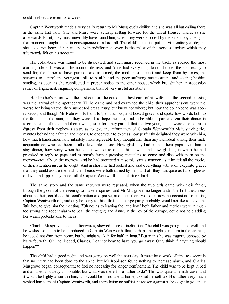could feelsecure even for a week.

Captain Wentworth made a very early return to Mr Musgrove's civility, and she was all but calling there in the same half hour. She and Mary were actually setting forward for the Great House, where, as she afterwards learnt, they must inevitably have found him, when they were stopped by the eldest boy's being at that moment brought home in consequence of a bad fall. The child's situation put the visit entirely aside; but she could not hear of her escape with indifference, even in the midst of the serious anxiety which they afterwards felt on his account.

His collar-bone was found to be dislocated, and such injury received in the back, as roused the most alarming ideas. It was an afternoon of distress, and Anne had every thing to do at once; the apothecary to send for, the father to have pursued and informed, the mother to support and keep from hysterics, the servants to control, the youngest child to banish, and the poor suffering one to attend and soothe; besides sending, as soon as she recollected it, proper notice to the other house, which brought her an accession rather of frightened, enquiring companions, than of very useful assistants.

Her brother's return was the first comfort; he could take best care of his wife; and the second blessing was the arrival of the apothecary. Till he came and had examined the child, their apprehensions were the worse for being vague; they suspected great injury, but knew not where; but now the collar-bone was soon replaced, and though Mr Robinson felt and felt, and rubbed, and looked grave, and spoke low words both to the father and the aunt, still they were all to hope the best, and to be able to part and eat their dinner in tolerable ease of mind; and then it was, just before they parted, that the two young aunts were able so far to digress from their nephew's state, as to give the information of Captain Wentworth's visit; staying five minutes behind their father and mother, to endeavour to express how perfectly delighted they were with him, how much handsomer, how infinitely more agreeable they thought him than any individual among their male acquaintance, who had been at all a favourite before. How glad they had been to hear papa invite him to stay dinner, how sorry when he said it was quite out of his power, and how glad again when he had promised in reply to papa and mamma's farther pressing invitations to come and dine with them on the morrow--actually on the morrow; and he had promised it in so pleasant a manner, as if he felt all the motive of their attention just as he ought. And in short, he had looked and said everything with such exquisite grace, that they could assure them all, their heads were both turned by him; and off they ran, quite as full of glee as of love, and apparently more full of Captain Wentworth than of little Charles.

The same story and the same raptures were repeated, when the two girls came with their father, through the gloom of the evening, to make enquiries; and Mr Musgrove, no longer under the first uneasiness about his heir, could add his confirmation and praise, and hope there would be now no occasion for putting Captain Wentworth off, and only be sorry to think that the cottage party, probably, would not like to leave the little boy, to give him the meeting. "Oh no; as to leaving the little boy," both father and mother were in much too strong and recent alarm to bear the thought; and Anne, in the joy of the escape, could not help adding her warm protestations to theirs.

Charles Musgrove, indeed, afterwards, shewed more of inclination; "the child was going on so well, and he wished so much to be introduced to Captain Wentworth, that, perhaps, he might join them in the evening; he would not dine from home, but he might walk in for half an hour." But in this he was eagerly opposed by his wife, with "Oh! no, indeed, Charles, I cannot bear to have you go away. Only think if anything should happen?"

The child had a good night, and was going on well the next day. It must be a work of time to ascertain that no injury had been done to the spine; but Mr Robinson found nothing to increase alarm, and Charles Musgrove began, consequently, to feel no necessity for longer confinement. The child was to be kept in bed and amused as quietly as possible; but what was there for a father to do? This was quite a female case, and it would be highly absurd in him, who could be of no use at home, to shut himself up. His father very much wished him to meet Captain Wentworth, and there being no sufficient reason against it, he ought to go; and it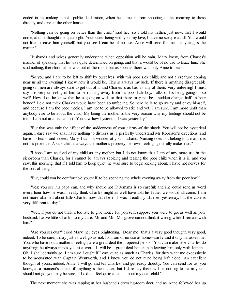ended in his making a bold, public declaration, when he came in from shooting, of his meaning to dress directly, and dine at the other house.

"Nothing can be going on better than the child," said he; "so I told my father, just now, that I would come, and he thought me quite right. Your sister being with you, my love, I have no scruple at all. You would not like to leave him yourself, but you see I can be of no use. Anne will send for me if anything is the matter."

Husbands and wives generally understand when opposition will be vain. Mary knew, from Charles's manner of speaking, that he was quite determined on going, and that it would be of no use to teaze him. She said nothing, therefore, till he was out of the room, but as soon as there was only Anne to hear--

"So you and I are to be left to shift by ourselves, with this poor sick child; and not a creature coming near us all the evening! I knew how it would be. This is always my luck. If there is anything disagreeable going on men are always sure to get out of it, and Charles is as bad as any of them. Very unfeeling! I must say it is very unfeeling of him to be running away from his poor little boy. Talks of his being going on so well! How does he know that he is going on well, or that there may not be a sudden change half an hour hence? I did not think Charles would have been so unfeeling. So here he is to go away and enjoy himself, and because I am the poor mother, I am not to be allowed to stir; and yet, I am sure, I am more unfit than anybody else to be about the child. My being the mother is the very reason why my feelings should not be tried. I am not at all equal to it. You saw how hysterical I was yesterday."

"But that was only the effect of the suddenness of your alarm--of the shock. You will not be hysterical again. I dare say we shall have nothing to distress us. I perfectly understand Mr Robinson's directions, and have no fears; and indeed, Mary, I cannot wonder at your husband. Nursing does not belong to a man; it is not his province. A sick child is always the mother's property: her own feelings generally make it so."

"I hope I am as fond of my child as any mother, but I do not know that I am of any more use in the sick-room than Charles, for I cannot be always scolding and teazing the poor child when it is ill; and you saw, this morning, that if I told him to keep quiet, he was sure to begin kicking about. I have not nerves for the sort of thing."

"But, could you be comfortable yourself, to be spending the whole evening away from the poor boy?"

"Yes; you see his papa can, and why should not I? Jemima is so careful; and she could send us word every hour how he was. I really think Charles might as well have told his father we would all come. I am not more alarmed about little Charles now than he is. I was dreadfully alarmed yesterday, but the case is very different to-day."

"Well, if you do not think it too late to give notice for yourself, suppose you were to go, as well as your husband. Leave little Charles to my care. Mr and Mrs Musgrove cannot think it wrong while I remain with him."

"Are you serious?" cried Mary, her eyes brightening. "Dear me! that's a very good thought, very good, indeed. To be sure, I may just as well go as not, for I am of no use at home--am I? and it only harasses me. You, who have not a mother's feelings, are a great deal the properest person. You can make little Charles do anything; he always minds you at a word. It will be a great deal better than leaving him only with Jemima. Oh! I shall certainly go; I am sure I ought if I can, quite as much as Charles, for they want me excessively to be acquainted with Captain Wentworth, and I know you do not mind being left alone. An excellent thought of yours, indeed, Anne. I will go and tell Charles, and get ready directly. You can send for us, you know, at a moment's notice, if anything is the matter; but I dare say there will be nothing to alarm you. I should not go, you may be sure, if I did not feel quite at ease about my dear child."

The next moment she was tapping at her husband's dressing-room door, and as Anne followed her up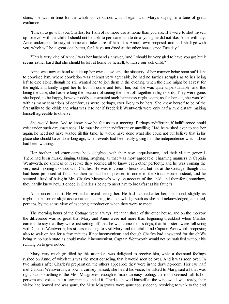stairs, she was in time for the whole conversation, which began with Mary's saying, in a tone of great exultation--

"I mean to go with you, Charles, for I am of no more use at home than you are. If I were to shut myself up for ever with the child, I should not be able to persuade him to do anything he did not like. Anne will stay; Anne undertakes to stay at home and take care of him. It is Anne's own proposal, and so I shall go with you, which will be a great deal better, for I have not dined at the other house since Tuesday."

"This is very kind of Anne," was her husband's answer, "and I should be very glad to have you go; but it seems rather hard that she should be left at home by herself, to nurse our sick child."

Anne was now at hand to take up her own cause, and the sincerity of her manner being soon sufficient to convince him, where conviction was at least very agreeable, he had no farther scruples as to her being left to dine alone, though he still wanted her to join them in the evening, when the child might be at rest for the night, and kindly urged her to let him come and fetch her, but she was quite unpersuadable; and this being the case, she had ere long the pleasure of seeing them set off together in high spirits. They were gone, she hoped, to be happy, however oddly constructed such happiness might seem; as for herself, she was left with as many sensations of comfort, as were, perhaps, ever likely to be hers. She knew herself to be of the first utility to the child; and what was it to her if Frederick Wentworth were only half a mile distant, making himself agreeable to others?

She would have liked to know how he felt as to a meeting. Perhaps indifferent, if indifference could exist under such circumstances. He must be either indifferent or unwilling. Had he wished ever to see her again, he need not have waited till this time; he would have done what she could not but believe that in his place she should have done long ago, when events had been early giving him the independence which alone had been wanting.

Her brother and sister came back delighted with their new acquaintance, and their visit in general. There had been music, singing, talking, laughing, all that was most agreeable; charming manners in Captain Wentworth, no shyness or reserve; they seemed all to know each other perfectly, and he was coming the very next morning to shoot with Charles. He was to come to breakfast, but not at the Cottage, though that had been proposed at first; but then he had been pressed to come to the Great House instead, and he seemed afraid of being in Mrs Charles Musgrove's way, on account of the child, and therefore, somehow, they hardly knew how, it ended in Charles's being to meet him to breakfast at his father's.

Anne understood it. He wished to avoid seeing her. He had inquired after her, she found, slightly, as might suit a former slight acquaintance, seeming to acknowledge such as she had acknowledged, actuated, perhaps, by the same view of escaping introduction when they were to meet.

The morning hours of the Cottage were always later than those of the other house, and on the morrow the difference was so great that Mary and Anne were not more than beginning breakfast when Charles came in to say that they were just setting off, that he was come for his dogs, that his sisters were following with Captain Wentworth; his sisters meaning to visit Mary and the child, and Captain Wentworth proposing also to wait on her for a few minutes if not inconvenient; and though Charles had answered for the child's being in no such state as could make it inconvenient, Captain Wentworth would not be satisfied without his running on to give notice.

Mary, very much gratified by this attention, was delighted to receive him, while a thousand feelings rushed on Anne, of which this was the most consoling, that it would soon be over. And it was soon over. In two minutes after Charles's preparation, the others appeared; they were in the drawing-room. Her eye half met Captain Wentworth's, a bow, a curtsey passed; she heard his voice; he talked to Mary, said all that was right, said something to the Miss Musgroves, enough to mark an easy footing; the room seemed full, full of persons and voices, but a few minutes ended it. Charles shewed himself at the window, all was ready, their visitor had bowed and was gone, the Miss Musgroves were gone too, suddenly resolving to walk to the end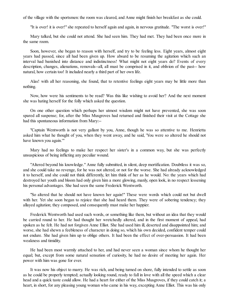of the village with the sportsmen: the room was cleared, and Anne might finish her breakfast as she could.

"It is over! it is over!" she repeated to herself again and again, in nervous gratitude. "The worst is over!"

Mary talked, but she could not attend. She had seen him. They had met. They had been once more in the same room.

Soon, however, she began to reason with herself, and try to be feeling less. Eight years, almost eight years had passed, since all had been given up. How absurd to be resuming the agitation which such an interval had banished into distance and indistinctness! What might not eight years do? Events of every description, changes, alienations, removals--all, all must be comprised in it, and oblivion of the past-- how natural, how certain too! It included nearly a third part of her own life.

Alas! with all her reasoning, she found, that to retentive feelings eight years may be little more than nothing.

Now, how were his sentiments to be read? Was this like wishing to avoid her? And the next moment she was hating herself for the folly which asked the question.

On one other question which perhaps her utmost wisdom might not have prevented, she was soon spared all suspense; for, after the Miss Musgroves had returned and finished their visit at the Cottage she had this spontaneous information from Mary:--

"Captain Wentworth is not very gallant by you, Anne, though he was so attentive to me. Henrietta asked him what he thought of you, when they went away, and he said, 'You were so altered he should not have known you again.'"

Mary had no feelings to make her respect her sister's in a common way, but she was perfectly unsuspicious of being inflicting any peculiar wound.

"Altered beyond his knowledge." Anne fully submitted, in silent, deep mortification. Doubtless it was so, and she could take no revenge, for he was not altered, or not for the worse. She had already acknowledged it to herself, and she could not think differently, let him think of her as he would. No: the years which had destroyed her youth and bloom had only given him a more glowing, manly, open look, in no respect lessening his personal advantages. She had seen the same Frederick Wentworth.

"So altered that he should not have known her again!" These were words which could not but dwell with her. Yet she soon began to rejoice that she had heard them. They were of sobering tendency; they allayed agitation; they composed, and consequently must make her happier.

Frederick Wentworth had used such words, or something like them, but without an idea that they would be carried round to her. He had thought her wretchedly altered, and in the first moment of appeal, had spoken as he felt. He had not forgiven Anne Elliot. She had used him ill, deserted and disappointed him; and worse, she had shewn a feebleness of character in doing so, which his own decided, confident temper could not endure. She had given him up to oblige others. It had been the effect of over-persuasion. It had been weakness and timidity.

He had been most warmly attached to her, and had never seen a woman since whom he thought her equal; but, except from some natural sensation of curiosity, he had no desire of meeting her again. Her power with him was gone for ever.

It was now his object to marry. He was rich, and being turned on shore, fully intended to settle as soon as he could be properly tempted; actually looking round, ready to fall in love with all the speed which a clear head and a quick taste could allow. He had a heart for either of the Miss Musgroves, if they could catch it; a heart, in short, for any pleasing young woman who came in his way, excepting Anne Elliot. This was his only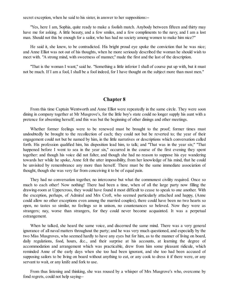secret exception, when he said to his sister, in answer to her suppositions:--

"Yes, here I am, Sophia, quite ready to make a foolish match. Anybody between fifteen and thirty may have me for asking. A little beauty, and a few smiles, and a few compliments to the navy, and I am a lost man. Should not this be enough for a sailor, who has had no society among women to make him nice?"

He said it, she knew, to be contradicted. His bright proud eye spoke the conviction that he was nice; and Anne Elliot was not out of his thoughts, when he more seriously described the woman he should wish to meet with. "A strong mind, with sweetness of manner," made the first and the last of the description.

"That is the woman I want," said he. "Something a little inferior I shall of course put up with, but it must not be much. If I am a fool, I shall be a fool indeed, for I have thought on the subject more than most men."

#### **Chapter 8**

<span id="page-27-0"></span>From this time Captain Wentworth and Anne Elliot were repeatedly in the same circle. They were soon dining in company together at Mr Musgrove's, for the little boy's state could no longer supply his aunt with a pretence for absenting herself; and this was but the beginning of other dinings and other meetings.

Whether former feelings were to be renewed must be brought to the proof; former times must undoubtedly be brought to the recollection of each; they could not but be reverted to; the year of their engagement could not but be named by him, in the little narratives or descriptions which conversation called forth. His profession qualified him, his disposition lead him, to talk; and "That was in the year six;" "That happened before I went to sea in the year six," occurred in the course of the first evening they spent together: and though his voice did not falter, and though she had no reason to suppose his eye wandering towards her while he spoke, Anne felt the utter impossibility, from her knowledge of his mind, that he could be unvisited by remembrance any more than herself. There must be the same immediate association of thought, though she was very far from conceiving it to be of equal pain.

They had no conversation together, no intercourse but what the commonest civility required. Once so much to each other! Now nothing! There had been a time, when of all the large party now filling the drawing-room at Uppercross, they would have found it most difficult to cease to speak to one another. With the exception, perhaps, of Admiral and Mrs Croft, who seemed particularly attached and happy, (Anne could allow no other exceptions even among the married couples), there could have been no two hearts so open, no tastes so similar, no feelings so in unison, no countenances so beloved. Now they were as strangers; nay, worse than strangers, for they could never become acquainted. It was a perpetual estrangement.

When he talked, she heard the same voice, and discerned the same mind. There was a very general ignorance of all naval matters throughout the party; and he was very much questioned, and especially by the two Miss Musgroves, who seemed hardly to have any eyes but for him, as to the manner of living on board, daily regulations, food, hours, &c., and their surprise at his accounts, at learning the degree of accommodation and arrangement which was practicable, drew from him some pleasant ridicule, which reminded Anne of the early days when she too had been ignorant, and she too had been accused of supposing sailors to be living on board without anything to eat, or any cook to dress it if there were, or any servant to wait, or any knife and fork to use.

From thus listening and thinking, she was roused by a whisper of Mrs Musgrove's who, overcome by fond regrets, could not help saying--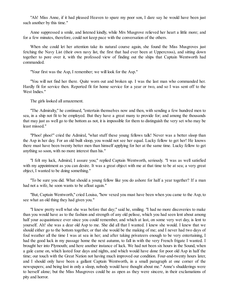"Ah! Miss Anne, if it had pleased Heaven to spare my poor son, I dare say he would have been just such another by this time."

Anne suppressed a smile, and listened kindly, while Mrs Musgrove relieved her heart a little more; and for a few minutes, therefore, could not keep pace with the conversation of the others.

When she could let her attention take its natural course again, she found the Miss Musgroves just fetching the Navy List (their own navy list, the first that had ever been at Uppercross), and sitting down together to pore over it, with the professed view of finding out the ships that Captain Wentworth had commanded.

"Your first was the Asp, I remember; we will look for the Asp."

"You will not find her there. Quite worn out and broken up. I was the last man who commanded her. Hardly fit for service then. Reported fit for home service for a year or two, and so I was sent off to the West Indies."

The girls looked all amazement.

"The Admiralty," he continued, "entertain themselves now and then, with sending a few hundred men to sea, in a ship not fit to be employed. But they have a great many to provide for; and among the thousands that may just as well go to the bottom as not, it is impossible for them to distinguish the very set who may be least missed."

"Phoo! phoo!" cried the Admiral, "what stuff these young fellows talk! Never was a better sloop than the Asp in her day. For an old built sloop, you would not see her equal. Lucky fellow to get her! He knows there must have been twenty better men than himself applying for her at the same time. Lucky fellow to get anything so soon, with no more interest than his."

"I felt my luck, Admiral, I assure you;" replied Captain Wentworth, seriously. "I was as well satisfied with my appointment as you can desire. It was a great object with me at that time to be at sea; a very great object, I wanted to be doing something."

"To be sure you did. What should a young fellow like you do ashore for half a year together? If a man had not a wife, he soon wants to be afloat again."

"But, Captain Wentworth," cried Louisa, "how vexed you must have been when you came to the Asp, to see what an old thing they had given you."

"I knew pretty well what she was before that day;" said he, smiling. "I had no more discoveries to make than you would have as to the fashion and strength of any old pelisse, which you had seen lent about among half your acquaintance ever since you could remember, and which at last, on some very wet day, is lent to yourself. Ah! she was a dear old Asp to me. She did all that I wanted. I knew she would. I knew that we should either go to the bottom together, or that she would be the making of me; and I never had two days of foul weather all the time I was at sea in her; and after taking privateers enough to be very entertaining, I had the good luck in my passage home the next autumn, to fall in with the very French frigate I wanted. I brought her into Plymouth; and here another instance of luck. We had not been six hours in the Sound, when a gale came on, which lasted four days and nights, and which would have done for poor old Asp in half the time; our touch with the Great Nation not having much improved our condition. Four-and-twenty hours later, and I should only have been a gallant Captain Wentworth, in a small paragraph at one corner of the newspapers; and being lost in only a sloop, nobody would have thought about me." Anne's shudderings were to herself alone; but the Miss Musgroves could be as open as they were sincere, in their exclamations of pity and horror.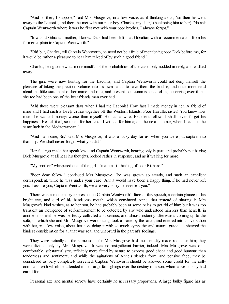"And so then, I suppose," said Mrs Musgrove, in a low voice, as if thinking aloud, "so then he went away to the Laconia, and there he met with our poor boy. Charles, my dear," (beckoning him to her), "do ask Captain Wentworth where it was he first met with your poor brother. I always forgot."

"It was at Gibraltar, mother, I know. Dick had been left ill at Gibraltar, with a recommendation from his former captain to Captain Wentworth."

"Oh! but, Charles, tell Captain Wentworth, he need not be afraid of mentioning poor Dick before me, for it would be rather a pleasure to hear him talked of by such a good friend."

Charles, being somewhat more mindful of the probabilities of the case, only nodded in reply, and walked away.

The girls were now hunting for the Laconia; and Captain Wentworth could not deny himself the pleasure of taking the precious volume into his own hands to save them the trouble, and once more read aloud the little statement of her name and rate, and present non-commissioned class, observing over it that she too had been one of the best friends man ever had.

"Ah! those were pleasant days when I had the Laconia! How fast I made money in her. A friend of mine and I had such a lovely cruise together off the Western Islands. Poor Harville, sister! You know how much he wanted money: worse than myself. He had a wife. Excellent fellow. I shall never forget his happiness. He felt it all, so much for her sake. I wished for him again the next summer, when I had still the same luck in the Mediterranean."

"And I am sure, Sir," said Mrs Musgrove, "it was a lucky day for us, when you were put captain into that ship. We shall never forget what you did."

Her feelings made her speak low; and Captain Wentworth, hearing only in part, and probably not having Dick Musgrove at all near his thoughts, looked rather in suspense, and as if waiting for more.

"My brother," whispered one of the girls; "mamma is thinking of poor Richard."

"Poor dear fellow!" continued Mrs Musgrove; "he was grown so steady, and such an excellent correspondent, while he was under your care! Ah! it would have been a happy thing, if he had never left you. I assure you, Captain Wentworth, we are very sorry he ever left you."

There was a momentary expression in Captain Wentworth's face at this speech, a certain glance of his bright eye, and curl of his handsome mouth, which convinced Anne, that instead of sharing in Mrs Musgrove's kind wishes, as to her son, he had probably been at some pains to get rid of him; but it was too transient an indulgence of self-amusement to be detected by any who understood him less than herself; in another moment he was perfectly collected and serious, and almost instantly afterwards coming up to the sofa, on which she and Mrs Musgrove were sitting, took a place by the latter, and entered into conversation with her, in a low voice, about her son, doing it with so much sympathy and natural grace, as shewed the kindest consideration for all that was real and unabsurd in the parent's feelings.

They were actually on the same sofa, for Mrs Musgrove had most readily made room for him; they were divided only by Mrs Musgrove. It was no insignificant barrier, indeed. Mrs Musgrove was of a comfortable, substantial size, infinitely more fitted by nature to express good cheer and good humour, than tenderness and sentiment; and while the agitations of Anne's slender form, and pensive face, may be considered as very completely screened, Captain Wentworth should be allowed some credit for the selfcommand with which he attended to her large fat sighings over the destiny of a son, whom alive nobody had cared for.

Personal size and mental sorrow have certainly no necessary proportions. A large bulky figure has as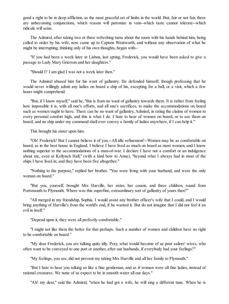good a right to be in deep affliction, as the most graceful set of limbs in the world. But, fair or not fair, there are unbecoming conjunctions, which reason will patronize in vain--which taste cannot tolerate--which ridicule will seize.

The Admiral, after taking two or three refreshing turns about the room with his hands behind him, being called to order by his wife, now came up to Captain Wentworth, and without any observation of what he might be interrupting, thinking only of his own thoughts, began with--

"If you had been a week later at Lisbon, last spring, Frederick, you would have been asked to give a passage to Lady Mary Grierson and her daughters."

"Should I? I am glad I was not a week later then."

The Admiral abused him for his want of gallantry. He defended himself; though professing that he would never willingly admit any ladies on board a ship of his, excepting for a ball, or a visit, which a few hours might comprehend.

"But, if I know myself," said he, "this is from no want of gallantry towards them. It is rather from feeling how impossible it is, with all one's efforts, and all one's sacrifices, to make the accommodations on board such as women ought to have. There can be no want of gallantry, Admiral, in rating the claims of women to every personal comfort high, and this is what I do. I hate to hear of women on board, or to see them on board; and no ship under my command shall ever convey a family of ladies anywhere, if I can help it."

This brought his sister upon him.

"Oh! Frederick! But I cannot believe it of you.--All idle refinement!--Women may be as comfortable on board, as in the best house in England. I believe I have lived as much on board as most women, and I know nothing superior to the accommodations of a man-of-war. I declare I have not a comfort or an indulgence about me, even at Kellynch Hall," (with a kind bow to Anne), "beyond what I always had in most of the ships I have lived in; and they have been five altogether."

"Nothing to the purpose," replied her brother. "You were living with your husband, and were the only woman on board."

"But you, yourself, brought Mrs Harville, her sister, her cousin, and three children, round from Portsmouth to Plymouth. Where was this superfine, extraordinary sort of gallantry of yours then?"

"All merged in my friendship, Sophia. I would assist any brother officer's wife that I could, and I would bring anything of Harville's from the world's end, if he wanted it. But do not imagine that I did not feel it an evil in itself."

"Depend upon it, they were all perfectly comfortable."

"I might not like them the better for that perhaps. Such a number of women and children have no right to be comfortable on board."

"My dear Frederick, you are talking quite idly. Pray, what would become of us poor sailors' wives, who often want to be conveyed to one port or another, after our husbands, if everybody had your feelings?"

"My feelings, you see, did not prevent my taking Mrs Harville and all her family to Plymouth."

"But I hate to hear you talking so like a fine gentleman, and as if women were all fine ladies, instead of rational creatures. We none of us expect to be in smooth water all our days."

"Ah! my dear," said the Admiral, "when he had got a wife, he will sing a different tune. When he is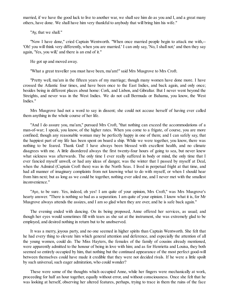married, if we have the good luck to live to another war, we shall see him do as you and I, and a great many others, have done. We shall have him very thankful to anybody that will bring him his wife."

"Ay, that we shall."

"Now I have done," cried Captain Wentworth. "When once married people begin to attack me with,-- 'Oh! you will think very differently, when you are married.' I can only say, 'No, I shall not;' and then they say again, 'Yes, you will,' and there is an end of it."

He got up and moved away.

"What a great traveller you must have been, ma'am!" said Mrs Musgrove to Mrs Croft.

"Pretty well, ma'am in the fifteen years of my marriage; though many women have done more. I have crossed the Atlantic four times, and have been once to the East Indies, and back again, and only once; besides being in different places about home: Cork, and Lisbon, and Gibraltar. But I never went beyond the Streights, and never was in the West Indies. We do not call Bermuda or Bahama, you know, the West Indies."

Mrs Musgrove had not a word to say in dissent; she could not accuse herself of having ever called them anything in the whole course of her life.

"And I do assure you, ma'am," pursued Mrs Croft, "that nothing can exceed the accommodations of a man-of-war; I speak, you know, of the higher rates. When you come to a frigate, of course, you are more confined; though any reasonable woman may be perfectly happy in one of them; and I can safely say, that the happiest part of my life has been spent on board a ship. While we were together, you know, there was nothing to be feared. Thank God! I have always been blessed with excellent health, and no climate disagrees with me. A little disordered always the first twenty-four hours of going to sea, but never knew what sickness was afterwards. The only time I ever really suffered in body or mind, the only time that I ever fancied myself unwell, or had any ideas of danger, was the winter that I passed by myself at Deal, when the Admiral (Captain Croft then) was in the North Seas. I lived in perpetual fright at that time, and had all manner of imaginary complaints from not knowing what to do with myself, or when I should hear from him next; but as long as we could be together, nothing ever ailed me, and I never met with the smallest inconvenience."

"Aye, to be sure. Yes, indeed, oh yes! I am quite of your opinion, Mrs Croft," was Mrs Musgrove's hearty answer. "There is nothing so bad as a separation. I am quite of your opinion. I know what it is, for Mr Musgrove always attends the assizes, and I am so glad when they are over, and he is safe back again."

The evening ended with dancing. On its being proposed, Anne offered her services, as usual; and though her eyes would sometimes fill with tears as she sat at the instrument, she was extremely glad to be employed, and desired nothing in return but to be unobserved.

It was a merry, joyous party, and no one seemed in higher spirits than Captain Wentworth. She felt that he had every thing to elevate him which general attention and deference, and especially the attention of all the young women, could do. The Miss Hayters, the females of the family of cousins already mentioned, were apparently admitted to the honour of being in love with him; and as for Henrietta and Louisa, they both seemed so entirely occupied by him, that nothing but the continued appearance of the most perfect good-will between themselves could have made it credible that they were not decided rivals. If he were a little spoilt by such universal, such eager admiration, who could wonder?

These were some of the thoughts which occupied Anne, while her fingers were mechanically at work, proceeding for half an hour together, equally without error, and without consciousness. Once she felt that he was looking at herself, observing her altered features, perhaps, trying to trace in them the ruins of the face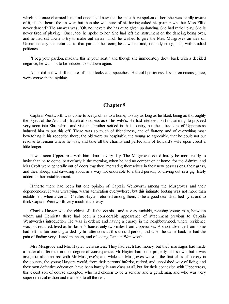which had once charmed him; and once she knew that he must have spoken of her; she was hardly aware of it, till she heard the answer; but then she was sure of his having asked his partner whether Miss Elliot never danced? The answer was, "Oh, no; never; she has quite given up dancing. She had rather play. She is never tired of playing." Once, too, he spoke to her. She had left the instrument on the dancing being over, and he had sat down to try to make out an air which he wished to give the Miss Musgroves an idea of. Unintentionally she returned to that part of the room; he saw her, and, instantly rising, said, with studied politeness--

"I beg your pardon, madam, this is your seat;" and though she immediately drew back with a decided negative, he was not to be induced to sit down again.

Anne did not wish for more of such looks and speeches. His cold politeness, his ceremonious grace, were worse than anything.

## **Chapter 9**

<span id="page-32-0"></span>Captain Wentworth was come to Kellynch as to a home, to stay as long as he liked, being as thoroughly the object of the Admiral's fraternal kindness as of his wife's. He had intended, on first arriving, to proceed very soon into Shropshire, and visit the brother settled in that country, but the attractions of Uppercross induced him to put this off. There was so much of friendliness, and of flattery, and of everything most bewitching in his reception there; the old were so hospitable, the young so agreeable, that he could not but resolve to remain where he was, and take all the charms and perfections of Edward's wife upon credit a little longer.

It was soon Uppercross with him almost every day. The Musgroves could hardly be more ready to invite than he to come, particularly in the morning, when he had no companion at home, for the Admiral and Mrs Croft were generally out of doors together, interesting themselves in their new possessions, their grass, and their sheep, and dawdling about in a way not endurable to a third person, or driving out in a gig, lately added to their establishment.

Hitherto there had been but one opinion of Captain Wentworth among the Musgroves and their dependencies. It was unvarying, warm admiration everywhere; but this intimate footing was not more than established, when a certain Charles Hayter returned among them, to be a good deal disturbed by it, and to think Captain Wentworth very much in the way.

Charles Hayter was the eldest of all the cousins, and a very amiable, pleasing young man, between whom and Henrietta there had been a considerable appearance of attachment previous to Captain Wentworth's introduction. He was in orders; and having a curacy in the neighbourhood, where residence was not required, lived at his father's house, only two miles from Uppercross. A short absence from home had left his fair one unguarded by his attentions at this critical period, and when he came back he had the pain of finding very altered manners, and of seeing Captain Wentworth.

Mrs Musgrove and Mrs Hayter were sisters. They had each had money, but their marriages had made a material difference in their degree of consequence. Mr Hayter had some property of his own, but it was insignificant compared with Mr Musgrove's; and while the Musgroves were in the first class of society in the country, the young Hayters would, from their parents' inferior, retired, and unpolished way of living, and their own defective education, have been hardly in any class at all, but for their connexion with Uppercross, this eldest son of course excepted, who had chosen to be a scholar and a gentleman, and who was very superior in cultivation and manners to all the rest.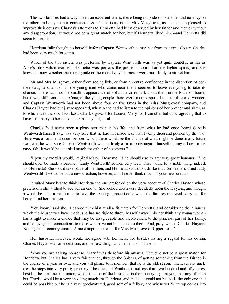The two families had always been on excellent terms, there being no pride on one side, and no envy on the other, and only such a consciousness of superiority in the Miss Musgroves, as made them pleased to improve their cousins. Charles's attentions to Henrietta had been observed by her father and mother without any disapprobation. "It would not be a great match for her; but if Henrietta liked him,"--and Henrietta did seem to like him.

Henrietta fully thought so herself, before Captain Wentworth came; but from that time Cousin Charles had been very much forgotten.

Which of the two sisters was preferred by Captain Wentworth was as yet quite doubtful, as far as Anne's observation reached. Henrietta was perhaps the prettiest, Louisa had the higher spirits; and she knew not now, whether the more gentle or the more lively character were most likely to attract him.

Mr and Mrs Musgrove, either from seeing little, or from an entire confidence in the discretion of both their daughters, and of all the young men who came near them, seemed to leave everything to take its chance. There was not the smallest appearance of solicitude or remark about them in the Mansion-house; but it was different at the Cottage: the young couple there were more disposed to speculate and wonder; and Captain Wentworth had not been above four or five times in the Miss Musgroves' company, and Charles Hayter had but just reappeared, when Anne had to listen to the opinions of her brother and sister, as to which was the one liked best. Charles gave it for Louisa, Mary for Henrietta, but quite agreeing that to have him marry either could be extremely delightful.

Charles "had never seen a pleasanter man in his life; and from what he had once heard Captain Wentworth himself say, was very sure that he had not made less than twenty thousand pounds by the war. Here was a fortune at once; besides which, there would be the chance of what might be done in any future war; and he was sure Captain Wentworth was as likely a man to distinguish himself as any officer in the navy. Oh! it would be a capital match for either of his sisters."

"Upon my word it would," replied Mary. "Dear me! If he should rise to any very great honours! If he should ever be made a baronet! 'Lady Wentworth' sounds very well. That would be a noble thing, indeed, for Henrietta! She would take place of me then, and Henrietta would not dislike that. Sir Frederick and Lady Wentworth! It would be but a new creation, however, and I never think much of your new creations."

It suited Mary best to think Henrietta the one preferred on the very account of Charles Hayter, whose pretensions she wished to see put an end to. She looked down very decidedly upon the Hayters, and thought it would be quite a misfortune to have the existing connection between the families renewed--very sad for herself and her children.

"You know," said she, "I cannot think him at all a fit match for Henrietta; and considering the alliances which the Musgroves have made, she has no right to throw herself away. I do not think any young woman has a right to make a choice that may be disagreeable and inconvenient to the principal part of her family, and be giving bad connections to those who have not been used to them. And, pray, who is Charles Hayter? Nothing but a country curate. A most improper match for Miss Musgrove of Uppercross."

Her husband, however, would not agree with her here; for besides having a regard for his cousin, Charles Hayter was an eldest son, and he saw things as an eldest son himself.

"Now you are talking nonsense, Mary," was therefore his answer. "It would not be a great match for Henrietta, but Charles has a very fair chance, through the Spicers, of getting something from the Bishop in the course of a year or two; and you will please to remember, that he is the eldest son; whenever my uncle dies, he steps into very pretty property. The estate at Winthrop is not less than two hundred and fifty acres, besides the farm near Taunton, which is some of the best land in the country. I grant you, that any of them but Charles would be a very shocking match for Henrietta, and indeed it could not be; he is the only one that could be possible; but he is a very good-natured, good sort of a fellow; and whenever Winthrop comes into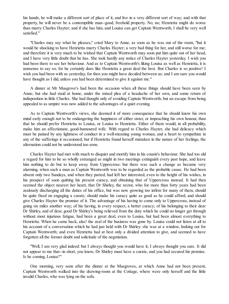his hands, he will make a different sort of place of it, and live in a very different sort of way; and with that property, he will never be a contemptible man--good, freehold property. No, no; Henrietta might do worse than marry Charles Hayter; and if she has him, and Louisa can get Captain Wentworth, I shall be very well satisfied."

"Charles may say what he pleases," cried Mary to Anne, as soon as he was out of the room, "but it would be shocking to have Henrietta marry Charles Hayter; a very bad thing for her, and still worse for me; and therefore it is very much to be wished that Captain Wentworth may soon put him quite out of her head, and I have very little doubt that he has. She took hardly any notice of Charles Hayter yesterday. I wish you had been there to see her behaviour. And as to Captain Wentworth's liking Louisa as well as Henrietta, it is nonsense to say so; for he certainly does like Henrietta a great deal the best. But Charles is so positive! I wish you had been with us yesterday, for then you might have decided between us; and I am sure you would have thought as I did, unless you had been determined to give it against me."

A dinner at Mr Musgrove's had been the occasion when all these things should have been seen by Anne; but she had staid at home, under the mixed plea of a headache of her own, and some return of indisposition in little Charles. She had thought only of avoiding Captain Wentworth; but an escape from being appealed to as umpire was now added to the advantages of a quiet evening.

As to Captain Wentworth's views, she deemed it of more consequence that he should know his own mind early enough not to be endangering the happiness of either sister, or impeaching his own honour, than that he should prefer Henrietta to Louisa, or Louisa to Henrietta. Either of them would, in all probability, make him an affectionate, good-humoured wife. With regard to Charles Hayter, she had delicacy which must be pained by any lightness of conduct in a well-meaning young woman, and a heart to sympathize in any of the sufferings it occasioned; but if Henrietta found herself mistaken in the nature of her feelings, the alternation could not be understood too soon.

Charles Hayter had met with much to disquiet and mortify him in his cousin's behaviour. She had too old a regard for him to be so wholly estranged as might in two meetings extinguish every past hope, and leave him nothing to do but to keep away from Uppercross: but there was such a change as became very alarming, when such a man as Captain Wentworth was to be regarded as the probable cause. He had been absent only two Sundays, and when they parted, had left her interested, even to the height of his wishes, in his prospect of soon quitting his present curacy, and obtaining that of Uppercross instead. It had then seemed the object nearest her heart, that Dr Shirley, the rector, who for more than forty years had been zealously discharging all the duties of his office, but was now growing too infirm for many of them, should be quite fixed on engaging a curate; should make his curacy quite as good as he could afford, and should give Charles Hayter the promise of it. The advantage of his having to come only to Uppercross, instead of going six miles another way; of his having, in every respect, a better curacy; of his belonging to their dear Dr Shirley, and of dear, good Dr Shirley's being relieved from the duty which he could no longer get through without most injurious fatigue, had been a great deal, even to Louisa, but had been almost everything to Henrietta. When he came back, alas! the zeal of the business was gone by. Louisa could not listen at all to his account of a conversation which he had just held with Dr Shirley: she was at a window, looking out for Captain Wentworth; and even Henrietta had at best only a divided attention to give, and seemed to have forgotten all the former doubt and solicitude of the negotiation.

"Well, I am very glad indeed: but I always thought you would have it; I always thought you sure. It did not appear to me that--in short, you know, Dr Shirley must have a curate, and you had secured his promise. Is he coming, Louisa?"

One morning, very soon after the dinner at the Musgroves, at which Anne had not been present, Captain Wentworth walked into the drawing-room at the Cottage, where were only herself and the little invalid Charles, who was lying on the sofa.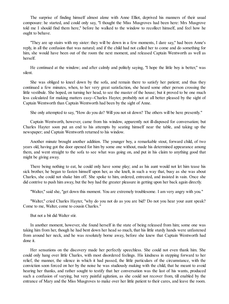The surprise of finding himself almost alone with Anne Elliot, deprived his manners of their usual composure: he started, and could only say, "I thought the Miss Musgroves had been here: Mrs Musgrove told me I should find them here," before he walked to the window to recollect himself, and feel how he ought to behave.

"They are up stairs with my sister: they will be down in a few moments, I dare say," had been Anne's reply, in all the confusion that was natural; and if the child had not called her to come and do something for him, she would have been out of the room the next moment, and released Captain Wentworth as well as herself.

He continued at the window; and after calmly and politely saying, "I hope the little boy is better," was silent.

She was obliged to kneel down by the sofa, and remain there to satisfy her patient; and thus they continued a few minutes, when, to her very great satisfaction, she heard some other person crossing the little vestibule. She hoped, on turning her head, to see the master of the house; but it proved to be one much less calculated for making matters easy--Charles Hayter, probably not at all better pleased by the sight of Captain Wentworth than Captain Wentworth had been by the sight of Anne.

She only attempted to say, "How do you do? Will you not sit down? The others will be here presently."

Captain Wentworth, however, came from his window, apparently not ill-disposed for conversation; but Charles Hayter soon put an end to his attempts by seating himself near the table, and taking up the newspaper; and Captain Wentworth returned to his window.

Another minute brought another addition. The younger boy, a remarkable stout, forward child, of two years old, having got the door opened for him by some one without, made his determined appearance among them, and went straight to the sofa to see what was going on, and put in his claim to anything good that might be giving away.

There being nothing to eat, he could only have some play; and as his aunt would not let him tease his sick brother, he began to fasten himself upon her, as she knelt, in such a way that, busy as she was about Charles, she could not shake him off. She spoke to him, ordered, entreated, and insisted in vain. Once she did contrive to push him away, but the boy had the greater pleasure in getting upon her back again directly.

"Walter," said she, "get down this moment. You are extremely troublesome. I am very angry with you."

"Walter," cried Charles Hayter, "why do you not do as you are bid? Do not you hear your aunt speak? Come to me, Walter, come to cousin Charles."

But not a bit did Walter stir.

In another moment, however, she found herself in the state of being released from him; some one was taking him from her, though he had bent down her head so much, that his little sturdy hands were unfastened from around her neck, and he was resolutely borne away, before she knew that Captain Wentworth had done it.

Her sensations on the discovery made her perfectly speechless. She could not even thank him. She could only hang over little Charles, with most disordered feelings. His kindness in stepping forward to her relief, the manner, the silence in which it had passed, the little particulars of the circumstance, with the conviction soon forced on her by the noise he was studiously making with the child, that he meant to avoid hearing her thanks, and rather sought to testify that her conversation was the last of his wants, produced such a confusion of varying, but very painful agitation, as she could not recover from, till enabled by the entrance of Mary and the Miss Musgroves to make over her little patient to their cares, and leave the room.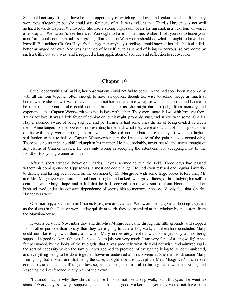She could not stay. It might have been an opportunity of watching the loves and jealousies of the four--they were now altogether; but she could stay for none of it. It was evident that Charles Hayter was not well inclined towards Captain Wentworth. She had a strong impression of his having said, in a vext tone of voice, after Captain Wentworth's interference, "You ought to have minded me, Walter; I told you not to teaze your aunt;" and could comprehend his regretting that Captain Wentworth should do what he ought to have done himself. But neither Charles Hayter's feelings, nor anybody's feelings, could interest her, till she had a little better arranged her own. She was ashamed of herself, quite ashamed of being so nervous, so overcome by such a trifle; but so it was, and it required a long application of solitude and reflection to recover her.

#### **Chapter 10**

Other opportunities of making her observations could not fail to occur. Anne had soon been in company with all the four together often enough to have an opinion, though too wise to acknowledge as much at home, where she knew it would have satisfied neither husband nor wife; for while she considered Louisa to be rather the favourite, she could not but think, as far as she might dare to judge from memory and experience, that Captain Wentworth was not in love with either. They were more in love with him; yet there it was not love. It was a little fever of admiration; but it might, probably must, end in love with some. Charles Hayter seemed aware of being slighted, and yet Henrietta had sometimes the air of being divided between them. Anne longed for the power of representing to them all what they were about, and of pointing out some of the evils they were exposing themselves to. She did not attribute guile to any. It was the highest satisfaction to her to believe Captain Wentworth not in the least aware of the pain he was occasioning. There was no triumph, no pitiful triumph in his manner. He had, probably, never heard, and never thought of any claims of Charles Hayter. He was only wrong in accepting the attentions (for accepting must be the word) of two young women at once.

After a short struggle, however, Charles Hayter seemed to quit the field. Three days had passed without his coming once to Uppercross; a most decided change. He had even refused one regular invitation to dinner; and having been found on the occasion by Mr Musgrove with some large books before him, Mr and Mrs Musgrove were sure all could not be right, and talked, with grave faces, of his studying himself to death. It was Mary's hope and belief that he had received a positive dismissal from Henrietta, and her husband lived under the constant dependence of seeing him to-morrow. Anne could only feel that Charles Hayter was wise.

One morning, about this time Charles Musgrove and Captain Wentworth being gone a-shooting together, as the sisters in the Cottage were sitting quietly at work, they were visited at the window by the sisters from the Mansion-house.

It was a very fine November day, and the Miss Musgroves came through the little grounds, and stopped for no other purpose than to say, that they were going to take a long walk, and therefore concluded Mary could not like to go with them; and when Mary immediately replied, with some jealousy at not being supposed a good walker, "Oh, yes, I should like to join you very much, I am very fond of a long walk;" Anne felt persuaded, by the looks of the two girls, that it was precisely what they did not wish, and admired again the sort of necessity which the family habits seemed to produce, of everything being to be communicated, and everything being to be done together, however undesired and inconvenient. She tried to dissuade Mary from going, but in vain; and that being the case, thought it best to accept the Miss Musgroves' much more cordial invitation to herself to go likewise, as she might be useful in turning back with her sister, and lessening the interference in any plan of their own.

"I cannot imagine why they should suppose I should not like a long walk," said Mary, as she went up stairs. "Everybody is always supposing that I am not a good walker; and yet they would not have been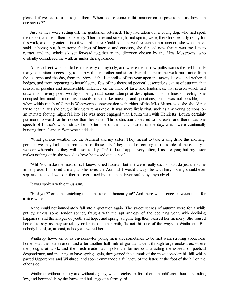pleased, if we had refused to join them. When people come in this manner on purpose to ask us, how can one say no?"

Just as they were setting off, the gentlemen returned. They had taken out a young dog, who had spoilt their sport, and sent them back early. Their time and strength, and spirits, were, therefore, exactly ready for this walk, and they entered into it with pleasure. Could Anne have foreseen such a junction, she would have staid at home; but, from some feelings of interest and curiosity, she fancied now that it was too late to retract, and the whole six set forward together in the direction chosen by the Miss Musgroves, who evidently considered the walk as under their guidance.

Anne's object was, not to be in the way of anybody; and where the narrow paths across the fields made many separations necessary, to keep with her brother and sister. Her pleasure in the walk must arise from the exercise and the day, from the view of the last smiles of the year upon the tawny leaves, and withered hedges, and from repeating to herself some few of the thousand poetical descriptions extant of autumn, that season of peculiar and inexhaustible influence on the mind of taste and tenderness, that season which had drawn from every poet, worthy of being read, some attempt at description, or some lines of feeling. She occupied her mind as much as possible in such like musings and quotations; but it was not possible, that when within reach of Captain Wentworth's conversation with either of the Miss Musgroves, she should not try to hear it; yet she caught little very remarkable. It was mere lively chat, such as any young persons, on an intimate footing, might fall into. He was more engaged with Louisa than with Henrietta. Louisa certainly put more forward for his notice than her sister. This distinction appeared to increase, and there was one speech of Louisa's which struck her. After one of the many praises of the day, which were continually bursting forth, Captain Wentworth added:--

"What glorious weather for the Admiral and my sister! They meant to take a long drive this morning; perhaps we may hail them from some of these hills. They talked of coming into this side of the country. I wonder whereabouts they will upset to-day. Oh! it does happen very often, I assure you; but my sister makes nothing of it; she would as lieve be tossed out as not."

"Ah! You make the most of it, I know," cried Louisa, "but if it were really so, I should do just the same in her place. If I loved a man, as she loves the Admiral, I would always be with him, nothing should ever separate us, and I would rather be overturned by him, than driven safely by anybody else."

It was spoken with enthusiasm.

"Had you?" cried he, catching the same tone; "I honour you!" And there was silence between them for a little while.

Anne could not immediately fall into a quotation again. The sweet scenes of autumn were for a while put by, unless some tender sonnet, fraught with the apt analogy of the declining year, with declining happiness, and the images of youth and hope, and spring, all gone together, blessed her memory. She roused herself to say, as they struck by order into another path, "Is not this one of the ways to Winthrop?" But nobody heard, or, at least, nobody answered her.

Winthrop, however, or its environs--for young men are, sometimes to be met with, strolling about near home--was their destination; and after another half mile of gradual ascent through large enclosures, where the ploughs at work, and the fresh made path spoke the farmer counteracting the sweets of poetical despondence, and meaning to have spring again, they gained the summit of the most considerable hill, which parted Uppercross and Winthrop, and soon commanded a full view of the latter, at the foot of the hill on the other side.

Winthrop, without beauty and without dignity, was stretched before them an indifferent house, standing low, and hemmed in by the barns and buildings of a farm-yard.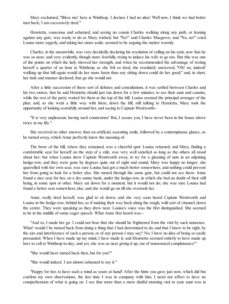Mary exclaimed, "Bless me! here is Winthrop. I declare I had no idea! Well now, I think we had better turn back; I am excessively tired."

Henrietta, conscious and ashamed, and seeing no cousin Charles walking along any path, or leaning against any gate, was ready to do as Mary wished; but "No!" said Charles Musgrove, and "No, no!" cried Louisa more eagerly, and taking her sister aside, seemed to be arguing the matter warmly.

Charles, in the meanwhile, was very decidedly declaring his resolution of calling on his aunt, now that he was so near; and very evidently, though more fearfully, trying to induce his wife to go too. But this was one of the points on which the lady shewed her strength; and when he recommended the advantage of resting herself a quarter of an hour at Winthrop, as she felt so tired, she resolutely answered, "Oh! no, indeed! walking up that hill again would do her more harm than any sitting down could do her good;" and, in short, her look and manner declared, that go she would not.

After a little succession of these sort of debates and consultations, it was settled between Charles and his two sisters, that he and Henrietta should just run down for a few minutes, to see their aunt and cousins, while the rest of the party waited for them at the top of the hill. Louisa seemed the principal arranger of the plan; and, as she went a little way with them, down the hill, still talking to Henrietta, Mary took the opportunity of looking scornfully around her, and saying to Captain Wentworth--

"It is very unpleasant, having such connexions! But, I assure you, I have never been in the house above twice in my life."

She received no other answer, than an artificial, assenting smile, followed by a contemptuous glance, as he turned away, which Anne perfectly knew the meaning of.

The brow of the hill, where they remained, was a cheerful spot: Louisa returned; and Mary, finding a comfortable seat for herself on the step of a stile, was very well satisfied so long as the others all stood about her; but when Louisa drew Captain Wentworth away, to try for a gleaning of nuts in an adjoining hedge-row, and they were gone by degrees quite out of sight and sound, Mary was happy no longer; she quarrelled with her own seat, was sure Louisa had got a much better somewhere, and nothing could prevent her from going to look for a better also. She turned through the same gate, but could not see them. Anne found a nice seat for her, on a dry sunny bank, under the hedge-row, in which she had no doubt of their still being, in some spot or other. Mary sat down for a moment, but it would not do; she was sure Louisa had found a better seat somewhere else, and she would go on till she overtook her.

Anne, really tired herself, was glad to sit down; and she very soon heard Captain Wentworth and Louisa in the hedge-row, behind her, as if making their way back along the rough, wild sort of channel, down the centre. They were speaking as they drew near. Louisa's voice was the first distinguished. She seemed to be in the middle of some eager speech. What Anne first heard was--

"And so, I made her go. I could not bear that she should be frightened from the visit by such nonsense. What! would I be turned back from doing a thing that I had determined to do, and that I knew to be right, by the airs and interference of such a person, or of any person I may say? No, I have no idea of being so easily persuaded. When I have made up my mind, I have made it; and Henrietta seemed entirely to have made up hers to call at Winthrop to-day; and yet, she was as near giving it up, out of nonsensical complaisance!"

"She would have turned back then, but for you?"

"She would indeed. I am almost ashamed to say it."

"Happy for her, to have such a mind as yours at hand! After the hints you gave just now, which did but confirm my own observations, the last time I was in company with him, I need not affect to have no comprehension of what is going on. I see that more than a mere dutiful morning visit to your aunt was in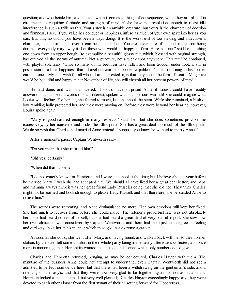question; and woe betide him, and her too, when it comes to things of consequence, when they are placed in circumstances requiring fortitude and strength of mind, if she have not resolution enough to resist idle interference in such a trifle as this. Your sister is an amiable creature; but yours is the character of decision and firmness, I see. If you value her conduct or happiness, infuse as much of your own spirit into her as you can. But this, no doubt, you have been always doing. It is the worst evil of too yielding and indecisive a character, that no influence over it can be depended on. You are never sure of a good impression being durable; everybody may sway it. Let those who would be happy be firm. Here is a nut," said he, catching one down from an upper bough, "to exemplify: a beautiful glossy nut, which, blessed with original strength, has outlived all the storms of autumn. Not a puncture, not a weak spot anywhere. This nut," he continued, with playful solemnity, "while so many of his brethren have fallen and been trodden under foot, is still in possession of all the happiness that a hazel nut can be supposed capable of." Then returning to his former earnest tone--"My first wish for all whom I am interested in, is that they should be firm. If Louisa Musgrove would be beautiful and happy in her November of life, she will cherish all her present powers of mind."

He had done, and was unanswered. It would have surprised Anne if Louisa could have readily answered such a speech: words of such interest, spoken with such serious warmth! She could imagine what Louisa was feeling. For herself, she feared to move, lest she should be seen. While she remained, a bush of low rambling holly protected her, and they were moving on. Before they were beyond her hearing, however, Louisa spoke again.

"Mary is good-natured enough in many respects," said she; "but she does sometimes provoke me excessively, by her nonsense and pride--the Elliot pride. She has a great deal too much of the Elliot pride. We do so wish that Charles had married Anne instead. I suppose you know he wanted to marry Anne?"

After a moment's pause, Captain Wentworth said--

"Do you mean that she refused him?"

"Oh! yes; certainly."

"When did that happen?"

"I do not exactly know, for Henrietta and I were at school at the time; but I believe about a year before he married Mary. I wish she had accepted him. We should all have liked her a great deal better; and papa and mamma always think it was her great friend Lady Russell's doing, that she did not. They think Charles might not be learned and bookish enough to please Lady Russell, and that therefore, she persuaded Anne to refuse him."

The sounds were retreating, and Anne distinguished no more. Her own emotions still kept her fixed. She had much to recover from, before she could move. The listener's proverbial fate was not absolutely hers; she had heard no evil of herself, but she had heard a great deal of very painful import. She saw how her own character was considered by Captain Wentworth, and there had been just that degree of feeling and curiosity about her in his manner which must give her extreme agitation.

As soon as she could, she went after Mary, and having found, and walked back with her to their former station, by the stile, felt some comfort in their whole party being immediately afterwards collected, and once more in motion together. Her spirits wanted the solitude and silence which only numbers could give.

Charles and Henrietta returned, bringing, as may be conjectured, Charles Hayter with them. The minutiae of the business Anne could not attempt to understand; even Captain Wentworth did not seem admitted to perfect confidence here; but that there had been a withdrawing on the gentleman's side, and a relenting on the lady's, and that they were now very glad to be together again, did not admit a doubt. Henrietta looked a little ashamed, but very well pleased;--Charles Hayter exceedingly happy: and they were devoted to each other almost from the first instant of their allsetting forward for Uppercross.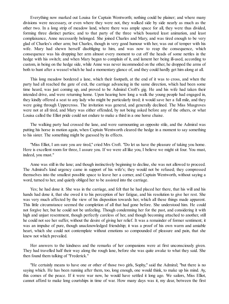Everything now marked out Louisa for Captain Wentworth; nothing could be plainer; and where many divisions were necessary, or even where they were not, they walked side by side nearly as much as the other two. In a long strip of meadow land, where there was ample space for all, they were thus divided, forming three distinct parties; and to that party of the three which boasted least animation, and least complaisance, Anne necessarily belonged. She joined Charles and Mary, and was tired enough to be very glad of Charles's other arm; but Charles, though in very good humour with her, was out of temper with his wife. Mary had shewn herself disobliging to him, and was now to reap the consequence, which consequence was his dropping her arm almost every moment to cut off the heads of some nettles in the hedge with his switch; and when Mary began to complain of it, and lament her being ill-used, according to custom, in being on the hedge side, while Anne was never incommoded on the other, he dropped the arms of both to hunt after a weasel which he had a momentary glance of, and they could hardly get him along at all.

This long meadow bordered a lane, which their footpath, at the end of it was to cross, and when the party had all reached the gate of exit, the carriage advancing in the same direction, which had been some time heard, was just coming up, and proved to be Admiral Croft's gig. He and his wife had taken their intended drive, and were returning home. Upon hearing how long a walk the young people had engaged in, they kindly offered a seat to any lady who might be particularly tired; it would save her a full mile, and they were going through Uppercross. The invitation was general, and generally declined. The Miss Musgroves were not at all tired, and Mary was either offended, by not being asked before any of the others, or what Louisa called the Elliot pride could not endure to make a third in a one horse chaise.

The walking party had crossed the lane, and were surmounting an opposite stile, and the Admiral was putting his horse in motion again, when Captain Wentworth cleared the hedge in a moment to say something to his sister. The something might be guessed by its effects.

"Miss Elliot, I am sure you are tired," cried Mrs Croft. "Do let us have the pleasure of taking you home. Here is excellent room for three, I assure you. If we were all like you, I believe we might sit four. You must, indeed, you must."

Anne was still in the lane; and though instinctively beginning to decline, she was not allowed to proceed. The Admiral's kind urgency came in support of his wife's; they would not be refused; they compressed themselves into the smallest possible space to leave her a corner, and Captain Wentworth, without saying a word, turned to her, and quietly obliged her to be assisted into the carriage.

Yes; he had done it. She was in the carriage, and felt that he had placed her there, that his will and his hands had done it, that she owed it to his perception of her fatigue, and his resolution to give her rest. She was very much affected by the view of his disposition towards her, which all these things made apparent. This little circumstance seemed the completion of all that had gone before. She understood him. He could not forgive her, but he could not be unfeeling. Though condemning her for the past, and considering it with high and unjust resentment, though perfectly careless of her, and though becoming attached to another, still he could not see her suffer, without the desire of giving her relief. It was a remainder of former sentiment; it was an impulse of pure, though unacknowledged friendship; it was a proof of his own warm and amiable heart, which she could not contemplate without emotions so compounded of pleasure and pain, that she knew not which prevailed.

Her answers to the kindness and the remarks of her companions were at first unconsciously given. They had travelled half their way along the rough lane, before she was quite awake to what they said. She then found them talking of "Frederick."

"He certainly means to have one or other of those two girls, Sophy," said the Admiral; "but there is no saying which. He has been running after them, too, long enough, one would think, to make up his mind. Ay, this comes of the peace. If it were war now, he would have settled it long ago. We sailors, Miss Elliot, cannot afford to make long courtships in time of war. How many days was it, my dear, between the first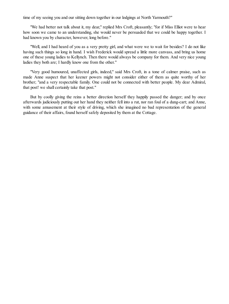time of my seeing you and our sitting down together in our lodgings at North Yarmouth?"

"We had better not talk about it, my dear," replied Mrs Croft, pleasantly; "for if Miss Elliot were to hear how soon we came to an understanding, she would never be persuaded that we could be happy together. I had known you by character, however, long before."

"Well, and I had heard of you as a very pretty girl, and what were we to wait for besides? I do not like having such things so long in hand. I wish Frederick would spread a little more canvass, and bring us home one of these young ladies to Kellynch. Then there would always be company for them. And very nice young ladies they both are; I hardly know one from the other."

"Very good humoured, unaffected girls, indeed," said Mrs Croft, in a tone of calmer praise, such as made Anne suspect that her keener powers might not consider either of them as quite worthy of her brother; "and a very respectable family. One could not be connected with better people. My dear Admiral, that post! we shall certainly take that post."

But by coolly giving the reins a better direction herself they happily passed the danger; and by once afterwards judiciously putting out her hand they neither fell into a rut, nor ran foul of a dung-cart; and Anne, with some amusement at their style of driving, which she imagined no bad representation of the general guidance of their affairs, found herself safely deposited by them at the Cottage.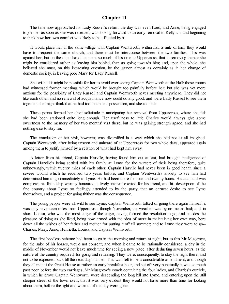# **Chapter 11**

The time now approached for Lady Russell's return: the day was even fixed; and Anne, being engaged to join her as soon as she was resettled, was looking forward to an early removal to Kellynch, and beginning to think how her own comfort was likely to be affected by it.

It would place her in the same village with Captain Wentworth, within half a mile of him; they would have to frequent the same church, and there must be intercourse between the two families. This was against her; but on the other hand, he spent so much of his time at Uppercross, that in removing thence she might be considered rather as leaving him behind, than as going towards him; and, upon the whole, she believed she must, on this interesting question, be the gainer, almost as certainly as in her change of domestic society, in leaving poor Mary for Lady Russell.

She wished it might be possible for her to avoid ever seeing Captain Wentworth at the Hall: those rooms had witnessed former meetings which would be brought too painfully before her; but she was yet more anxious for the possibility of Lady Russell and Captain Wentworth never meeting anywhere. They did not like each other, and no renewal of acquaintance now could do any good; and were Lady Russell to see them together, she might think that he had too much self-possession, and she too little.

These points formed her chief solicitude in anticipating her removal from Uppercross, where she felt she had been stationed quite long enough. Her usefulness to little Charles would always give some sweetness to the memory of her two months' visit there, but he was gaining strength apace, and she had nothing else to stay for.

The conclusion of her visit, however, was diversified in a way which she had not at all imagined. Captain Wentworth, after being unseen and unheard of at Uppercross for two whole days, appeared again among them to justify himself by a relation of what had kept him away.

A letter from his friend, Captain Harville, having found him out at last, had brought intelligence of Captain Harville's being settled with his family at Lyme for the winter; of their being therefore, quite unknowingly, within twenty miles of each other. Captain Harville had never been in good health since a severe wound which he received two years before, and Captain Wentworth's anxiety to see him had determined him to go immediately to Lyme. He had been there for four-and-twenty hours. His acquittal was complete, his friendship warmly honoured, a lively interest excited for his friend, and his description of the fine country about Lyme so feelingly attended to by the party, that an earnest desire to see Lyme themselves, and a project for going thither was the consequence.

The young people were all wild to see Lyme. Captain Wentworth talked of going there again himself, it was only seventeen miles from Uppercross; though November, the weather was by no means bad; and, in short, Louisa, who was the most eager of the eager, having formed the resolution to go, and besides the pleasure of doing as she liked, being now armed with the idea of merit in maintaining her own way, bore down all the wishes of her father and mother for putting it off till summer; and to Lyme they were to go-- Charles, Mary, Anne, Henrietta, Louisa, and Captain Wentworth.

The first heedless scheme had been to go in the morning and return at night; but to this Mr Musgrove, for the sake of his horses, would not consent; and when it came to be rationally considered, a day in the middle of November would not leave much time for seeing a new place, after deducting seven hours, as the nature of the country required, for going and returning. They were, consequently, to stay the night there, and not to be expected back till the next day's dinner. This was felt to be a considerable amendment; and though they all met at the Great House at rather an early breakfast hour, and set off very punctually, it was so much past noon before the two carriages, Mr Musgrove's coach containing the four ladies, and Charles's curricle, in which he drove Captain Wentworth, were descending the long hill into Lyme, and entering upon the still steeper street of the town itself, that it was very evident they would not have more than time for looking about them, before the light and warmth of the day were gone.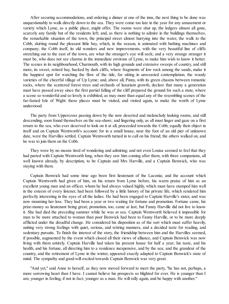After securing accommodations, and ordering a dinner at one of the inns, the next thing to be done was unquestionably to walk directly down to the sea. They were come too late in the year for any amusement or variety which Lyme, as a public place, might offer. The rooms were shut up, the lodgers almost all gone, scarcely any family but of the residents left; and, as there is nothing to admire in the buildings themselves, the remarkable situation of the town, the principal street almost hurrying into the water, the walk to the Cobb, skirting round the pleasant little bay, which, in the season, is animated with bathing machines and company; the Cobb itself, its old wonders and new improvements, with the very beautiful line of cliffs stretching out to the east of the town, are what the stranger's eye will seek; and a very strange stranger it must be, who does not see charms in the immediate environs of Lyme, to make him wish to know it better. The scenes in its neighbourhood, Charmouth, with its high grounds and extensive sweeps of country, and still more, its sweet, retired bay, backed by dark cliffs, where fragments of low rock among the sands, make it the happiest spot for watching the flow of the tide, for sitting in unwearied contemplation; the woody varieties of the cheerful village of Up Lyme; and, above all, Pinny, with its green chasms between romantic rocks, where the scattered forest trees and orchards of luxuriant growth, declare that many a generation must have passed away since the first partial falling of the cliff prepared the ground for such a state, where a scene so wonderful and so lovely is exhibited, as may more than equal any of the resembling scenes of the far-famed Isle of Wight: these places must be visited, and visited again, to make the worth of Lyme understood.

The party from Uppercross passing down by the now deserted and melancholy looking rooms, and still descending, soon found themselves on the sea-shore; and lingering only, as all must linger and gaze on a first return to the sea, who ever deserved to look on it at all, proceeded towards the Cobb, equally their object in itself and on Captain Wentworth's account: for in a small house, near the foot of an old pier of unknown date, were the Harvilles settled. Captain Wentworth turned in to call on his friend; the others walked on, and he was to join them on the Cobb.

They were by no means tired of wondering and admiring; and not even Louisa seemed to feel that they had parted with Captain Wentworth long, when they saw him coming after them, with three companions, all well known already, by description, to be Captain and Mrs Harville, and a Captain Benwick, who was staying with them.

Captain Benwick had some time ago been first lieutenant of the Laconia; and the account which Captain Wentworth had given of him, on his return from Lyme before, his warm praise of him as an excellent young man and an officer, whom he had always valued highly, which must have stamped him well in the esteem of every listener, had been followed by a little history of his private life, which rendered him perfectly interesting in the eyes of all the ladies. He had been engaged to Captain Harville's sister, and was now mourning her loss. They had been a year or two waiting for fortune and promotion. Fortune came, his prize-money as lieutenant being great; promotion, too, came at last; but Fanny Harville did not live to know it. She had died the preceding summer while he was at sea. Captain Wentworth believed it impossible for man to be more attached to woman than poor Benwick had been to Fanny Harville, or to be more deeply afflicted under the dreadful change. He considered his disposition as of the sort which must suffer heavily, uniting very strong feelings with quiet, serious, and retiring manners, and a decided taste for reading, and sedentary pursuits. To finish the interest of the story, the friendship between him and the Harvilles seemed, if possible, augmented by the event which closed all their views of alliance, and Captain Benwick was now living with them entirely. Captain Harville had taken his present house for half a year; his taste, and his health, and his fortune, all directing him to a residence inexpensive, and by the sea; and the grandeur of the country, and the retirement of Lyme in the winter, appeared exactly adapted to Captain Benwick's state of mind. The sympathy and good-will excited towards Captain Benwick was very great.

"And yet," said Anne to herself, as they now moved forward to meet the party, "he has not, perhaps, a more sorrowing heart than I have. I cannot believe his prospects so blighted for ever. He is younger than I am; younger in feeling, if not in fact; younger as a man. He will rally again, and be happy with another."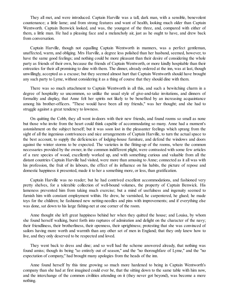They all met, and were introduced. Captain Harville was a tall, dark man, with a sensible, benevolent countenance; a little lame; and from strong features and want of health, looking much older than Captain Wentworth. Captain Benwick looked, and was, the youngest of the three, and, compared with either of them, a little man. He had a pleasing face and a melancholy air, just as he ought to have, and drew back from conversation.

Captain Harville, though not equalling Captain Wentworth in manners, was a perfect gentleman, unaffected, warm, and obliging. Mrs Harville, a degree less polished than her husband, seemed, however, to have the same good feelings; and nothing could be more pleasant than their desire of considering the whole party as friends of their own, because the friends of Captain Wentworth, or more kindly hospitable than their entreaties for their all promising to dine with them. The dinner, already ordered at the inn, was at last, though unwillingly, accepted as a excuse; but they seemed almost hurt that Captain Wentworth should have brought any such party to Lyme, without considering it as a thing of course that they should dine with them.

There was so much attachment to Captain Wentworth in all this, and such a bewitching charm in a degree of hospitality so uncommon, so unlike the usual style of give-and-take invitations, and dinners of formality and display, that Anne felt her spirits not likely to be benefited by an increasing acquaintance among his brother-officers. "These would have been all my friends," was her thought; and she had to struggle against a great tendency to lowness.

On quitting the Cobb, they all went in-doors with their new friends, and found rooms so small as none but those who invite from the heart could think capable of accommodating so many. Anne had a moment's astonishment on the subject herself; but it was soon lost in the pleasanter feelings which sprang from the sight of all the ingenious contrivances and nice arrangements of Captain Harville, to turn the actual space to the best account, to supply the deficiencies of lodging-house furniture, and defend the windows and doors against the winter storms to be expected. The varieties in the fitting-up of the rooms, where the common necessaries provided by the owner, in the common indifferent plight, were contrasted with some few articles of a rare species of wood, excellently worked up, and with something curious and valuable from all the distant countries Captain Harville had visited, were more than amusing to Anne; connected as it all was with his profession, the fruit of its labours, the effect of its influence on his habits, the picture of repose and domestic happiness it presented, made it to her a something more, or less, than gratification.

Captain Harville was no reader; but he had contrived excellent accommodations, and fashioned very pretty shelves, for a tolerable collection of well-bound volumes, the property of Captain Benwick. His lameness prevented him from taking much exercise; but a mind of usefulness and ingenuity seemed to furnish him with constant employment within. He drew, he varnished, he carpentered, he glued; he made toys for the children; he fashioned new netting-needles and pins with improvements; and if everything else was done, sat down to his large fishing-net at one corner of the room.

Anne thought she left great happiness behind her when they quitted the house; and Louisa, by whom she found herself walking, burst forth into raptures of admiration and delight on the character of the navy; their friendliness, their brotherliness, their openness, their uprightness; protesting that she was convinced of sailors having more worth and warmth than any other set of men in England; that they only knew how to live, and they only deserved to be respected and loved.

They went back to dress and dine; and so well had the scheme answered already, that nothing was found amiss; though its being "so entirely out of season," and the "no thoroughfare of Lyme," and the "no expectation of company," had brought many apologies from the heads of the inn.

Anne found herself by this time growing so much more hardened to being in Captain Wentworth's company than she had at first imagined could ever be, that the sitting down to the same table with him now, and the interchange of the common civilities attending on it (they never got beyond), was become a mere nothing.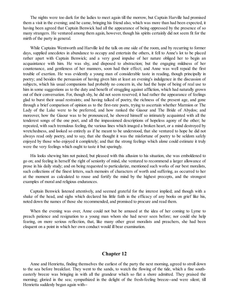The nights were too dark for the ladies to meet again till the morrow, but Captain Harville had promised them a visit in the evening; and he came, bringing his friend also, which was more than had been expected, it having been agreed that Captain Benwick had all the appearance of being oppressed by the presence of so many strangers. He ventured among them again, however, though his spirits certainly did not seem fit for the mirth of the party in general.

While Captains Wentworth and Harville led the talk on one side of the room, and by recurring to former days, supplied anecdotes in abundance to occupy and entertain the others, it fell to Anne's lot to be placed rather apart with Captain Benwick; and a very good impulse of her nature obliged her to begin an acquaintance with him. He was shy, and disposed to abstraction; but the engaging mildness of her countenance, and gentleness of her manners, soon had their effect; and Anne was well repaid the first trouble of exertion. He was evidently a young man of considerable taste in reading, though principally in poetry; and besides the persuasion of having given him at least an evening's indulgence in the discussion of subjects, which his usual companions had probably no concern in, she had the hope of being of real use to him in some suggestions as to the duty and benefit of struggling against affliction, which had naturally grown out of their conversation. For, though shy, he did not seem reserved; it had rather the appearance of feelings glad to burst their usual restraints; and having talked of poetry, the richness of the present age, and gone through a brief comparison of opinion as to the first-rate poets, trying to ascertain whether Marmion or The Lady of the Lake were to be preferred, and how ranked the Giaour and The Bride of Abydos; and moreover, how the Giaour was to be pronounced, he showed himself so intimately acquainted with all the tenderest songs of the one poet, and all the impassioned descriptions of hopeless agony of the other; he repeated, with such tremulous feeling, the various lines which imaged a broken heart, or a mind destroyed by wretchedness, and looked so entirely as if he meant to be understood, that she ventured to hope he did not always read only poetry, and to say, that she thought it was the misfortune of poetry to be seldom safely enjoyed by those who enjoyed it completely; and that the strong feelings which alone could estimate it truly were the very feelings which ought to taste it but sparingly.

His looks shewing him not pained, but pleased with this allusion to his situation, she was emboldened to go on; and feeling in herself the right of seniority of mind, she ventured to recommend a larger allowance of prose in his daily study; and on being requested to particularize, mentioned such works of our best moralists, such collections of the finest letters, such memoirs of characters of worth and suffering, as occurred to her at the moment as calculated to rouse and fortify the mind by the highest precepts, and the strongest examples of moral and religious endurances.

Captain Benwick listened attentively, and seemed grateful for the interest implied; and though with a shake of the head, and sighs which declared his little faith in the efficacy of any books on grief like his, noted down the names of those she recommended, and promised to procure and read them.

When the evening was over, Anne could not but be amused at the idea of her coming to Lyme to preach patience and resignation to a young man whom she had never seen before; nor could she help fearing, on more serious reflection, that, like many other great moralists and preachers, she had been eloquent on a point in which her own conduct would ill bear examination.

### **Chapter 12**

Anne and Henrietta, finding themselves the earliest of the party the next morning, agreed to stroll down to the sea before breakfast. They went to the sands, to watch the flowing of the tide, which a fine southeasterly breeze was bringing in with all the grandeur which so flat a shore admitted. They praised the morning; gloried in the sea; sympathized in the delight of the fresh-feeling breeze--and were silent; till Henrietta suddenly began again with--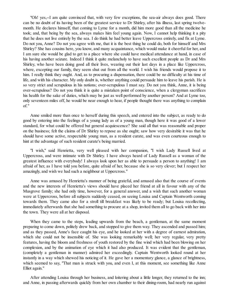"Oh! yes,--I am quite convinced that, with very few exceptions, the sea-air always does good. There can be no doubt of its having been of the greatest service to Dr Shirley, after his illness, last spring twelvemonth. He declares himself, that coming to Lyme for a month, did him more good than all the medicine he took; and, that being by the sea, always makes him feel young again. Now, I cannot help thinking it a pity that he does not live entirely by the sea. I do think he had better leave Uppercross entirely, and fix at Lyme. Do not you, Anne? Do not you agree with me, that it is the best thing he could do, both for himself and Mrs Shirley? She has cousins here, you know, and many acquaintance, which would make it cheerful for her, and I am sure she would be glad to get to a place where she could have medical attendance at hand, in case of his having another seizure. Indeed I think it quite melancholy to have such excellent people as Dr and Mrs Shirley, who have been doing good all their lives, wearing out their last days in a place like Uppercross, where, excepting our family, they seem shut out from all the world. I wish his friends would propose it to him. I really think they ought. And, as to procuring a dispensation, there could be no difficulty at his time of life, and with his character. My only doubt is, whether anything could persuade him to leave his parish. He is so very strict and scrupulous in his notions; over-scrupulous I must say. Do not you think, Anne, it is being over-scrupulous? Do not you think it is quite a mistaken point of conscience, when a clergyman sacrifices his health for the sake of duties, which may be just as well performed by another person? And at Lyme too, only seventeen miles off, he would be near enough to hear, if people thought there was anything to complain of."

Anne smiled more than once to herself during this speech, and entered into the subject, as ready to do good by entering into the feelings of a young lady as of a young man, though here it was good of a lower standard, for what could be offered but general acquiescence? She said all that was reasonable and proper on the business; felt the claims of Dr Shirley to repose as she ought; saw how very desirable it was that he should have some active, respectable young man, as a resident curate, and was even courteous enough to hint at the advantage of such resident curate's being married.

"I wish," said Henrietta, very well pleased with her companion, "I wish Lady Russell lived at Uppercross, and were intimate with Dr Shirley. I have always heard of Lady Russell as a woman of the greatest influence with everybody! I always look upon her as able to persuade a person to anything! I am afraid of her, as I have told you before, quite afraid of her, because she is so very clever; but I respect her amazingly, and wish we had such a neighbour at Uppercross."

Anne was amused by Henrietta's manner of being grateful, and amused also that the course of events and the new interests of Henrietta's views should have placed her friend at all in favour with any of the Musgrove family; she had only time, however, for a general answer, and a wish that such another woman were at Uppercross, before all subjects suddenly ceased, on seeing Louisa and Captain Wentworth coming towards them. They came also for a stroll till breakfast was likely to be ready; but Louisa recollecting, immediately afterwards that she had something to procure at a shop, invited them all to go back with her into the town. They were all at her disposal.

When they came to the steps, leading upwards from the beach, a gentleman, at the same moment preparing to come down, politely drew back, and stopped to give them way. They ascended and passed him; and as they passed, Anne's face caught his eye, and he looked at her with a degree of earnest admiration, which she could not be insensible of. She was looking remarkably well; her very regular, very pretty features, having the bloom and freshness of youth restored by the fine wind which had been blowing on her complexion, and by the animation of eye which it had also produced. It was evident that the gentleman, (completely a gentleman in manner) admired her exceedingly. Captain Wentworth looked round at her instantly in a way which shewed his noticing of it. He gave her a momentary glance, a glance of brightness, which seemed to say, "That man is struck with you, and even I, at this moment, see something like Anne Elliot again."

After attending Louisa through her business, and loitering about a little longer, they returned to the inn; and Anne, in passing afterwards quickly from her own chamber to their dining-room, had nearly run against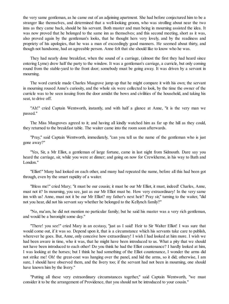the very same gentleman, as he came out of an adjoining apartment. She had before conjectured him to be a stranger like themselves, and determined that a well-looking groom, who was strolling about near the two inns as they came back, should be his servant. Both master and man being in mourning assisted the idea. It was now proved that he belonged to the same inn as themselves; and this second meeting, short as it was, also proved again by the gentleman's looks, that he thought hers very lovely, and by the readiness and propriety of his apologies, that he was a man of exceedingly good manners. He seemed about thirty, and though not handsome, had an agreeable person. Anne felt that she should like to know who he was.

They had nearly done breakfast, when the sound of a carriage, (almost the first they had heard since entering Lyme) drew half the party to the window. It was a gentleman's carriage, a curricle, but only coming round from the stable-yard to the front door; somebody must be going away. It was driven by a servant in mourning.

The word curricle made Charles Musgrove jump up that he might compare it with his own; the servant in mourning roused Anne's curiosity, and the whole six were collected to look, by the time the owner of the curricle was to be seen issuing from the door amidst the bows and civilities of the household, and taking his seat, to drive off.

"Ah!" cried Captain Wentworth, instantly, and with half a glance at Anne, "it is the very man we passed."

The Miss Musgroves agreed to it; and having all kindly watched him as far up the hill as they could, they returned to the breakfast table. The waiter came into the room soon afterwards.

"Pray," said Captain Wentworth, immediately, "can you tell us the name of the gentleman who is just gone away?"

"Yes, Sir, a Mr Elliot, a gentleman of large fortune, came in last night from Sidmouth. Dare say you heard the carriage, sir, while you were at dinner; and going on now for Crewkherne, in his way to Bath and London."

"Elliot!" Many had looked on each other, and many had repeated the name, before all this had been got through, even by the smart rapidity of a waiter.

"Bless me!" cried Mary; "it must be our cousin; it must be our Mr Elliot, it must, indeed! Charles, Anne, must not it? In mourning, you see, just as our Mr Elliot must be. How very extraordinary! In the very same inn with us! Anne, must not it be our Mr Elliot? my father's next heir? Pray sir," turning to the waiter, "did not you hear, did not his servant say whether he belonged to the Kellynch family?"

"No, ma'am, he did not mention no particular family; but he said his master was a very rich gentleman, and would be a baronight some day."

"There! you see!" cried Mary in an ecstasy, "just as I said! Heir to Sir Walter Elliot! I was sure that would come out, if it was so. Depend upon it, that is a circumstance which his servants take care to publish, wherever he goes. But, Anne, only conceive how extraordinary! I wish I had looked at him more. I wish we had been aware in time, who it was, that he might have been introduced to us. What a pity that we should not have been introduced to each other! Do you think he had the Elliot countenance? I hardly looked at him, I was looking at the horses; but I think he had something of the Elliot countenance, I wonder the arms did not strike me! Oh! the great-coat was hanging over the panel, and hid the arms, so it did; otherwise, I am sure, I should have observed them, and the livery too; if the servant had not been in mourning, one should have known him by the livery."

"Putting all these very extraordinary circumstances together," said Captain Wentworth, "we must consider it to be the arrangement of Providence, that you should not be introduced to your cousin."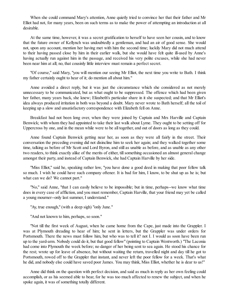When she could command Mary's attention, Anne quietly tried to convince her that their father and Mr Elliot had not, for many years, been on such terms as to make the power of attempting an introduction at all desirable.

At the same time, however, it was a secret gratification to herself to have seen her cousin, and to know that the future owner of Kellynch was undoubtedly a gentleman, and had an air of good sense. She would not, upon any account, mention her having met with him the second time; luckily Mary did not much attend to their having passed close by him in their earlier walk, but she would have felt quite ill-used by Anne's having actually run against him in the passage, and received his very polite excuses, while she had never been near him at all; no, that cousinly little interview must remain a perfect secret.

"Of course," said Mary, "you will mention our seeing Mr Elliot, the next time you write to Bath. I think my father certainly ought to hear of it; do mention all about him."

Anne avoided a direct reply, but it was just the circumstance which she considered as not merely unnecessary to be communicated, but as what ought to be suppressed. The offence which had been given her father, many years back, she knew; Elizabeth's particular share in it she suspected; and that Mr Elliot's idea always produced irritation in both was beyond a doubt. Mary never wrote to Bath herself; all the toil of keeping up a slow and unsatisfactory correspondence with Elizabeth fell on Anne.

Breakfast had not been long over, when they were joined by Captain and Mrs Harville and Captain Benwick; with whom they had appointed to take their last walk about Lyme. They ought to be setting off for Uppercross by one, and in the mean while were to be all together, and out of doors as long as they could.

Anne found Captain Benwick getting near her, as soon as they were all fairly in the street. Their conversation the preceding evening did not disincline him to seek her again; and they walked together some time, talking as before of Mr Scott and Lord Byron, and still as unable as before, and as unable as any other two readers, to think exactly alike of the merits of either, till something occasioned an almost general change amongst their party, and instead of Captain Benwick, she had Captain Harville by her side.

"Miss Elliot," said he, speaking rather low, "you have done a good deed in making that poor fellow talk so much. I wish he could have such company oftener. It is bad for him, I know, to be shut up as he is; but what can we do? We cannot part."

"No," said Anne, "that I can easily believe to be impossible; but in time, perhaps--we know what time does in every case of affliction, and you must remember, Captain Harville, that your friend may yet be called a young mourner--only last summer, I understand."

"Ay, true enough," (with a deep sigh) "only June."

"And not known to him, perhaps, so soon."

"Not till the first week of August, when he came home from the Cape, just made into the Grappler. I was at Plymouth dreading to hear of him; he sent in letters, but the Grappler was under orders for Portsmouth. There the news must follow him, but who was to tell it? not I. I would as soon have been run up to the yard-arm. Nobody could do it, but that good fellow" (pointing to Captain Wentworth.) "The Laconia had come into Plymouth the week before; no danger of her being sent to sea again. He stood his chance for the rest; wrote up for leave of absence, but without waiting the return, travelled night and day till he got to Portsmouth, rowed off to the Grappler that instant, and never left the poor fellow for a week. That's what he did, and nobody else could have saved poor James. You may think, Miss Elliot, whether he is dear to us!"

Anne did think on the question with perfect decision, and said as much in reply as her own feeling could accomplish, or as his seemed able to bear, for he was too much affected to renew the subject, and when he spoke again, it was of something totally different.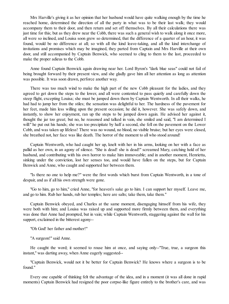Mrs Harville's giving it as her opinion that her husband would have quite walking enough by the time he reached home, determined the direction of all the party in what was to be their last walk; they would accompany them to their door, and then return and set off themselves. By all their calculations there was just time for this; but as they drew near the Cobb, there was such a general wish to walk along it once more, all were so inclined, and Louisa soon grew so determined, that the difference of a quarter of an hour, it was found, would be no difference at all; so with all the kind leave-taking, and all the kind interchange of invitations and promises which may be imagined, they parted from Captain and Mrs Harville at their own door, and still accompanied by Captain Benwick, who seemed to cling to them to the last, proceeded to make the proper adieus to the Cobb.

Anne found Captain Benwick again drawing near her. Lord Byron's "dark blue seas" could not fail of being brought forward by their present view, and she gladly gave him all her attention as long as attention was possible. It was soon drawn, perforce another way.

There was too much wind to make the high part of the new Cobb pleasant for the ladies, and they agreed to get down the steps to the lower, and all were contented to pass quietly and carefully down the steep flight, excepting Louisa; she must be jumped down them by Captain Wentworth. In all their walks, he had had to jump her from the stiles; the sensation was delightful to her. The hardness of the pavement for her feet, made him less willing upon the present occasion; he did it, however. She was safely down, and instantly, to show her enjoyment, ran up the steps to be jumped down again. He advised her against it, thought the jar too great; but no, he reasoned and talked in vain, she smiled and said, "I am determined I will:" he put out his hands; she was too precipitate by half a second, she fell on the pavement on the Lower Cobb, and was taken up lifeless! There was no wound, no blood, no visible bruise; but her eyes were closed, she breathed not, her face was like death. The horror of the moment to all who stood around!

Captain Wentworth, who had caught her up, knelt with her in his arms, looking on her with a face as pallid as her own, in an agony of silence. "She is dead! she is dead!" screamed Mary, catching hold of her husband, and contributing with his own horror to make him immoveable; and in another moment, Henrietta, sinking under the conviction, lost her senses too, and would have fallen on the steps, but for Captain Benwick and Anne, who caught and supported her between them.

"Is there no one to help me?" were the first words which burst from Captain Wentworth, in a tone of despair, and as if all his own strength were gone.

"Go to him, go to him," cried Anne, "for heaven's sake go to him. I can support her myself. Leave me, and go to him. Rub her hands, rub her temples; here are salts; take them, take them."

Captain Benwick obeyed, and Charles at the same moment, disengaging himself from his wife, they were both with him; and Louisa was raised up and supported more firmly between them, and everything was done that Anne had prompted, but in vain; while Captain Wentworth, staggering against the wall for his support, exclaimed in the bitterest agony--

"Oh God! her father and mother!"

"A surgeon!" said Anne.

He caught the word; it seemed to rouse him at once, and saying only--"True, true, a surgeon this instant," was darting away, when Anne eagerly suggested--

"Captain Benwick, would not it be better for Captain Benwick? He knows where a surgeon is to be found."

Every one capable of thinking felt the advantage of the idea, and in a moment (it was all done in rapid moments) Captain Benwick had resigned the poor corpse-like figure entirely to the brother's care, and was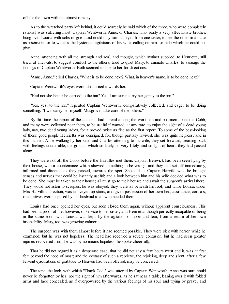off for the town with the utmost rapidity.

As to the wretched party left behind, it could scarcely be said which of the three, who were completely rational, was suffering most: Captain Wentworth, Anne, or Charles, who, really a very affectionate brother, hung over Louisa with sobs of grief, and could only turn his eyes from one sister, to see the other in a state as insensible, or to witness the hysterical agitations of his wife, calling on him for help which he could not give.

Anne, attending with all the strength and zeal, and thought, which instinct supplied, to Henrietta, still tried, at intervals, to suggest comfort to the others, tried to quiet Mary, to animate Charles, to assuage the feelings of Captain Wentworth. Both seemed to look to her for directions.

"Anne, Anne," cried Charles, "What is to be done next? What, in heaven's name, is to be done next?"

Captain Wentworth's eyes were also turned towards her.

"Had not she better be carried to the inn? Yes, I am sure: carry her gently to the inn."

"Yes, yes, to the inn," repeated Captain Wentworth, comparatively collected, and eager to be doing something. "I will carry her myself. Musgrove, take care of the others."

By this time the report of the accident had spread among the workmen and boatmen about the Cobb, and many were collected near them, to be useful if wanted, at any rate, to enjoy the sight of a dead young lady, nay, two dead young ladies, for it proved twice as fine as the first report. To some of the best-looking of these good people Henrietta was consigned, for, though partially revived, she was quite helpless; and in this manner, Anne walking by her side, and Charles attending to his wife, they set forward, treading back with feelings unutterable, the ground, which so lately, so very lately, and so light of heart, they had passed along.

They were not off the Cobb, before the Harvilles met them. Captain Benwick had been seen flying by their house, with a countenance which showed something to be wrong; and they had set off immediately, informed and directed as they passed, towards the spot. Shocked as Captain Harville was, he brought senses and nerves that could be instantly useful; and a look between him and his wife decided what was to be done. She must be taken to their house; all must go to their house; and await the surgeon's arrival there. They would not listen to scruples: he was obeyed; they were all beneath his roof; and while Louisa, under Mrs Harville's direction, was conveyed up stairs, and given possession of her own bed, assistance, cordials, restoratives were supplied by her husband to all who needed them.

Louisa had once opened her eyes, but soon closed them again, without apparent consciousness. This had been a proof of life, however, of service to her sister; and Henrietta, though perfectly incapable of being in the same room with Louisa, was kept, by the agitation of hope and fear, from a return of her own insensibility. Mary, too, was growing calmer.

The surgeon was with them almost before it had seemed possible. They were sick with horror, while he examined; but he was not hopeless. The head had received a severe contusion, but he had seen greater injuries recovered from: he was by no means hopeless; he spoke cheerfully.

That he did not regard it as a desperate case, that he did not say a few hours must end it, was at first felt, beyond the hope of most; and the ecstasy of such a reprieve, the rejoicing, deep and silent, after a few fervent ejaculations of gratitude to Heaven had been offered, may be conceived.

The tone, the look, with which "Thank God!" was uttered by Captain Wentworth, Anne was sure could never be forgotten by her; nor the sight of him afterwards, as he sat near a table, leaning over it with folded arms and face concealed, as if overpowered by the various feelings of his soul, and trying by prayer and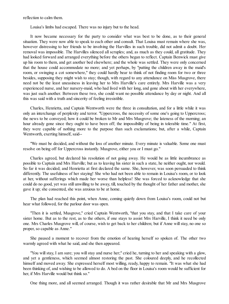reflection to calm them.

Louisa's limbs had escaped. There was no injury but to the head.

It now became necessary for the party to consider what was best to be done, as to their general situation. They were now able to speak to each other and consult. That Louisa must remain where she was, however distressing to her friends to be involving the Harvilles in such trouble, did not admit a doubt. Her removal was impossible. The Harvilles silenced all scruples; and, as much as they could, all gratitude. They had looked forward and arranged everything before the others began to reflect. Captain Benwick must give up his room to them, and get another bed elsewhere; and the whole was settled. They were only concerned that the house could accommodate no more; and yet perhaps, by "putting the children away in the maid's room, or swinging a cot somewhere," they could hardly bear to think of not finding room for two or three besides, supposing they might wish to stay; though, with regard to any attendance on Miss Musgrove, there need not be the least uneasiness in leaving her to Mrs Harville's care entirely. Mrs Harville was a very experienced nurse, and her nursery-maid, who had lived with her long, and gone about with her everywhere, was just such another. Between these two, she could want no possible attendance by day or night. And all this was said with a truth and sincerity of feeling irresistible.

Charles, Henrietta, and Captain Wentworth were the three in consultation, and for a little while it was only an interchange of perplexity and terror. "Uppercross, the necessity of some one's going to Uppercross; the news to be conveyed; how it could be broken to Mr and Mrs Musgrove; the lateness of the morning; an hour already gone since they ought to have been off; the impossibility of being in tolerable time." At first, they were capable of nothing more to the purpose than such exclamations; but, after a while, Captain Wentworth, exerting himself, said--

"We must be decided, and without the loss of another minute. Every minute is valuable. Some one must resolve on being off for Uppercross instantly. Musgrove, either you or I must go."

Charles agreed, but declared his resolution of not going away. He would be as little incumbrance as possible to Captain and Mrs Harville; but as to leaving his sister in such a state, he neither ought, nor would. So far it was decided; and Henrietta at first declared the same. She, however, was soon persuaded to think differently. The usefulness of her staying! She who had not been able to remain in Louisa's room, or to look at her, without sufferings which made her worse than helpless! She was forced to acknowledge that she could do no good, yet was still unwilling to be away, till, touched by the thought of her father and mother, she gave it up; she consented, she was anxious to be at home.

The plan had reached this point, when Anne, coming quietly down from Louisa's room, could not but hear what followed, for the parlour door was open.

"Then it is settled, Musgrove," cried Captain Wentworth, "that you stay, and that I take care of your sister home. But as to the rest, as to the others, if one stays to assist Mrs Harville, I think it need be only one. Mrs Charles Musgrove will, of course, wish to get back to her children; but if Anne will stay, no one so proper, so capable as Anne."

She paused a moment to recover from the emotion of hearing herself so spoken of. The other two warmly agreed with what he said, and she then appeared.

"You will stay, I am sure; you will stay and nurse her;" cried he, turning to her and speaking with a glow, and yet a gentleness, which seemed almost restoring the past. She coloured deeply, and he recollected himself and moved away. She expressed herself most willing, ready, happy to remain. "It was what she had been thinking of, and wishing to be allowed to do. A bed on the floor in Louisa's room would be sufficient for her, if Mrs Harville would but think so."

One thing more, and all seemed arranged. Though it was rather desirable that Mr and Mrs Musgrove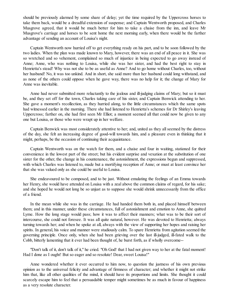should be previously alarmed by some share of delay; yet the time required by the Uppercross horses to take them back, would be a dreadful extension of suspense; and Captain Wentworth proposed, and Charles Musgrove agreed, that it would be much better for him to take a chaise from the inn, and leave Mr Musgrove's carriage and horses to be sent home the next morning early, when there would be the farther advantage of sending an account of Louisa's night.

Captain Wentworth now hurried off to get everything ready on his part, and to be soon followed by the two ladies. When the plan was made known to Mary, however, there was an end of all peace in it. She was so wretched and so vehement, complained so much of injustice in being expected to go away instead of Anne; Anne, who was nothing to Louisa, while she was her sister, and had the best right to stay in Henrietta's stead! Why was not she to be as useful as Anne? And to go home without Charles, too, without her husband! No, it was too unkind. And in short, she said more than her husband could long withstand, and as none of the others could oppose when he gave way, there was no help for it; the change of Mary for Anne was inevitable.

Anne had never submitted more reluctantly to the jealous and ill-judging claims of Mary; but so it must be, and they set off for the town, Charles taking care of his sister, and Captain Benwick attending to her. She gave a moment's recollection, as they hurried along, to the little circumstances which the same spots had witnessed earlier in the morning. There she had listened to Henrietta's schemes for Dr Shirley's leaving Uppercross; farther on, she had first seen Mr Elliot; a moment seemed all that could now be given to any one but Louisa, or those who were wrapt up in her welfare.

Captain Benwick was most considerately attentive to her; and, united as they all seemed by the distress of the day, she felt an increasing degree of good-will towards him, and a pleasure even in thinking that it might, perhaps, be the occasion of continuing their acquaintance.

Captain Wentworth was on the watch for them, and a chaise and four in waiting, stationed for their convenience in the lowest part of the street; but his evident surprise and vexation at the substitution of one sister for the other, the change in his countenance, the astonishment, the expressions begun and suppressed, with which Charles was listened to, made but a mortifying reception of Anne; or must at least convince her that she was valued only as she could be useful to Louisa.

She endeavoured to be composed, and to be just. Without emulating the feelings of an Emma towards her Henry, she would have attended on Louisa with a zeal above the common claims of regard, for his sake; and she hoped he would not long be so unjust as to suppose she would shrink unnecessarily from the office of a friend.

In the mean while she was in the carriage. He had handed them both in, and placed himself between them; and in this manner, under these circumstances, full of astonishment and emotion to Anne, she quitted Lyme. How the long stage would pass; how it was to affect their manners; what was to be their sort of intercourse, she could not foresee. It was all quite natural, however. He was devoted to Henrietta; always turning towards her; and when he spoke at all, always with the view of supporting her hopes and raising her spirits. In general, his voice and manner were studiously calm. To spare Henrietta from agitation seemed the governing principle. Once only, when she had been grieving over the last ill-judged, ill-fated walk to the Cobb, bitterly lamenting that it ever had been thought of, he burst forth, as if wholly overcome--

"Don't talk of it, don't talk of it," he cried. "Oh God! that I had not given way to her at the fatal moment! Had I done as I ought! But so eager and so resolute! Dear, sweet Louisa!"

Anne wondered whether it ever occurred to him now, to question the justness of his own previous opinion as to the universal felicity and advantage of firmness of character; and whether it might not strike him that, like all other qualities of the mind, it should have its proportions and limits. She thought it could scarcely escape him to feel that a persuadable temper might sometimes be as much in favour of happiness as a very resolute character.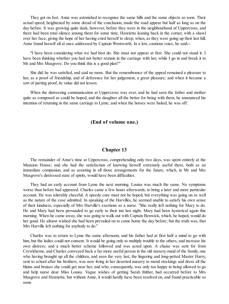They got on fast. Anne was astonished to recognise the same hills and the same objects so soon. Their actual speed, heightened by some dread of the conclusion, made the road appear but half as long as on the day before. It was growing quite dusk, however, before they were in the neighbourhood of Uppercross, and there had been total silence among them for some time, Henrietta leaning back in the corner, with a shawl over her face, giving the hope of her having cried herself to sleep; when, as they were going up their last hill, Anne found herself all at once addressed by Captain Wentworth. In a low, cautious voice, he said:--

"I have been considering what we had best do. She must not appear at first. She could not stand it. I have been thinking whether you had not better remain in the carriage with her, while I go in and break it to Mr and Mrs Musgrove. Do you think this is a good plan?"

She did: he was satisfied, and said no more. But the remembrance of the appeal remained a pleasure to her, as a proof of friendship, and of deference for her judgement, a great pleasure; and when it became a sort of parting proof, its value did not lessen.

When the distressing communication at Uppercross was over, and he had seen the father and mother quite as composed as could be hoped, and the daughter all the better for being with them, he announced his intention of returning in the same carriage to Lyme; and when the horses were baited, he was off.

### **(End of volume one.)**

#### **Chapter 13**

The remainder of Anne's time at Uppercross, comprehending only two days, was spent entirely at the Mansion House; and she had the satisfaction of knowing herself extremely useful there, both as an immediate companion, and as assisting in all those arrangements for the future, which, in Mr and Mrs Musgrove's distressed state of spirits, would have been difficulties.

They had an early account from Lyme the next morning. Louisa was much the same. No symptoms worse than before had appeared. Charles came a few hours afterwards, to bring a later and more particular account. He was tolerably cheerful. A speedy cure must not be hoped, but everything was going on as well as the nature of the case admitted. In speaking of the Harvilles, he seemed unable to satisfy his own sense of their kindness, especially of Mrs Harville's exertions as a nurse. "She really left nothing for Mary to do. He and Mary had been persuaded to go early to their inn last night. Mary had been hysterical again this morning. When he came away, she was going to walk out with Captain Benwick, which, he hoped, would do her good. He almost wished she had been prevailed on to come home the day before; but the truth was, that Mrs Harville left nothing for anybody to do."

Charles was to return to Lyme the same afternoon, and his father had at first half a mind to go with him, but the ladies could not consent. It would be going only to multiply trouble to the others, and increase his own distress; and a much better scheme followed and was acted upon. A chaise was sent for from Crewkherne, and Charles conveyed back a far more useful person in the old nursery-maid of the family, one who having brought up all the children, and seen the very last, the lingering and long-petted Master Harry, sent to school after his brothers, was now living in her deserted nursery to mend stockings and dress all the blains and bruises she could get near her, and who, consequently, was only too happy in being allowed to go and help nurse dear Miss Louisa. Vague wishes of getting Sarah thither, had occurred before to Mrs Musgrove and Henrietta; but without Anne, it would hardly have been resolved on, and found practicable so soon.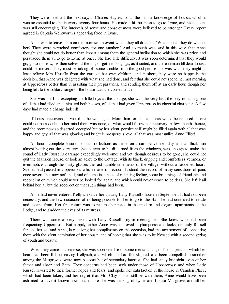They were indebted, the next day, to Charles Hayter, for all the minute knowledge of Louisa, which it was so essential to obtain every twenty-four hours. He made it his business to go to Lyme, and his account was still encouraging. The intervals of sense and consciousness were believed to be stronger. Every report agreed in Captain Wentworth's appearing fixed in Lyme.

Anne was to leave them on the morrow, an event which they all dreaded. "What should they do without her? They were wretched comforters for one another." And so much was said in this way, that Anne thought she could not do better than impart among them the general inclination to which she was privy, and persuaded them all to go to Lyme at once. She had little difficulty; it was soon determined that they would go; go to-morrow, fix themselves at the inn, or get into lodgings, as it suited, and there remain till dear Louisa could be moved. They must be taking off some trouble from the good people she was with; they might at least relieve Mrs Harville from the care of her own children; and in short, they were so happy in the decision, that Anne was delighted with what she had done, and felt that she could not spend her last morning at Uppercross better than in assisting their preparations, and sending them off at an early hour, though her being left to the solitary range of the house was the consequence.

She was the last, excepting the little boys at the cottage, she was the very last, the only remaining one of all that had filled and animated both houses, of all that had given Uppercross its cheerful character. A few days had made a change indeed!

If Louisa recovered, it would all be well again. More than former happiness would be restored. There could not be a doubt, to her mind there was none, of what would follow her recovery. A few months hence, and the room now so deserted, occupied but by her silent, pensive self, might be filled again with all that was happy and gay, all that was glowing and bright in prosperous love, all that was most unlike Anne Elliot!

An hour's complete leisure for such reflections as these, on a dark November day, a small thick rain almost blotting out the very few objects ever to be discerned from the windows, was enough to make the sound of Lady Russell's carriage exceedingly welcome; and yet, though desirous to be gone, she could not quit the Mansion House, or look an adieu to the Cottage, with its black, dripping and comfortless veranda, or even notice through the misty glasses the last humble tenements of the village, without a saddened heart. Scenes had passed in Uppercross which made it precious. It stood the record of many sensations of pain, once severe, but now softened; and of some instances of relenting feeling, some breathings of friendship and reconciliation, which could never be looked for again, and which could never cease to be dear. She left it all behind her, all but the recollection that such things had been.

Anne had never entered Kellynch since her quitting Lady Russell's house in September. It had not been necessary, and the few occasions of its being possible for her to go to the Hall she had contrived to evade and escape from. Her first return was to resume her place in the modern and elegant apartments of the Lodge, and to gladden the eyes of its mistress.

There was some anxiety mixed with Lady Russell's joy in meeting her. She knew who had been frequenting Uppercross. But happily, either Anne was improved in plumpness and looks, or Lady Russell fancied her so; and Anne, in receiving her compliments on the occasion, had the amusement of connecting them with the silent admiration of her cousin, and of hoping that she was to be blessed with a second spring of youth and beauty.

When they came to converse, she was soon sensible of some mental change. The subjects of which her heart had been full on leaving Kellynch, and which she had felt slighted, and been compelled to smother among the Musgroves, were now become but of secondary interest. She had lately lost sight even of her father and sister and Bath. Their concerns had been sunk under those of Uppercross; and when Lady Russell reverted to their former hopes and fears, and spoke her satisfaction in the house in Camden Place, which had been taken, and her regret that Mrs Clay should still be with them, Anne would have been ashamed to have it known how much more she was thinking of Lyme and Louisa Musgrove, and all her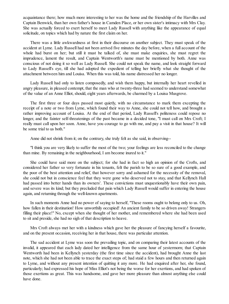acquaintance there; how much more interesting to her was the home and the friendship of the Harvilles and Captain Benwick, than her own father's house in Camden Place, or her own sister's intimacy with Mrs Clay. She was actually forced to exert herself to meet Lady Russell with anything like the appearance of equal solicitude, on topics which had by nature the first claim on her.

There was a little awkwardness at first in their discourse on another subject. They must speak of the accident at Lyme. Lady Russell had not been arrived five minutes the day before, when a full account of the whole had burst on her; but still it must be talked of, she must make enquiries, she must regret the imprudence, lament the result, and Captain Wentworth's name must be mentioned by both. Anne was conscious of not doing it so well as Lady Russell. She could not speak the name, and look straight forward to Lady Russell's eye, till she had adopted the expedient of telling her briefly what she thought of the attachment between him and Louisa. When this was told, his name distressed her no longer.

Lady Russell had only to listen composedly, and wish them happy, but internally her heart revelled in angry pleasure, in pleased contempt, that the man who at twenty-three had seemed to understand somewhat of the value of an Anne Elliot, should, eight years afterwards, be charmed by a Louisa Musgrove.

The first three or four days passed most quietly, with no circumstance to mark them excepting the receipt of a note or two from Lyme, which found their way to Anne, she could not tell how, and brought a rather improving account of Louisa. At the end of that period, Lady Russell's politeness could repose no longer, and the fainter self-threatenings of the past became in a decided tone, "I must call on Mrs Croft; I really must call upon her soon. Anne, have you courage to go with me, and pay a visit in that house? It will be some trial to us both."

Anne did not shrink from it; on the contrary, she truly felt as she said, in observing--

"I think you are very likely to suffer the most of the two; your feelings are less reconciled to the change than mine. By remaining in the neighbourhood, I am become inured to it."

She could have said more on the subject; for she had in fact so high an opinion of the Crofts, and considered her father so very fortunate in his tenants, felt the parish to be so sure of a good example, and the poor of the best attention and relief, that however sorry and ashamed for the necessity of the removal, she could not but in conscience feel that they were gone who deserved not to stay, and that Kellynch Hall had passed into better hands than its owners'. These convictions must unquestionably have their own pain, and severe was its kind; but they precluded that pain which Lady Russell would suffer in entering the house again, and returning through the well-known apartments.

In such moments Anne had no power of saying to herself, "These rooms ought to belong only to us. Oh, how fallen in their destination! How unworthily occupied! An ancient family to be so driven away! Strangers filling their place!" No, except when she thought of her mother, and remembered where she had been used to sit and preside, she had no sigh of that description to heave.

Mrs Croft always met her with a kindness which gave her the pleasure of fancying herself a favourite, and on the present occasion, receiving her in that house, there was particular attention.

The sad accident at Lyme was soon the prevailing topic, and on comparing their latest accounts of the invalid, it appeared that each lady dated her intelligence from the same hour of yestermorn; that Captain Wentworth had been in Kellynch yesterday (the first time since the accident), had brought Anne the last note, which she had not been able to trace the exact steps of; had staid a few hours and then returned again to Lyme, and without any present intention of quitting it any more. He had enquired after her, she found, particularly; had expressed his hope of Miss Elliot's not being the worse for her exertions, and had spoken of those exertions as great. This was handsome, and gave her more pleasure than almost anything else could have done.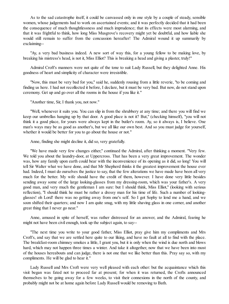As to the sad catastrophe itself, it could be canvassed only in one style by a couple of steady, sensible women, whose judgements had to work on ascertained events; and it was perfectly decided that it had been the consequence of much thoughtlessness and much imprudence; that its effects were most alarming, and that it was frightful to think, how long Miss Musgrove's recovery might yet be doubtful, and how liable she would still remain to suffer from the concussion hereafter! The Admiral wound it up summarily by exclaiming--

"Ay, a very bad business indeed. A new sort of way this, for a young fellow to be making love, by breaking his mistress's head, is not it, Miss Elliot? This is breaking a head and giving a plaster, truly!"

Admiral Croft's manners were not quite of the tone to suit Lady Russell, but they delighted Anne. His goodness of heart and simplicity of character were irresistible.

"Now, this must be very bad for you," said he, suddenly rousing from a little reverie, "to be coming and finding us here. I had not recollected it before, I declare, but it must be very bad. But now, do not stand upon ceremony. Get up and go over all the rooms in the house if you like it."

"Another time, Sir, I thank you, not now."

"Well, whenever it suits you. You can slip in from the shrubbery at any time; and there you will find we keep our umbrellas hanging up by that door. A good place is not it? But," (checking himself), "you will not think it a good place, for yours were always kept in the butler's room. Ay, so it always is, I believe. One man's ways may be as good as another's, but we all like our own best. And so you must judge for yourself, whether it would be better for you to go about the house or not."

Anne, finding she might decline it, did so, very gratefully.

"We have made very few changes either," continued the Admiral, after thinking a moment. "Very few. We told you about the laundry-door, at Uppercross. That has been a very great improvement. The wonder was, how any family upon earth could bear with the inconvenience of its opening as it did, so long! You will tell Sir Walter what we have done, and that Mr Shepherd thinks it the greatest improvement the house ever had. Indeed, I must do ourselves the justice to say, that the few alterations we have made have been all very much for the better. My wife should have the credit of them, however. I have done very little besides sending away some of the large looking-glasses from my dressing-room, which was your father's. A very good man, and very much the gentleman I am sure: but I should think, Miss Elliot," (looking with serious reflection), "I should think he must be rather a dressy man for his time of life. Such a number of lookingglasses! oh Lord! there was no getting away from one's self. So I got Sophy to lend me a hand, and we soon shifted their quarters; and now I am quite snug, with my little shaving glass in one corner, and another great thing that I never go near."

Anne, amused in spite of herself, was rather distressed for an answer, and the Admiral, fearing he might not have been civil enough, took up the subject again, to say--

"The next time you write to your good father, Miss Elliot, pray give him my compliments and Mrs Croft's, and say that we are settled here quite to our liking, and have no fault at all to find with the place. The breakfast-room chimney smokes a little, I grant you, but it is only when the wind is due north and blows hard, which may not happen three times a winter. And take it altogether, now that we have been into most of the houses hereabouts and can judge, there is not one that we like better than this. Pray say so, with my compliments. He will be glad to hear it."

Lady Russell and Mrs Croft were very well pleased with each other: but the acquaintance which this visit began was fated not to proceed far at present; for when it was returned, the Crofts announced themselves to be going away for a few weeks, to visit their connexions in the north of the county, and probably might not be at home again before Lady Russell would be removing to Bath.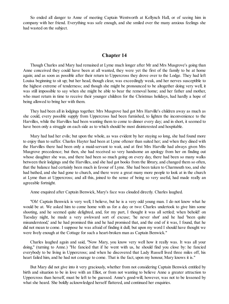So ended all danger to Anne of meeting Captain Wentworth at Kellynch Hall, or of seeing him in company with her friend. Everything was safe enough, and she smiled over the many anxious feelings she had wasted on the subject.

## **Chapter 14**

Though Charles and Mary had remained at Lyme much longer after Mr and Mrs Musgrove's going than Anne conceived they could have been at all wanted, they were yet the first of the family to be at home again; and as soon as possible after their return to Uppercross they drove over to the Lodge. They had left Louisa beginning to sit up; but her head, though clear, was exceedingly weak, and her nerves susceptible to the highest extreme of tenderness; and though she might be pronounced to be altogether doing very well, it was still impossible to say when she might be able to bear the removal home; and her father and mother, who must return in time to receive their younger children for the Christmas holidays, had hardly a hope of being allowed to bring her with them.

They had been all in lodgings together. Mrs Musgrove had got Mrs Harville's children away as much as she could, every possible supply from Uppercross had been furnished, to lighten the inconvenience to the Harvilles, while the Harvilles had been wanting them to come to dinner every day; and in short, it seemed to have been only a struggle on each side as to which should be most disinterested and hospitable.

Mary had had her evils; but upon the whole, as was evident by her staying so long, she had found more to enjoy than to suffer. Charles Hayter had been at Lyme oftener than suited her; and when they dined with the Harvilles there had been only a maid-servant to wait, and at first Mrs Harville had always given Mrs Musgrove precedence; but then, she had received so very handsome an apology from her on finding out whose daughter she was, and there had been so much going on every day, there had been so many walks between their lodgings and the Harvilles, and she had got books from the library, and changed them so often, that the balance had certainly been much in favour of Lyme. She had been taken to Charmouth too, and she had bathed, and she had gone to church, and there were a great many more people to look at in the church at Lyme than at Uppercross; and all this, joined to the sense of being so very useful, had made really an agreeable fortnight.

Anne enquired after Captain Benwick, Mary's face was clouded directly. Charles laughed.

"Oh! Captain Benwick is very well, I believe, but he is a very odd young man. I do not know what he would be at. We asked him to come home with us for a day or two: Charles undertook to give him some shooting, and he seemed quite delighted, and, for my part, I thought it was all settled; when behold! on Tuesday night, he made a very awkward sort of excuse; 'he never shot' and he had 'been quite misunderstood,' and he had promised this and he had promised that, and the end of it was, I found, that he did not mean to come. I suppose he was afraid of finding it dull; but upon my word I should have thought we were lively enough at the Cottage for such a heart-broken man as Captain Benwick."

Charles laughed again and said, "Now Mary, you know very well how it really was. It was all your doing," (turning to Anne.) "He fancied that if he went with us, he should find you close by: he fancied everybody to be living in Uppercross; and when he discovered that Lady Russell lived three miles off, his heart failed him, and he had not courage to come. That is the fact, upon my honour, Mary knows it is."

But Mary did not give into it very graciously, whether from not considering Captain Benwick entitled by birth and situation to be in love with an Elliot, or from not wanting to believe Anne a greater attraction to Uppercross than herself, must be left to be guessed. Anne's good-will, however, was not to be lessened by what she heard. She boldly acknowledged herself flattered, and continued her enquiries.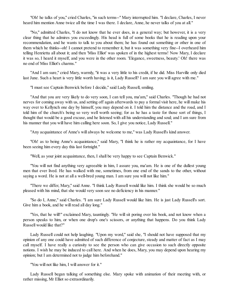"Oh! he talks of you," cried Charles, "in such terms--" Mary interrupted him. "I declare, Charles, I never heard him mention Anne twice all the time I was there. I declare, Anne, he never talks of you at all."

"No," admitted Charles, "I do not know that he ever does, in a general way; but however, it is a very clear thing that he admires you exceedingly. His head is full of some books that he is reading upon your recommendation, and he wants to talk to you about them; he has found out something or other in one of them which he thinks--oh! I cannot pretend to remember it, but it was something very fine--I overheard him telling Henrietta all about it; and then 'Miss Elliot' was spoken of in the highest terms! Now Mary, I declare it was so, I heard it myself, and you were in the other room. 'Elegance, sweetness, beauty.' Oh! there was no end of Miss Elliot's charms."

"And I am sure," cried Mary, warmly, "it was a very little to his credit, if he did. Miss Harville only died last June. Such a heart is very little worth having; is it, Lady Russell? I am sure you will agree with me."

"I must see Captain Benwick before I decide," said Lady Russell, smiling.

"And that you are very likely to do very soon, I can tell you, ma'am," said Charles. "Though he had not nerves for coming away with us, and setting off again afterwards to pay a formal visit here, he will make his way over to Kellynch one day by himself, you may depend on it. I told him the distance and the road, and I told him of the church's being so very well worth seeing; for as he has a taste for those sort of things, I thought that would be a good excuse, and he listened with all his understanding and soul; and I am sure from his manner that you will have him calling here soon. So, I give you notice, Lady Russell."

"Any acquaintance of Anne's will always be welcome to me," was Lady Russell's kind answer.

"Oh! as to being Anne's acquaintance," said Mary, "I think he is rather my acquaintance, for I have been seeing him every day this last fortnight."

"Well, as your joint acquaintance, then, I shall be very happy to see Captain Benwick."

"You will not find anything very agreeable in him, I assure you, ma'am. He is one of the dullest young men that ever lived. He has walked with me, sometimes, from one end of the sands to the other, without saying a word. He is not at all a well-bred young man. I am sure you will not like him."

"There we differ, Mary," said Anne. "I think Lady Russell would like him. I think she would be so much pleased with his mind, that she would very soon see no deficiency in his manner."

"So do I, Anne," said Charles. "I am sure Lady Russell would like him. He is just Lady Russell's sort. Give him a book, and he will read all day long."

"Yes, that he will!" exclaimed Mary, tauntingly. "He will sit poring over his book, and not know when a person speaks to him, or when one drop's one's scissors, or anything that happens. Do you think Lady Russell would like that?"

Lady Russell could not help laughing. "Upon my word," said she, "I should not have supposed that my opinion of any one could have admitted of such difference of conjecture, steady and matter of fact as I may call myself. I have really a curiosity to see the person who can give occasion to such directly opposite notions. I wish he may be induced to call here. And when he does, Mary, you may depend upon hearing my opinion; but I am determined not to judge him beforehand."

"You will not like him, I will answer for it."

Lady Russell began talking of something else. Mary spoke with animation of their meeting with, or rather missing, Mr Elliot so extraordinarily.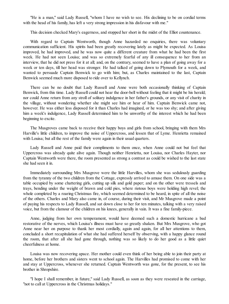"He is a man," said Lady Russell, "whom I have no wish to see. His declining to be on cordial terms with the head of his family, has left a very strong impression in his disfavour with me."

This decision checked Mary's eagerness, and stopped her short in the midst of the Elliot countenance.

With regard to Captain Wentworth, though Anne hazarded no enquiries, there was voluntary communication sufficient. His spirits had been greatly recovering lately as might be expected. As Louisa improved, he had improved, and he was now quite a different creature from what he had been the first week. He had not seen Louisa; and was so extremely fearful of any ill consequence to her from an interview, that he did not press for it at all; and, on the contrary, seemed to have a plan of going away for a week or ten days, till her head was stronger. He had talked of going down to Plymouth for a week, and wanted to persuade Captain Benwick to go with him; but, as Charles maintained to the last, Captain Benwick seemed much more disposed to ride over to Kellynch.

There can be no doubt that Lady Russell and Anne were both occasionally thinking of Captain Benwick, from this time. Lady Russell could not hear the door-bell without feeling that it might be his herald; nor could Anne return from any stroll of solitary indulgence in her father's grounds, or any visit of charity in the village, without wondering whether she might see him or hear of him. Captain Benwick came not, however. He was either less disposed for it than Charles had imagined, or he was too shy; and after giving him a week's indulgence, Lady Russell determined him to be unworthy of the interest which he had been beginning to excite.

The Musgroves came back to receive their happy boys and girls from school, bringing with them Mrs Harville's little children, to improve the noise of Uppercross, and lessen that of Lyme. Henrietta remained with Louisa; but all the rest of the family were again in their usual quarters.

Lady Russell and Anne paid their compliments to them once, when Anne could not but feel that Uppercross was already quite alive again. Though neither Henrietta, nor Louisa, nor Charles Hayter, nor Captain Wentworth were there, the room presented as strong a contrast as could be wished to the last state she had seen it in.

Immediately surrounding Mrs Musgrove were the little Harvilles, whom she was sedulously guarding from the tyranny of the two children from the Cottage, expressly arrived to amuse them. On one side was a table occupied by some chattering girls, cutting up silk and gold paper; and on the other were tressels and trays, bending under the weight of brawn and cold pies, where riotous boys were holding high revel; the whole completed by a roaring Christmas fire, which seemed determined to be heard, in spite of all the noise of the others. Charles and Mary also came in, of course, during their visit, and Mr Musgrove made a point of paying his respects to Lady Russell, and sat down close to her for ten minutes, talking with a very raised voice, but from the clamour of the children on his knees, generally in vain. It was a fine family-piece.

Anne, judging from her own temperament, would have deemed such a domestic hurricane a bad restorative of the nerves, which Louisa's illness must have so greatly shaken. But Mrs Musgrove, who got Anne near her on purpose to thank her most cordially, again and again, for all her attentions to them, concluded a short recapitulation of what she had suffered herself by observing, with a happy glance round the room, that after all she had gone through, nothing was so likely to do her good as a little quiet cheerfulness at home.

Louisa was now recovering apace. Her mother could even think of her being able to join their party at home, before her brothers and sisters went to school again. The Harvilles had promised to come with her and stay at Uppercross, whenever she returned. Captain Wentworth was gone, for the present, to see his brother in Shropshire.

"I hope I shall remember, in future," said Lady Russell, as soon as they were reseated in the carriage, "not to call at Uppercross in the Christmas holidays."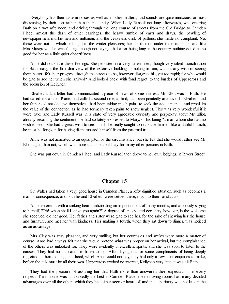Everybody has their taste in noises as well as in other matters; and sounds are quite innoxious, or most distressing, by their sort rather than their quantity. When Lady Russell not long afterwards, was entering Bath on a wet afternoon, and driving through the long course of streets from the Old Bridge to Camden Place, amidst the dash of other carriages, the heavy rumble of carts and drays, the bawling of newspapermen, muffin-men and milkmen, and the ceaseless clink of pattens, she made no complaint. No, these were noises which belonged to the winter pleasures; her spirits rose under their influence; and like Mrs Musgrove, she was feeling, though not saying, that after being long in the country, nothing could be so good for her as a little quiet cheerfulness.

Anne did not share these feelings. She persisted in a very determined, though very silent disinclination for Bath; caught the first dim view of the extensive buildings, smoking in rain, without any wish of seeing them better; felt their progress through the streets to be, however disagreeable, yet too rapid; for who would be glad to see her when she arrived? And looked back, with fond regret, to the bustles of Uppercross and the seclusion of Kellynch.

Elizabeth's last letter had communicated a piece of news of some interest. Mr Elliot was in Bath. He had called in Camden Place; had called a second time, a third; had been pointedly attentive. If Elizabeth and her father did not deceive themselves, had been taking much pains to seek the acquaintance, and proclaim the value of the connection, as he had formerly taken pains to shew neglect. This was very wonderful if it were true; and Lady Russell was in a state of very agreeable curiosity and perplexity about Mr Elliot, already recanting the sentiment she had so lately expressed to Mary, of his being "a man whom she had no wish to see." She had a great wish to see him. If he really sought to reconcile himself like a dutiful branch, he must be forgiven for having dismembered himself from the paternal tree.

Anne was not animated to an equal pitch by the circumstance, but she felt that she would rather see Mr Elliot again than not, which was more than she could say for many other persons in Bath.

She was put down in Camden Place; and Lady Russell then drove to her own lodgings, in Rivers Street.

### **Chapter 15**

Sir Walter had taken a very good house in Camden Place, a lofty dignified situation, such as becomes a man of consequence; and both he and Elizabeth were settled there, much to their satisfaction.

Anne entered it with a sinking heart, anticipating an imprisonment of many months, and anxiously saying to herself, "Oh! when shall I leave you again?" A degree of unexpected cordiality, however, in the welcome she received, did her good. Her father and sister were glad to see her, for the sake of shewing her the house and furniture, and met her with kindness. Her making a fourth, when they sat down to dinner, was noticed as an advantage.

Mrs Clay was very pleasant, and very smiling, but her courtesies and smiles were more a matter of course. Anne had always felt that she would pretend what was proper on her arrival, but the complaisance of the others was unlooked for. They were evidently in excellent spirits, and she was soon to listen to the causes. They had no inclination to listen to her. After laying out for some compliments of being deeply regretted in their old neighbourhood, which Anne could not pay, they had only a few faint enquiries to make, before the talk must be all their own. Uppercross excited no interest, Kellynch very little: it was all Bath.

They had the pleasure of assuring her that Bath more than answered their expectations in every respect. Their house was undoubtedly the best in Camden Place; their drawing-rooms had many decided advantages over all the others which they had either seen or heard of, and the superiority was not less in the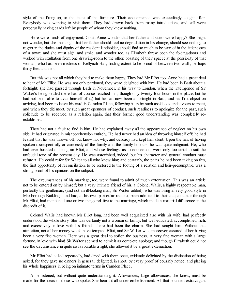style of the fitting-up, or the taste of the furniture. Their acquaintance was exceedingly sought after. Everybody was wanting to visit them. They had drawn back from many introductions, and still were perpetually having cards left by people of whom they knew nothing.

Here were funds of enjoyment. Could Anne wonder that her father and sister were happy? She might not wonder, but she must sigh that her father should feel no degradation in his change, should see nothing to regret in the duties and dignity of the resident landholder, should find so much to be vain of in the littlenesses of a town; and she must sigh, and smile, and wonder too, as Elizabeth threw open the folding-doors and walked with exultation from one drawing-room to the other, boasting of their space; at the possibility of that woman, who had been mistress of Kellynch Hall, finding extent to be proud of between two walls, perhaps thirty feet asunder.

But this was not all which they had to make them happy. They had Mr Elliot too. Anne had a great deal to hear of Mr Elliot. He was not only pardoned, they were delighted with him. He had been in Bath about a fortnight; (he had passed through Bath in November, in his way to London, when the intelligence of Sir Walter's being settled there had of course reached him, though only twenty-four hours in the place, but he had not been able to avail himself of it;) but he had now been a fortnight in Bath, and his first object on arriving, had been to leave his card in Camden Place, following it up by such assiduous endeavours to meet, and when they did meet, by such great openness of conduct, such readiness to apologize for the past, such solicitude to be received as a relation again, that their former good understanding was completely reestablished.

They had not a fault to find in him. He had explained away all the appearance of neglect on his own side. It had originated in misapprehension entirely. He had never had an idea of throwing himself off; he had feared that he was thrown off, but knew not why, and delicacy had kept him silent. Upon the hint of having spoken disrespectfully or carelessly of the family and the family honours, he was quite indignant. He, who had ever boasted of being an Elliot, and whose feelings, as to connection, were only too strict to suit the unfeudal tone of the present day. He was astonished, indeed, but his character and general conduct must refute it. He could refer Sir Walter to all who knew him; and certainly, the pains he had been taking on this, the first opportunity of reconciliation, to be restored to the footing of a relation and heir-presumptive, was a strong proof of his opinions on the subject.

The circumstances of his marriage, too, were found to admit of much extenuation. This was an article not to be entered on by himself; but a very intimate friend of his, a Colonel Wallis, a highly respectable man, perfectly the gentleman, (and not an ill-looking man, Sir Walter added), who was living in very good style in Marlborough Buildings, and had, at his own particular request, been admitted to their acquaintance through Mr Elliot, had mentioned one or two things relative to the marriage, which made a material difference in the discredit of it.

Colonel Wallis had known Mr Elliot long, had been well acquainted also with his wife, had perfectly understood the whole story. She was certainly not a woman of family, but well educated, accomplished, rich, and excessively in love with his friend. There had been the charm. She had sought him. Without that attraction, not all her money would have tempted Elliot, and Sir Walter was, moreover, assured of her having been a very fine woman. Here was a great deal to soften the business. A very fine woman with a large fortune, in love with him! Sir Walter seemed to admit it as complete apology; and though Elizabeth could not see the circumstance in quite so favourable a light, she allowed it be a great extenuation.

Mr Elliot had called repeatedly, had dined with them once, evidently delighted by the distinction of being asked, for they gave no dinners in general; delighted, in short, by every proof of cousinly notice, and placing his whole happiness in being on intimate terms in Camden Place.

Anne listened, but without quite understanding it. Allowances, large allowances, she knew, must be made for the ideas of those who spoke. She heard it all under embellishment. All that sounded extravagant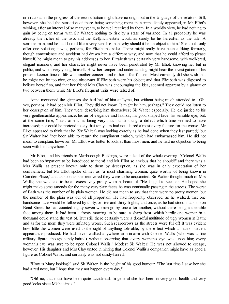or irrational in the progress of the reconciliation might have no origin but in the language of the relators. Still, however, she had the sensation of there being something more than immediately appeared, in Mr Elliot's wishing, after an interval of so many years, to be well received by them. In a worldly view, he had nothing to gain by being on terms with Sir Walter; nothing to risk by a state of variance. In all probability he was already the richer of the two, and the Kellynch estate would as surely be his hereafter as the title. A sensible man, and he had looked like a very sensible man, why should it be an object to him? She could only offer one solution; it was, perhaps, for Elizabeth's sake. There might really have been a liking formerly, though convenience and accident had drawn him a different way; and now that he could afford to please himself, he might mean to pay his addresses to her. Elizabeth was certainly very handsome, with well-bred, elegant manners, and her character might never have been penetrated by Mr Elliot, knowing her but in public, and when very young himself. How her temper and understanding might bear the investigation of his present keener time of life was another concern and rather a fearful one. Most earnestly did she wish that he might not be too nice, or too observant if Elizabeth were his object; and that Elizabeth was disposed to believe herself so, and that her friend Mrs Clay was encouraging the idea, seemed apparent by a glance or two between them, while Mr Elliot's frequent visits were talked of.

Anne mentioned the glimpses she had had of him at Lyme, but without being much attended to. "Oh! yes, perhaps, it had been Mr Elliot. They did not know. It might be him, perhaps." They could not listen to her description of him. They were describing him themselves; Sir Walter especially. He did justice to his very gentlemanlike appearance, his air of elegance and fashion, his good shaped face, his sensible eye; but, at the same time, "must lament his being very much under-hung, a defect which time seemed to have increased; nor could he pretend to say that ten years had not altered almost every feature for the worse. Mr Elliot appeared to think that he (Sir Walter) was looking exactly as he had done when they last parted;" but Sir Walter had "not been able to return the compliment entirely, which had embarrassed him. He did not mean to complain, however. Mr Elliot was better to look at than most men, and he had no objection to being seen with him anywhere."

Mr Elliot, and his friends in Marlborough Buildings, were talked of the whole evening. "Colonel Wallis had been so impatient to be introduced to them! and Mr Elliot so anxious that he should!" and there was a Mrs Wallis, at present known only to them by description, as she was in daily expectation of her confinement; but Mr Elliot spoke of her as "a most charming woman, quite worthy of being known in Camden Place," and as soon as she recovered they were to be acquainted. Sir Walter thought much of Mrs Wallis; she was said to be an excessively pretty woman, beautiful. "He longed to see her. He hoped she might make some amends for the many very plain faces he was continually passing in the streets. The worst of Bath was the number of its plain women. He did not mean to say that there were no pretty women, but the number of the plain was out of all proportion. He had frequently observed, as he walked, that one handsome face would be followed by thirty, or five-and-thirty frights; and once, as he had stood in a shop on Bond Street, he had counted eighty-seven women go by, one after another, without there being a tolerable face among them. It had been a frosty morning, to be sure, a sharp frost, which hardly one woman in a thousand could stand the test of. But still, there certainly were a dreadful multitude of ugly women in Bath; and as for the men! they were infinitely worse. Such scarecrows as the streets were full of! It was evident how little the women were used to the sight of anything tolerable, by the effect which a man of decent appearance produced. He had never walked anywhere arm-in-arm with Colonel Wallis (who was a fine military figure, though sandy-haired) without observing that every woman's eye was upon him; every woman's eye was sure to be upon Colonel Wallis." Modest Sir Walter! He was not allowed to escape, however. His daughter and Mrs Clay united in hinting that Colonel Wallis's companion might have as good a figure as Colonel Wallis, and certainly was not sandy-haired.

"How is Mary looking?" said Sir Walter, in the height of his good humour. "The last time I saw her she had a red nose, but I hope that may not happen every day."

"Oh! no, that must have been quite accidental. In general she has been in very good health and very good looks since Michaelmas."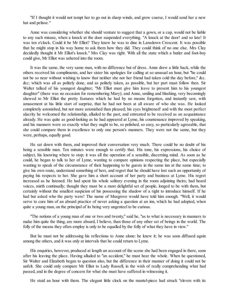"If I thought it would not tempt her to go out in sharp winds, and grow coarse, I would send her a new hat and pelisse."

Anne was considering whether she should venture to suggest that a gown, or a cap, would not be liable to any such misuse, when a knock at the door suspended everything. "A knock at the door! and so late! It was ten o'clock. Could it be Mr Elliot? They knew he was to dine in Lansdown Crescent. It was possible that he might stop in his way home to ask them how they did. They could think of no one else. Mrs Clay decidedly thought it Mr Elliot's knock." Mrs Clay was right. With all the state which a butler and foot-boy could give, Mr Elliot was ushered into the room.

It was the same, the very same man, with no difference but of dress. Anne drew a little back, while the others received his compliments, and her sister his apologies for calling at so unusual an hour, but "he could not be so near without wishing to know that neither she nor her friend had taken cold the day before," &c. &c; which was all as politely done, and as politely taken, as possible, but her part must follow then. Sir Walter talked of his youngest daughter; "Mr Elliot must give him leave to present him to his youngest daughter" (there was no occasion for remembering Mary); and Anne, smiling and blushing, very becomingly shewed to Mr Elliot the pretty features which he had by no means forgotten, and instantly saw, with amusement at his little start of surprise, that he had not been at all aware of who she was. He looked completely astonished, but not more astonished than pleased; his eyes brightened! and with the most perfect alacrity he welcomed the relationship, alluded to the past, and entreated to be received as an acquaintance already. He was quite as good-looking as he had appeared at Lyme, his countenance improved by speaking, and his manners were so exactly what they ought to be, so polished, so easy, so particularly agreeable, that she could compare them in excellence to only one person's manners. They were not the same, but they were, perhaps, equally good.

He sat down with them, and improved their conversation very much. There could be no doubt of his being a sensible man. Ten minutes were enough to certify that. His tone, his expressions, his choice of subject, his knowing where to stop; it was all the operation of a sensible, discerning mind. As soon as he could, he began to talk to her of Lyme, wanting to compare opinions respecting the place, but especially wanting to speak of the circumstance of their happening to be guests in the same inn at the same time; to give his own route, understand something of hers, and regret that he should have lost such an opportunity of paying his respects to her. She gave him a short account of her party and business at Lyme. His regret increased as he listened. He had spent his whole solitary evening in the room adjoining theirs; had heard voices, mirth continually; thought they must be a most delightful set of people, longed to be with them, but certainly without the smallest suspicion of his possessing the shadow of a right to introduce himself. If he had but asked who the party were! The name of Musgrove would have told him enough. "Well, it would serve to cure him of an absurd practice of never asking a question at an inn, which he had adopted, when quite a young man, on the principal of its being very ungenteel to be curious.

"The notions of a young man of one or two and twenty," said he, "as to what is necessary in manners to make him quite the thing, are more absurd, I believe, than those of any other set of beings in the world. The folly of the means they often employ is only to be equalled by the folly of what they have in view."

But he must not be addressing his reflections to Anne alone: he knew it; he was soon diffused again among the others, and it was only at intervals that he could return to Lyme.

His enquiries, however, produced at length an account of the scene she had been engaged in there, soon after his leaving the place. Having alluded to "an accident," he must hear the whole. When he questioned, Sir Walter and Elizabeth began to question also, but the difference in their manner of doing it could not be unfelt. She could only compare Mr Elliot to Lady Russell, in the wish of really comprehending what had passed, and in the degree of concern for what she must have suffered in witnessing it.

He staid an hour with them. The elegant little clock on the mantel-piece had struck "eleven with its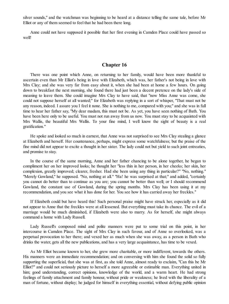silver sounds," and the watchman was beginning to be heard at a distance telling the same tale, before Mr Elliot or any of them seemed to feel that he had been there long.

Anne could not have supposed it possible that her first evening in Camden Place could have passed so well!

## **Chapter 16**

There was one point which Anne, on returning to her family, would have been more thankful to ascertain even than Mr Elliot's being in love with Elizabeth, which was, her father's not being in love with Mrs Clay; and she was very far from easy about it, when she had been at home a few hours. On going down to breakfast the next morning, she found there had just been a decent pretence on the lady's side of meaning to leave them. She could imagine Mrs Clay to have said, that "now Miss Anne was come, she could not suppose herself at all wanted;" for Elizabeth was replying in a sort of whisper, "That must not be any reason, indeed. I assure you I feel it none. She is nothing to me, compared with you;" and she was in full time to hear her father say, "My dear madam, this must not be. As yet, you have seen nothing of Bath. You have been here only to be useful. You must not run away from us now. You must stay to be acquainted with Mrs Wallis, the beautiful Mrs Wallis. To your fine mind, I well know the sight of beauty is a real gratification."

He spoke and looked so much in earnest, that Anne was not surprised to see Mrs Clay stealing a glance at Elizabeth and herself. Her countenance, perhaps, might express some watchfulness; but the praise of the fine mind did not appear to excite a thought in her sister. The lady could not but yield to such joint entreaties, and promise to stay.

In the course of the same morning, Anne and her father chancing to be alone together, he began to compliment her on her improved looks; he thought her "less thin in her person, in her cheeks; her skin, her complexion, greatly improved; clearer, fresher. Had she been using any thing in particular?" "No, nothing." "Merely Gowland," he supposed. "No, nothing at all." "Ha! he was surprised at that;" and added, "certainly you cannot do better than to continue as you are; you cannot be better than well; or I should recommend Gowland, the constant use of Gowland, during the spring months. Mrs Clay has been using it at my recommendation, and you see what it has done for her. You see how it has carried away her freckles."

If Elizabeth could but have heard this! Such personal praise might have struck her, especially as it did not appear to Anne that the freckles were at all lessened. But everything must take its chance. The evil of a marriage would be much diminished, if Elizabeth were also to marry. As for herself, she might always command a home with Lady Russell.

Lady Russell's composed mind and polite manners were put to some trial on this point, in her intercourse in Camden Place. The sight of Mrs Clay in such favour, and of Anne so overlooked, was a perpetual provocation to her there; and vexed her as much when she was away, as a person in Bath who drinks the water, gets all the new publications, and has a very large acquaintance, has time to be vexed.

As Mr Elliot became known to her, she grew more charitable, or more indifferent, towards the others. His manners were an immediate recommendation; and on conversing with him she found the solid so fully supporting the superficial, that she was at first, as she told Anne, almost ready to exclaim, "Can this be Mr Elliot?" and could not seriously picture to herself a more agreeable or estimable man. Everything united in him; good understanding, correct opinions, knowledge of the world, and a warm heart. He had strong feelings of family attachment and family honour, without pride or weakness; he lived with the liberality of a man of fortune, without display; he judged for himself in everything essential, without defying public opinion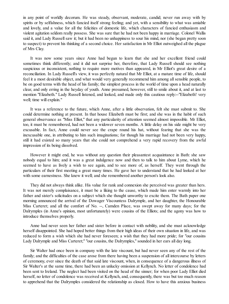in any point of worldly decorum. He was steady, observant, moderate, candid; never run away with by spirits or by selfishness, which fancied itself strong feeling; and yet, with a sensibility to what was amiable and lovely, and a value for all the felicities of domestic life, which characters of fancied enthusiasm and violent agitation seldom really possess. She was sure that he had not been happy in marriage. Colonel Wallis said it, and Lady Russell saw it; but it had been no unhappiness to sour his mind, nor (she began pretty soon to suspect) to prevent his thinking of a second choice. Her satisfaction in Mr Elliot outweighed all the plague of Mrs Clay.

It was now some years since Anne had begun to learn that she and her excellent friend could sometimes think differently; and it did not surprise her, therefore, that Lady Russell should see nothing suspicious or inconsistent, nothing to require more motives than appeared, in Mr Elliot's great desire of a reconciliation. In Lady Russell's view, it was perfectly natural that Mr Elliot, at a mature time of life, should feel it a most desirable object, and what would very generally recommend him among all sensible people, to be on good terms with the head of his family; the simplest process in the world of time upon a head naturally clear, and only erring in the heyday of youth. Anne presumed, however, still to smile about it, and at last to mention "Elizabeth." Lady Russell listened, and looked, and made only this cautious reply:--"Elizabeth! very well; time will explain."

It was a reference to the future, which Anne, after a little observation, felt she must submit to. She could determine nothing at present. In that house Elizabeth must be first; and she was in the habit of such general observance as "Miss Elliot," that any particularity of attention seemed almost impossible. Mr Elliot, too, it must be remembered, had not been a widower seven months. A little delay on his side might be very excusable. In fact, Anne could never see the crape round his hat, without fearing that she was the inexcusable one, in attributing to him such imaginations; for though his marriage had not been very happy, still it had existed so many years that she could not comprehend a very rapid recovery from the awful impression of its being dissolved.

However it might end, he was without any question their pleasantest acquaintance in Bath: she saw nobody equal to him; and it was a great indulgence now and then to talk to him about Lyme, which he seemed to have as lively a wish to see again, and to see more of, as herself. They went through the particulars of their first meeting a great many times. He gave her to understand that he had looked at her with some earnestness. She knew it well; and she remembered another person's look also.

They did not always think alike. His value for rank and connexion she perceived was greater than hers. It was not merely complaisance, it must be a liking to the cause, which made him enter warmly into her father and sister's solicitudes on a subject which she thought unworthy to excite them. The Bath paper one morning announced the arrival of the Dowager Viscountess Dalrymple, and her daughter, the Honourable Miss Carteret; and all the comfort of No. --, Camden Place, was swept away for many days; for the Dalrymples (in Anne's opinion, most unfortunately) were cousins of the Elliots; and the agony was how to introduce themselves properly.

Anne had never seen her father and sister before in contact with nobility, and she must acknowledge herself disappointed. She had hoped better things from their high ideas of their own situation in life, and was reduced to form a wish which she had never foreseen; a wish that they had more pride; for "our cousins Lady Dalrymple and Miss Carteret;" "our cousins, the Dalrymples," sounded in her ears all day long.

Sir Walter had once been in company with the late viscount, but had never seen any of the rest of the family; and the difficulties of the case arose from there having been a suspension of all intercourse by letters of ceremony, ever since the death of that said late viscount, when, in consequence of a dangerous illness of Sir Walter's at the same time, there had been an unlucky omission at Kellynch. No letter of condolence had been sent to Ireland. The neglect had been visited on the head of the sinner; for when poor Lady Elliot died herself, no letter of condolence was received at Kellynch, and, consequently, there was but too much reason to apprehend that the Dalrymples considered the relationship as closed. How to have this anxious business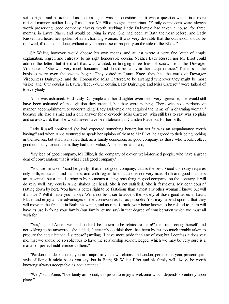set to rights, and be admitted as cousins again, was the question: and it was a question which, in a more rational manner, neither Lady Russell nor Mr Elliot thought unimportant. "Family connexions were always worth preserving, good company always worth seeking; Lady Dalrymple had taken a house, for three months, in Laura Place, and would be living in style. She had been at Bath the year before, and Lady Russell had heard her spoken of as a charming woman. It was very desirable that the connexion should be renewed, if it could be done, without any compromise of propriety on the side of the Elliots."

Sir Walter, however, would choose his own means, and at last wrote a very fine letter of ample explanation, regret, and entreaty, to his right honourable cousin. Neither Lady Russell nor Mr Elliot could admire the letter; but it did all that was wanted, in bringing three lines of scrawl from the Dowager Viscountess. "She was very much honoured, and should be happy in their acquaintance." The toils of the business were over, the sweets began. They visited in Laura Place, they had the cards of Dowager Viscountess Dalrymple, and the Honourable Miss Carteret, to be arranged wherever they might be most visible: and "Our cousins in Laura Place,"--"Our cousin, Lady Dalrymple and Miss Carteret," were talked of to everybody.

Anne was ashamed. Had Lady Dalrymple and her daughter even been very agreeable, she would still have been ashamed of the agitation they created, but they were nothing. There was no superiority of manner, accomplishment, or understanding. Lady Dalrymple had acquired the name of "a charming woman," because she had a smile and a civil answer for everybody. Miss Carteret, with still less to say, was so plain and so awkward, that she would never have been tolerated in Camden Place but for her birth.

Lady Russell confessed she had expected something better; but yet "it was an acquaintance worth having;" and when Anne ventured to speak her opinion of them to Mr Elliot, he agreed to their being nothing in themselves, but still maintained that, as a family connexion, as good company, as those who would collect good company around them, they had their value. Anne smiled and said,

"My idea of good company, Mr Elliot, is the company of clever, well-informed people, who have a great deal of conversation; that is what I call good company."

"You are mistaken," said he gently, "that is not good company; that is the best. Good company requires only birth, education, and manners, and with regard to education is not very nice. Birth and good manners are essential; but a little learning is by no means a dangerous thing in good company; on the contrary, it will do very well. My cousin Anne shakes her head. She is not satisfied. She is fastidious. My dear cousin" (sitting down by her), "you have a better right to be fastidious than almost any other woman I know; but will it answer? Will it make you happy? Will it not be wiser to accept the society of those good ladies in Laura Place, and enjoy all the advantages of the connexion as far as possible? You may depend upon it, that they will move in the first set in Bath this winter, and as rank is rank, your being known to be related to them will have its use in fixing your family (our family let me say) in that degree of consideration which we must all wish for."

"Yes," sighed Anne, "we shall, indeed, be known to be related to them!" then recollecting herself, and not wishing to be answered, she added, "I certainly do think there has been by far too much trouble taken to procure the acquaintance. I suppose" (smiling) "I have more pride than any of you; but I confess it does vex me, that we should be so solicitous to have the relationship acknowledged, which we may be very sure is a matter of perfect indifference to them."

"Pardon me, dear cousin, you are unjust in your own claims. In London, perhaps, in your present quiet style of living, it might be as you say: but in Bath; Sir Walter Elliot and his family will always be worth knowing: always acceptable as acquaintance."

"Well," said Anne, "I certainly am proud, too proud to enjoy a welcome which depends so entirely upon place."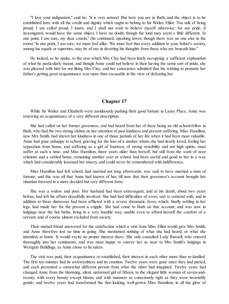"I love your indignation," said he; "it is very natural. But here you are in Bath, and the object is to be established here with all the credit and dignity which ought to belong to Sir Walter Elliot. You talk of being proud; I am called proud, I know, and I shall not wish to believe myself otherwise; for our pride, if investigated, would have the same object, I have no doubt, though the kind may seem a little different. In one point, I am sure, my dear cousin," (he continued, speaking lower, though there was no one else in the room) "in one point, I am sure, we must feel alike. We must feel that every addition to your father's society, among his equals or superiors, may be of use in diverting his thoughts from those who are beneath him."

He looked, as he spoke, to the seat which Mrs Clay had been lately occupying: a sufficient explanation of what he particularly meant; and though Anne could not believe in their having the same sort of pride, she was pleased with him for not liking Mrs Clay; and her conscience admitted that his wishing to promote her father's getting great acquaintance was more than excusable in the view of defeating her.

#### **Chapter 17**

While Sir Walter and Elizabeth were assiduously pushing their good fortune in Laura Place, Anne was renewing an acquaintance of a very different description.

She had called on her former governess, and had heard from her of there being an old school-fellow in Bath, who had the two strong claims on her attention of past kindness and present suffering. Miss Hamilton, now Mrs Smith, had shewn her kindness in one of those periods of her life when it had been most valuable. Anne had gone unhappy to school, grieving for the loss of a mother whom she had dearly loved, feeling her separation from home, and suffering as a girl of fourteen, of strong sensibility and not high spirits, must suffer at such a time; and Miss Hamilton, three years older than herself, but still from the want of near relations and a settled home, remaining another year at school, had been useful and good to her in a way which had considerably lessened her misery, and could never be remembered with indifference.

Miss Hamilton had left school, had married not long afterwards, was said to have married a man of fortune, and this was all that Anne had known of her, till now that their governess's account brought her situation forward in a more decided but very different form.

She was a widow and poor. Her husband had been extravagant; and at his death, about two years before, had left his affairs dreadfully involved. She had had difficulties of every sort to contend with, and in addition to these distresses had been afflicted with a severe rheumatic fever, which, finally settling in her legs, had made her for the present a cripple. She had come to Bath on that account, and was now in lodgings near the hot baths, living in a very humble way, unable even to afford herself the comfort of a servant, and of course almost excluded from society.

Their mutual friend answered for the satisfaction which a visit from Miss Elliot would give Mrs Smith, and Anne therefore lost no time in going. She mentioned nothing of what she had heard, or what she intended, at home. It would excite no proper interest there. She only consulted Lady Russell, who entered thoroughly into her sentiments, and was most happy to convey her as near to Mrs Smith's lodgings in Westgate Buildings, as Anne chose to be taken.

The visit was paid, their acquaintance re-established, their interest in each other more than re-kindled. The first ten minutes had its awkwardness and its emotion. Twelve years were gone since they had parted, and each presented a somewhat different person from what the other had imagined. Twelve years had changed Anne from the blooming, silent, unformed girl of fifteen, to the elegant little woman of seven-andtwenty, with every beauty except bloom, and with manners as consciously right as they were invariably gentle; and twelve years had transformed the fine-looking, well-grown Miss Hamilton, in all the glow of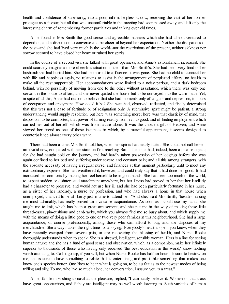health and confidence of superiority, into a poor, infirm, helpless widow, receiving the visit of her former protegee as a favour; but all that was uncomfortable in the meeting had soon passed away, and left only the interesting charm of remembering former partialities and talking over old times.

Anne found in Mrs Smith the good sense and agreeable manners which she had almost ventured to depend on, and a disposition to converse and be cheerful beyond her expectation. Neither the dissipations of the past--and she had lived very much in the world--nor the restrictions of the present, neither sickness nor sorrow seemed to have closed her heart or ruined her spirits.

In the course of a second visit she talked with great openness, and Anne's astonishment increased. She could scarcely imagine a more cheerless situation in itself than Mrs Smith's. She had been very fond of her husband: she had buried him. She had been used to affluence: it was gone. She had no child to connect her with life and happiness again, no relations to assist in the arrangement of perplexed affairs, no health to make all the rest supportable. Her accommodations were limited to a noisy parlour, and a dark bedroom behind, with no possibility of moving from one to the other without assistance, which there was only one servant in the house to afford, and she never quitted the house but to be conveyed into the warm bath. Yet, in spite of all this, Anne had reason to believe that she had moments only of languor and depression, to hours of occupation and enjoyment. How could it be? She watched, observed, reflected, and finally determined that this was not a case of fortitude or of resignation only. A submissive spirit might be patient, a strong understanding would supply resolution, but here was something more; here was that elasticity of mind, that disposition to be comforted, that power of turning readily from evil to good, and of finding employment which carried her out of herself, which was from nature alone. It was the choicest gift of Heaven; and Anne viewed her friend as one of those instances in which, by a merciful appointment, it seems designed to counterbalance almost every other want.

There had been a time, Mrs Smith told her, when her spirits had nearly failed. She could not call herself an invalid now, compared with her state on first reaching Bath. Then she had, indeed, been a pitiable object; for she had caught cold on the journey, and had hardly taken possession of her lodgings before she was again confined to her bed and suffering under severe and constant pain; and all this among strangers, with the absolute necessity of having a regular nurse, and finances at that moment particularly unfit to meet any extraordinary expense. She had weathered it, however, and could truly say that it had done her good. It had increased her comforts by making her feel herself to be in good hands. She had seen too much of the world, to expect sudden or disinterested attachment anywhere, but her illness had proved to her that her landlady had a character to preserve, and would not use her ill; and she had been particularly fortunate in her nurse, as a sister of her landlady, a nurse by profession, and who had always a home in that house when unemployed, chanced to be at liberty just in time to attend her. "And she," said Mrs Smith, "besides nursing me most admirably, has really proved an invaluable acquaintance. As soon as I could use my hands she taught me to knit, which has been a great amusement; and she put me in the way of making these little thread-cases, pin-cushions and card-racks, which you always find me so busy about, and which supply me with the means of doing a little good to one or two very poor families in this neighbourhood. She had a large acquaintance, of course professionally, among those who can afford to buy, and she disposes of my merchandise. She always takes the right time for applying. Everybody's heart is open, you know, when they have recently escaped from severe pain, or are recovering the blessing of health, and Nurse Rooke thoroughly understands when to speak. She is a shrewd, intelligent, sensible woman. Hers is a line for seeing human nature; and she has a fund of good sense and observation, which, as a companion, make her infinitely superior to thousands of those who having only received 'the best education in the world,' know nothing worth attending to. Call it gossip, if you will, but when Nurse Rooke has half an hour's leisure to bestow on me, she is sure to have something to relate that is entertaining and profitable: something that makes one know one's species better. One likes to hear what is going on, to be au fait as to the newest modes of being trifling and silly. To me, who live so much alone, her conversation, I assure you, is a treat."

Anne, far from wishing to cavil at the pleasure, replied, "I can easily believe it. Women of that class have great opportunities, and if they are intelligent may be well worth listening to. Such varieties of human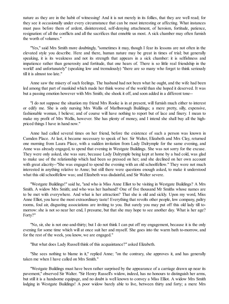nature as they are in the habit of witnessing! And it is not merely in its follies, that they are well read; for they see it occasionally under every circumstance that can be most interesting or affecting. What instances must pass before them of ardent, disinterested, self-denying attachment, of heroism, fortitude, patience, resignation: of all the conflicts and all the sacrifices that ennoble us most. A sick chamber may often furnish the worth of volumes."

"Yes," said Mrs Smith more doubtingly, "sometimes it may, though I fear its lessons are not often in the elevated style you describe. Here and there, human nature may be great in times of trial; but generally speaking, it is its weakness and not its strength that appears in a sick chamber: it is selfishness and impatience rather than generosity and fortitude, that one hears of. There is so little real friendship in the world! and unfortunately" (speaking low and tremulously) "there are so many who forget to think seriously till it is almost too late."

Anne saw the misery of such feelings. The husband had not been what he ought, and the wife had been led among that part of mankind which made her think worse of the world than she hoped it deserved. It was but a passing emotion however with Mrs Smith; she shook it off, and soon added in a different tone--

"I do not suppose the situation my friend Mrs Rooke is in at present, will furnish much either to interest or edify me. She is only nursing Mrs Wallis of Marlborough Buildings; a mere pretty, silly, expensive, fashionable woman, I believe; and of course will have nothing to report but of lace and finery. I mean to make my profit of Mrs Wallis, however. She has plenty of money, and I intend she shall buy all the highpriced things I have in hand now."

Anne had called several times on her friend, before the existence of such a person was known in Camden Place. At last, it became necessary to speak of her. Sir Walter, Elizabeth and Mrs Clay, returned one morning from Laura Place, with a sudden invitation from Lady Dalrymple for the same evening, and Anne was already engaged, to spend that evening in Westgate Buildings. She was not sorry for the excuse. They were only asked, she was sure, because Lady Dalrymple being kept at home by a bad cold, was glad to make use of the relationship which had been so pressed on her; and she declined on her own account with great alacrity--"She was engaged to spend the evening with an old schoolfellow." They were not much interested in anything relative to Anne; but still there were questions enough asked, to make it understood what this old schoolfellow was; and Elizabeth was disdainful, and Sir Walter severe.

"Westgate Buildings!" said he, "and who is Miss Anne Elliot to be visiting in Westgate Buildings? A Mrs Smith. A widow Mrs Smith; and who was her husband? One of five thousand Mr Smiths whose names are to be met with everywhere. And what is her attraction? That she is old and sickly. Upon my word, Miss Anne Elliot, you have the most extraordinary taste! Everything that revolts other people, low company, paltry rooms, foul air, disgusting associations are inviting to you. But surely you may put off this old lady till tomorrow:she is not so near her end, I presume, but that she may hope to see another day. What is her age? Forty?"

"No, sir, she is not one-and-thirty; but I do not think I can put off my engagement, because it is the only evening for some time which will at once suit her and myself. She goes into the warm bath to-morrow, and for the rest of the week, you know, we are engaged."

"But what does Lady Russell think of this acquaintance?" asked Elizabeth.

"She sees nothing to blame in it," replied Anne; "on the contrary, she approves it, and has generally taken me when I have called on Mrs Smith."

"Westgate Buildings must have been rather surprised by the appearance of a carriage drawn up near its pavement," observed Sir Walter. "Sir Henry Russell's widow, indeed, has no honours to distinguish her arms, but still it is a handsome equipage, and no doubt is well known to convey a Miss Elliot. A widow Mrs Smith lodging in Westgate Buildings! A poor widow barely able to live, between thirty and forty; a mere Mrs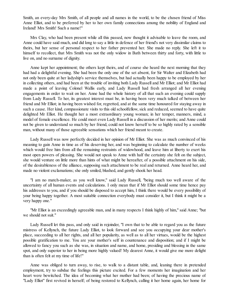Smith, an every-day Mrs Smith, of all people and all names in the world, to be the chosen friend of Miss Anne Elliot, and to be preferred by her to her own family connections among the nobility of England and Ireland! Mrs Smith! Such a name!"

Mrs Clay, who had been present while all this passed, now thought it advisable to leave the room, and Anne could have said much, and did long to say a little in defence of her friend's not very dissimilar claims to theirs, but her sense of personal respect to her father prevented her. She made no reply. She left it to himself to recollect, that Mrs Smith was not the only widow in Bath between thirty and forty, with little to live on, and no surname of dignity.

Anne kept her appointment; the others kept theirs, and of course she heard the next morning that they had had a delightful evening. She had been the only one of the set absent, for Sir Walter and Elizabeth had not only been quite at her ladyship's service themselves, but had actually been happy to be employed by her in collecting others, and had been at the trouble of inviting both Lady Russell and Mr Elliot; and Mr Elliot had made a point of leaving Colonel Wallis early, and Lady Russell had fresh arranged all her evening engagements in order to wait on her. Anne had the whole history of all that such an evening could supply from Lady Russell. To her, its greatest interest must be, in having been very much talked of between her friend and Mr Elliot; in having been wished for, regretted, and at the same time honoured for staying away in such a cause. Her kind, compassionate visits to this old schoolfellow, sick and reduced, seemed to have quite delighted Mr Elliot. He thought her a most extraordinary young woman; in her temper, manners, mind, a model of female excellence. He could meet even Lady Russell in a discussion of her merits; and Anne could not be given to understand so much by her friend, could not know herself to be so highly rated by a sensible man, without many of those agreeable sensations which her friend meant to create.

Lady Russell was now perfectly decided in her opinion of Mr Elliot. She was as much convinced of his meaning to gain Anne in time as of his deserving her, and was beginning to calculate the number of weeks which would free him from all the remaining restraints of widowhood, and leave him at liberty to exert his most open powers of pleasing. She would not speak to Anne with half the certainty she felt on the subject, she would venture on little more than hints of what might be hereafter, of a possible attachment on his side, of the desirableness of the alliance, supposing such attachment to be real and returned. Anne heard her, and made no violent exclamations; she only smiled, blushed, and gently shook her head.

"I am no match-maker, as you well know," said Lady Russell, "being much too well aware of the uncertainty of all human events and calculations. I only mean that if Mr Elliot should some time hence pay his addresses to you, and if you should be disposed to accept him, I think there would be every possibility of your being happy together. A most suitable connection everybody must consider it, but I think it might be a very happy one."

"Mr Elliot is an exceedingly agreeable man, and in many respects I think highly of him," said Anne; "but we should not suit."

Lady Russell let this pass, and only said in rejoinder, "I own that to be able to regard you as the future mistress of Kellynch, the future Lady Elliot, to look forward and see you occupying your dear mother's place, succeeding to all her rights, and all her popularity, as well as to all her virtues, would be the highest possible gratification to me. You are your mother's self in countenance and disposition; and if I might be allowed to fancy you such as she was, in situation and name, and home, presiding and blessing in the same spot, and only superior to her in being more highly valued! My dearest Anne, it would give me more delight than is often felt at my time of life!"

Anne was obliged to turn away, to rise, to walk to a distant table, and, leaning there in pretended employment, try to subdue the feelings this picture excited. For a few moments her imagination and her heart were bewitched. The idea of becoming what her mother had been; of having the precious name of "Lady Elliot" first revived in herself; of being restored to Kellynch, calling it her home again, her home for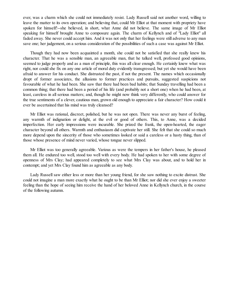ever, was a charm which she could not immediately resist. Lady Russell said not another word, willing to leave the matter to its own operation; and believing that, could Mr Elliot at that moment with propriety have spoken for himself!--she believed, in short, what Anne did not believe. The same image of Mr Elliot speaking for himself brought Anne to composure again. The charm of Kellynch and of "Lady Elliot" all faded away. She never could accept him. And it was not only that her feelings were still adverse to any man save one; her judgement, on a serious consideration of the possibilities of such a case was against Mr Elliot.

Though they had now been acquainted a month, she could not be satisfied that she really knew his character. That he was a sensible man, an agreeable man, that he talked well, professed good opinions, seemed to judge properly and as a man of principle, this was all clear enough. He certainly knew what was right, nor could she fix on any one article of moral duty evidently transgressed; but yet she would have been afraid to answer for his conduct. She distrusted the past, if not the present. The names which occasionally dropt of former associates, the allusions to former practices and pursuits, suggested suspicions not favourable of what he had been. She saw that there had been bad habits; that Sunday travelling had been a common thing; that there had been a period of his life (and probably not a short one) when he had been, at least, careless in all serious matters; and, though he might now think very differently, who could answer for the true sentiments of a clever, cautious man, grown old enough to appreciate a fair character? How could it ever be ascertained that his mind was truly cleansed?

Mr Elliot was rational, discreet, polished, but he was not open. There was never any burst of feeling, any warmth of indignation or delight, at the evil or good of others. This, to Anne, was a decided imperfection. Her early impressions were incurable. She prized the frank, the open-hearted, the eager character beyond all others. Warmth and enthusiasm did captivate her still. She felt that she could so much more depend upon the sincerity of those who sometimes looked or said a careless or a hasty thing, than of those whose presence of mind never varied, whose tongue never slipped.

Mr Elliot was too generally agreeable. Various as were the tempers in her father's house, he pleased them all. He endured too well, stood too well with every body. He had spoken to her with some degree of openness of Mrs Clay; had appeared completely to see what Mrs Clay was about, and to hold her in contempt; and yet Mrs Clay found him as agreeable as any body.

Lady Russell saw either less or more than her young friend, for she saw nothing to excite distrust. She could not imagine a man more exactly what he ought to be than Mr Elliot; nor did she ever enjoy a sweeter feeling than the hope of seeing him receive the hand of her beloved Anne in Kellynch church, in the course of the following autumn.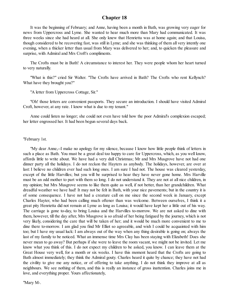# **Chapter 18**

It was the beginning of February; and Anne, having been a month in Bath, was growing very eager for news from Uppercross and Lyme. She wanted to hear much more than Mary had communicated. It was three weeks since she had heard at all. She only knew that Henrietta was at home again; and that Louisa, though considered to be recovering fast, was still in Lyme; and she was thinking of them all very intently one evening, when a thicker letter than usual from Mary was delivered to her; and, to quicken the pleasure and surprise, with Admiral and Mrs Croft's compliments.

The Crofts must be in Bath! A circumstance to interest her. They were people whom her heart turned to very naturally.

"What is this?" cried Sir Walter. "The Crofts have arrived in Bath? The Crofts who rent Kellynch? What have they brought you?"

"A letter from Uppercross Cottage, Sir."

"Oh! those letters are convenient passports. They secure an introduction. I should have visited Admiral Croft, however, at any rate. I know what is due to my tenant."

Anne could listen no longer; she could not even have told how the poor Admiral's complexion escaped; her letter engrossed her. It had been begun several days back.

"February 1st.

"My dear Anne,--I make no apology for my silence, because I know how little people think of letters in such a place as Bath. You must be a great deal too happy to care for Uppercross, which, as you well know, affords little to write about. We have had a very dull Christmas; Mr and Mrs Musgrove have not had one dinner party all the holidays. I do not reckon the Hayters as anybody. The holidays, however, are over at last: I believe no children ever had such long ones. I am sure I had not. The house was cleared yesterday, except of the little Harvilles; but you will be surprised to hear they have never gone home. Mrs Harville must be an odd mother to part with them so long. I do not understand it. They are not at all nice children, in my opinion; but Mrs Musgrove seems to like them quite as well, if not better, than her grandchildren. What dreadful weather we have had! It may not be felt in Bath, with your nice pavements; but in the country it is of some consequence. I have not had a creature call on me since the second week in January, except Charles Hayter, who had been calling much oftener than was welcome. Between ourselves, I think it a great pity Henrietta did not remain at Lyme as long as Louisa; it would have kept her a little out of his way. The carriage is gone to-day, to bring Louisa and the Harvilles to-morrow. We are not asked to dine with them, however, till the day after, Mrs Musgrove is so afraid of her being fatigued by the journey, which is not very likely, considering the care that will be taken of her; and it would be much more convenient to me to dine there to-morrow. I am glad you find Mr Elliot so agreeable, and wish I could be acquainted with him too; but I have my usual luck: I am always out of the way when any thing desirable is going on; always the last of my family to be noticed. What an immense time Mrs Clay has been staying with Elizabeth! Does she never mean to go away? But perhaps if she were to leave the room vacant, we might not be invited. Let me know what you think of this. I do not expect my children to be asked, you know. I can leave them at the Great House very well, for a month or six weeks. I have this moment heard that the Crofts are going to Bath almost immediately; they think the Admiral gouty. Charles heard it quite by chance; they have not had the civility to give me any notice, or of offering to take anything. I do not think they improve at all as neighbours. We see nothing of them, and this is really an instance of gross inattention. Charles joins me in love, and everything proper. Yours affectionately,

"Mary M-.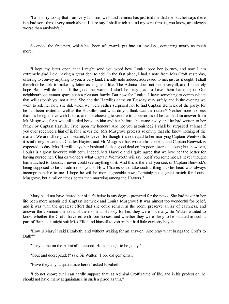"I am sorry to say that I am very far from well; and Jemima has just told me that the butcher says there is a bad sore-throat very much about. I dare say I shall catch it; and my sore-throats, you know, are always worse than anybody's."

So ended the first part, which had been afterwards put into an envelope, containing nearly as much more.

"I kept my letter open, that I might send you word how Louisa bore her journey, and now I am extremely glad I did, having a great deal to add. In the first place, I had a note from Mrs Croft yesterday, offering to convey anything to you; a very kind, friendly note indeed, addressed to me, just as it ought; I shall therefore be able to make my letter as long as I like. The Admiral does not seem very ill, and I sincerely hope Bath will do him all the good he wants. I shall be truly glad to have them back again. Our neighbourhood cannot spare such a pleasant family. But now for Louisa. I have something to communicate that will astonish you not a little. She and the Harvilles came on Tuesday very safely, and in the evening we went to ask her how she did, when we were rather surprised not to find Captain Benwick of the party, for he had been invited as well as the Harvilles; and what do you think was the reason? Neither more nor less than his being in love with Louisa, and not choosing to venture to Uppercross till he had had an answer from Mr Musgrove; for it was all settled between him and her before she came away, and he had written to her father by Captain Harville. True, upon my honour! Are not you astonished? I shall be surprised at least if you ever received a hint of it, for I never did. Mrs Musgrove protests solemnly that she knew nothing of the matter. We are all very well pleased, however, for though it is not equal to her marrying Captain Wentworth, it is infinitely better than Charles Hayter; and Mr Musgrove has written his consent, and Captain Benwick is expected to-day. Mrs Harville says her husband feels a good deal on his poor sister's account; but, however, Louisa is a great favourite with both. Indeed, Mrs Harville and I quite agree that we love her the better for having nursed her. Charles wonders what Captain Wentworth will say; but if you remember, I never thought him attached to Louisa; I never could see anything of it. And this is the end, you see, of Captain Benwick's being supposed to be an admirer of yours. How Charles could take such a thing into his head was always incomprehensible to me. I hope he will be more agreeable now. Certainly not a great match for Louisa Musgrove, but a million times better than marrying among the Hayters."

Mary need not have feared her sister's being in any degree prepared for the news. She had never in her life been more astonished. Captain Benwick and Louisa Musgrove! It was almost too wonderful for belief, and it was with the greatest effort that she could remain in the room, preserve an air of calmness, and answer the common questions of the moment. Happily for her, they were not many. Sir Walter wanted to know whether the Crofts travelled with four horses, and whether they were likely to be situated in such a part of Bath as it might suit Miss Elliot and himself to visit in; but had little curiosity beyond.

"How is Mary?" said Elizabeth; and without waiting for an answer, "And pray what brings the Crofts to Bath?"

"They come on the Admiral's account. He is thought to be gouty."

"Gout and decrepitude!" said Sir Walter. "Poor old gentleman."

"Have they any acquaintance here?" asked Elizabeth.

"I do not know; but I can hardly suppose that, at Admiral Croft's time of life, and in his profession, he should not have many acquaintance in such a place as this."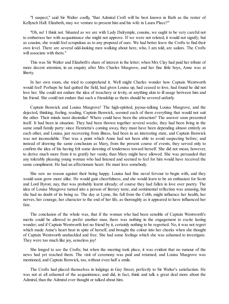"I suspect," said Sir Walter coolly, "that Admiral Croft will be best known in Bath as the renter of Kellynch Hall. Elizabeth, may we venture to present him and his wife in Laura Place?"

"Oh, no! I think not. Situated as we are with Lady Dalrymple, cousins, we ought to be very careful not to embarrass her with acquaintance she might not approve. If we were not related, it would not signify; but as cousins, she would feelscrupulous as to any proposal of ours. We had better leave the Crofts to find their own level. There are several odd-looking men walking about here, who, I am told, are sailors. The Crofts will associate with them."

This was Sir Walter and Elizabeth's share of interest in the letter; when Mrs Clay had paid her tribute of more decent attention, in an enquiry after Mrs Charles Musgrove, and her fine little boys, Anne was at liberty.

In her own room, she tried to comprehend it. Well might Charles wonder how Captain Wentworth would feel! Perhaps he had quitted the field, had given Louisa up, had ceased to love, had found he did not love her. She could not endure the idea of treachery or levity, or anything akin to ill usage between him and his friend. She could not endure that such a friendship as theirs should be severed unfairly.

Captain Benwick and Louisa Musgrove! The high-spirited, joyous-talking Louisa Musgrove, and the dejected, thinking, feeling, reading, Captain Benwick, seemed each of them everything that would not suit the other. Their minds most dissimilar! Where could have been the attraction? The answer soon presented itself. It had been in situation. They had been thrown together several weeks; they had been living in the same small family party: since Henrietta's coming away, they must have been depending almost entirely on each other, and Louisa, just recovering from illness, had been in an interesting state, and Captain Benwick was not inconsolable. That was a point which Anne had not been able to avoid suspecting before; and instead of drawing the same conclusion as Mary, from the present course of events, they served only to confirm the idea of his having felt some dawning of tenderness toward herself. She did not mean, however, to derive much more from it to gratify her vanity, than Mary might have allowed. She was persuaded that any tolerably pleasing young woman who had listened and seemed to feel for him would have received the same compliment. He had an affectionate heart. He must love somebody.

She saw no reason against their being happy. Louisa had fine naval fervour to begin with, and they would soon grow more alike. He would gain cheerfulness, and she would learn to be an enthusiast for Scott and Lord Byron; nay, that was probably learnt already; of course they had fallen in love over poetry. The idea of Louisa Musgrove turned into a person of literary taste, and sentimental reflection was amusing, but she had no doubt of its being so. The day at Lyme, the fall from the Cobb, might influence her health, her nerves, her courage, her character to the end of her life, as thoroughly as it appeared to have influenced her fate.

The conclusion of the whole was, that if the woman who had been sensible of Captain Wentworth's merits could be allowed to prefer another man, there was nothing in the engagement to excite lasting wonder; and if Captain Wentworth lost no friend by it, certainly nothing to be regretted. No, it was not regret which made Anne's heart beat in spite of herself, and brought the colour into her cheeks when she thought of Captain Wentworth unshackled and free. She had some feelings which she was ashamed to investigate. They were too much like joy, senseless joy!

She longed to see the Crofts; but when the meeting took place, it was evident that no rumour of the news had yet reached them. The visit of ceremony was paid and returned; and Louisa Musgrove was mentioned, and Captain Benwick, too, without even half a smile.

The Crofts had placed themselves in lodgings in Gay Street, perfectly to Sir Walter's satisfaction. He was not at all ashamed of the acquaintance, and did, in fact, think and talk a great deal more about the Admiral, than the Admiral ever thought or talked about him.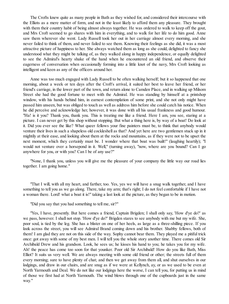The Crofts knew quite as many people in Bath as they wished for, and considered their intercourse with the Elliots as a mere matter of form, and not in the least likely to afford them any pleasure. They brought with them their country habit of being almost always together. He was ordered to walk to keep off the gout, and Mrs Croft seemed to go shares with him in everything, and to walk for her life to do him good. Anne saw them wherever she went. Lady Russell took her out in her carriage almost every morning, and she never failed to think of them, and never failed to see them. Knowing their feelings as she did, it was a most attractive picture of happiness to her. She always watched them as long as she could, delighted to fancy she understood what they might be talking of, as they walked along in happy independence, or equally delighted to see the Admiral's hearty shake of the hand when he encountered an old friend, and observe their eagerness of conversation when occasionally forming into a little knot of the navy, Mrs Croft looking as intelligent and keen as any of the officers around her.

Anne was too much engaged with Lady Russell to be often walking herself; but it so happened that one morning, about a week or ten days after the Croft's arrival, it suited her best to leave her friend, or her friend's carriage, in the lower part of the town, and return alone to Camden Place, and in walking up Milsom Street she had the good fortune to meet with the Admiral. He was standing by himself at a printshop window, with his hands behind him, in earnest contemplation of some print, and she not only might have passed him unseen, but was obliged to touch as well as address him before she could catch his notice. When he did perceive and acknowledge her, however, it was done with all his usual frankness and good humour. "Ha! is it you? Thank you, thank you. This is treating me like a friend. Here I am, you see, staring at a picture. I can never get by this shop without stopping. But what a thing here is, by way of a boat! Do look at it. Did you ever see the like? What queer fellows your fine painters must be, to think that anybody would venture their lives in such a shapeless old cockleshell as that? And yet here are two gentlemen stuck up in it mightily at their ease, and looking about them at the rocks and mountains, as if they were not to be upset the next moment, which they certainly must be. I wonder where that boat was built!" (laughing heartily); "I would not venture over a horsepond in it. Well," (turning away), "now, where are you bound? Can I go anywhere for you, or with you? Can I be of any use?"

"None, I thank you, unless you will give me the pleasure of your company the little way our road lies together. I am going home."

"That I will, with all my heart, and farther, too. Yes, yes we will have a snug walk together, and I have something to tell you as we go along. There, take my arm; that's right; I do not feel comfortable if I have not a woman there. Lord! what a boat it is!" taking a last look at the picture, as they began to be in motion.

"Did you say that you had something to tell me, sir?"

"Yes, I have, presently. But here comes a friend, Captain Brigden; I shall only say, 'How d'ye do?' as we pass, however. I shall not stop. 'How d'ye do?' Brigden stares to see anybody with me but my wife. She, poor soul, is tied by the leg. She has a blister on one of her heels, as large as a three-shilling piece. If you look across the street, you will see Admiral Brand coming down and his brother. Shabby fellows, both of them! I am glad they are not on this side of the way. Sophy cannot bear them. They played me a pitiful trick once: got away with some of my best men. I will tell you the whole story another time. There comes old Sir Archibald Drew and his grandson. Look, he sees us; he kisses his hand to you; he takes you for my wife. Ah! the peace has come too soon for that younker. Poor old Sir Archibald! How do you like Bath, Miss Elliot? It suits us very well. We are always meeting with some old friend or other; the streets full of them every morning; sure to have plenty of chat; and then we get away from them all, and shut ourselves in our lodgings, and draw in our chairs, and are snug as if we were at Kellynch, ay, or as we used to be even at North Yarmouth and Deal. We do not like our lodgings here the worse, I can tell you, for putting us in mind of those we first had at North Yarmouth. The wind blows through one of the cupboards just in the same way."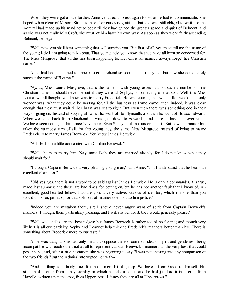When they were got a little farther, Anne ventured to press again for what he had to communicate. She hoped when clear of Milsom Street to have her curiosity gratified; but she was still obliged to wait, for the Admiral had made up his mind not to begin till they had gained the greater space and quiet of Belmont; and as she was not really Mrs Croft, she must let him have his own way. As soon as they were fairly ascending Belmont, he began--

"Well, now you shall hear something that will surprise you. But first of all, you must tell me the name of the young lady I am going to talk about. That young lady, you know, that we have all been so concerned for. The Miss Musgrove, that all this has been happening to. Her Christian name: I always forget her Christian name."

Anne had been ashamed to appear to comprehend so soon as she really did; but now she could safely suggest the name of "Louisa."

"Ay, ay, Miss Louisa Musgrove, that is the name. I wish young ladies had not such a number of fine Christian names. I should never be out if they were all Sophys, or something of that sort. Well, this Miss Louisa, we all thought, you know, was to marry Frederick. He was courting her week after week. The only wonder was, what they could be waiting for, till the business at Lyme came; then, indeed, it was clear enough that they must wait till her brain was set to right. But even then there was something odd in their way of going on. Instead of staying at Lyme, he went off to Plymouth, and then he went off to see Edward. When we came back from Minehead he was gone down to Edward's, and there he has been ever since. We have seen nothing of him since November. Even Sophy could not understand it. But now, the matter has taken the strangest turn of all; for this young lady, the same Miss Musgrove, instead of being to marry Frederick, is to marry James Benwick. You know James Benwick."

"A little. I am a little acquainted with Captain Benwick."

"Well, she is to marry him. Nay, most likely they are married already, for I do not know what they should wait for."

"I thought Captain Benwick a very pleasing young man," said Anne, "and I understand that he bears an excellent character."

"Oh! yes, yes, there is not a word to be said against James Benwick. He is only a commander, it is true, made last summer, and these are bad times for getting on, but he has not another fault that I know of. An excellent, good-hearted fellow, I assure you; a very active, zealous officer too, which is more than you would think for, perhaps, for that soft sort of manner does not do him justice."

"Indeed you are mistaken there, sir; I should never augur want of spirit from Captain Benwick's manners. I thought them particularly pleasing, and I will answer for it, they would generally please."

"Well, well, ladies are the best judges; but James Benwick is rather too piano for me; and though very likely it is all our partiality, Sophy and I cannot help thinking Frederick's manners better than his. There is something about Frederick more to our taste."

Anne was caught. She had only meant to oppose the too common idea of spirit and gentleness being incompatible with each other, not at all to represent Captain Benwick's manners as the very best that could possibly be; and, after a little hesitation, she was beginning to say, "I was not entering into any comparison of the two friends," but the Admiral interrupted her with--

"And the thing is certainly true. It is not a mere bit of gossip. We have it from Frederick himself. His sister had a letter from him yesterday, in which he tells us of it, and he had just had it in a letter from Harville, written upon the spot, from Uppercross. I fancy they are all at Uppercross."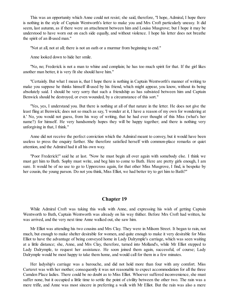This was an opportunity which Anne could not resist; she said, therefore, "I hope, Admiral, I hope there is nothing in the style of Captain Wentworth's letter to make you and Mrs Croft particularly uneasy. It did seem, last autumn, as if there were an attachment between him and Louisa Musgrove; but I hope it may be understood to have worn out on each side equally, and without violence. I hope his letter does not breathe the spirit of an ill-used man."

"Not at all, not at all; there is not an oath or a murmur from beginning to end."

Anne looked down to hide her smile.

"No, no; Frederick is not a man to whine and complain; he has too much spirit for that. If the girl likes another man better, it is very fit she should have him."

"Certainly. But what I mean is, that I hope there is nothing in Captain Wentworth's manner of writing to make you suppose he thinks himself ill-used by his friend, which might appear, you know, without its being absolutely said. I should be very sorry that such a friendship as has subsisted between him and Captain Benwick should be destroyed, or even wounded, by a circumstance of this sort."

"Yes, yes, I understand you. But there is nothing at all of that nature in the letter. He does not give the least fling at Benwick; does not so much as say, 'I wonder at it, I have a reason of my own for wondering at it.' No, you would not guess, from his way of writing, that he had ever thought of this Miss (what's her name?) for himself. He very handsomely hopes they will be happy together; and there is nothing very unforgiving in that, I think."

Anne did not receive the perfect conviction which the Admiral meant to convey, but it would have been useless to press the enquiry farther. She therefore satisfied herself with common-place remarks or quiet attention, and the Admiral had it all his own way.

"Poor Frederick!" said he at last. "Now he must begin all over again with somebody else. I think we must get him to Bath. Sophy must write, and beg him to come to Bath. Here are pretty girls enough, I am sure. It would be of no use to go to Uppercross again, for that other Miss Musgrove, I find, is bespoke by her cousin, the young parson. Do not you think, Miss Elliot, we had better try to get him to Bath?"

#### **Chapter 19**

While Admiral Croft was taking this walk with Anne, and expressing his wish of getting Captain Wentworth to Bath, Captain Wentworth was already on his way thither. Before Mrs Croft had written, he was arrived, and the very next time Anne walked out, she saw him.

Mr Elliot was attending his two cousins and Mrs Clay. They were in Milsom Street. It began to rain, not much, but enough to make shelter desirable for women, and quite enough to make it very desirable for Miss Elliot to have the advantage of being conveyed home in Lady Dalrymple's carriage, which was seen waiting at a little distance; she, Anne, and Mrs Clay, therefore, turned into Molland's, while Mr Elliot stepped to Lady Dalrymple, to request her assistance. He soon joined them again, successful, of course; Lady Dalrymple would be most happy to take them home, and would call for them in a few minutes.

Her ladyship's carriage was a barouche, and did not hold more than four with any comfort. Miss Carteret was with her mother; consequently it was not reasonable to expect accommodation for all the three Camden Place ladies. There could be no doubt as to Miss Elliot. Whoever suffered inconvenience, she must suffer none, but it occupied a little time to settle the point of civility between the other two. The rain was a mere trifle, and Anne was most sincere in preferring a walk with Mr Elliot. But the rain was also a mere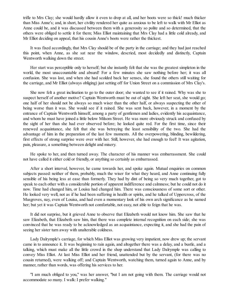trifle to Mrs Clay; she would hardly allow it even to drop at all, and her boots were so thick! much thicker than Miss Anne's; and, in short, her civility rendered her quite as anxious to be left to walk with Mr Elliot as Anne could be, and it was discussed between them with a generosity so polite and so determined, that the others were obliged to settle it for them; Miss Elliot maintaining that Mrs Clay had a little cold already, and Mr Elliot deciding on appeal, that his cousin Anne's boots were rather the thickest.

It was fixed accordingly, that Mrs Clay should be of the party in the carriage; and they had just reached this point, when Anne, as she sat near the window, descried, most decidedly and distinctly, Captain Wentworth walking down the street.

Her start was perceptible only to herself; but she instantly felt that she was the greatest simpleton in the world, the most unaccountable and absurd! For a few minutes she saw nothing before her; it was all confusion. She was lost, and when she had scolded back her senses, she found the others still waiting for the carriage, and Mr Elliot (always obliging) just setting off for Union Street on a commission of Mrs Clay's.

She now felt a great inclination to go to the outer door; she wanted to see if it rained. Why was she to suspect herself of another motive? Captain Wentworth must be out of sight. She left her seat, she would go; one half of her should not be always so much wiser than the other half, or always suspecting the other of being worse than it was. She would see if it rained. She was sent back, however, in a moment by the entrance of Captain Wentworth himself, among a party of gentlemen and ladies, evidently his acquaintance, and whom he must have joined a little below Milsom Street. He was more obviously struck and confused by the sight of her than she had ever observed before; he looked quite red. For the first time, since their renewed acquaintance, she felt that she was betraying the least sensibility of the two. She had the advantage of him in the preparation of the last few moments. All the overpowering, blinding, bewildering, first effects of strong surprise were over with her. Still, however, she had enough to feel! It was agitation, pain, pleasure, a something between delight and misery.

He spoke to her, and then turned away. The character of his manner was embarrassment. She could not have called it either cold or friendly, or anything so certainly as embarrassed.

After a short interval, however, he came towards her, and spoke again. Mutual enquiries on common subjects passed: neither of them, probably, much the wiser for what they heard, and Anne continuing fully sensible of his being less at ease than formerly. They had by dint of being so very much together, got to speak to each other with a considerable portion of apparent indifference and calmness; but he could not do it now. Time had changed him, or Louisa had changed him. There was consciousness of some sort or other. He looked very well, not as if he had been suffering in health or spirits, and he talked of Uppercross, of the Musgroves, nay, even of Louisa, and had even a momentary look of his own arch significance as he named her; but yet it was Captain Wentworth not comfortable, not easy, not able to feign that he was.

It did not surprise, but it grieved Anne to observe that Elizabeth would not know him. She saw that he saw Elizabeth, that Elizabeth saw him, that there was complete internal recognition on each side; she was convinced that he was ready to be acknowledged as an acquaintance, expecting it, and she had the pain of seeing her sister turn away with unalterable coldness.

Lady Dalrymple's carriage, for which Miss Elliot was growing very impatient, now drew up; the servant came in to announce it. It was beginning to rain again, and altogether there was a delay, and a bustle, and a talking, which must make all the little crowd in the shop understand that Lady Dalrymple was calling to convey Miss Elliot. At last Miss Elliot and her friend, unattended but by the servant, (for there was no cousin returned), were walking off; and Captain Wentworth, watching them, turned again to Anne, and by manner, rather than words, was offering his services to her.

"I am much obliged to you," was her answer, "but I am not going with them. The carriage would not accommodate so many. I walk: I prefer walking."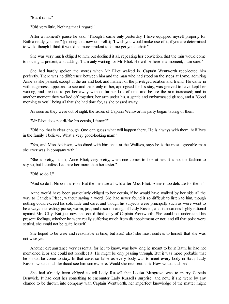"But it rains."

"Oh! very little, Nothing that I regard."

After a moment's pause he said: "Though I came only yesterday, I have equipped myself properly for Bath already, you see," (pointing to a new umbrella); "I wish you would make use of it, if you are determined to walk; though I think it would be more prudent to let me get you a chair."

She was very much obliged to him, but declined it all, repeating her conviction, that the rain would come to nothing at present, and adding, "I am only waiting for Mr Elliot. He will be here in a moment, I am sure."

She had hardly spoken the words when Mr Elliot walked in. Captain Wentworth recollected him perfectly. There was no difference between him and the man who had stood on the steps at Lyme, admiring Anne as she passed, except in the air and look and manner of the privileged relation and friend. He came in with eagerness, appeared to see and think only of her, apologised for his stay, was grieved to have kept her waiting, and anxious to get her away without further loss of time and before the rain increased; and in another moment they walked off together, her arm under his, a gentle and embarrassed glance, and a "Good morning to you!" being all that she had time for, as she passed away.

As soon as they were out of sight, the ladies of Captain Wentworth's party began talking of them.

"Mr Elliot does not dislike his cousin, I fancy?"

"Oh! no, that is clear enough. One can guess what will happen there. He is always with them; half lives in the family, I believe. What a very good-looking man!"

"Yes, and Miss Atkinson, who dined with him once at the Wallises, says he is the most agreeable man she ever was in company with."

"She is pretty, I think; Anne Elliot; very pretty, when one comes to look at her. It is not the fashion to say so, but I confess I admire her more than her sister."

"Oh! so do I."

"And so do I. No comparison. But the men are all wild after Miss Elliot. Anne is too delicate for them."

Anne would have been particularly obliged to her cousin, if he would have walked by her side all the way to Camden Place, without saying a word. She had never found it so difficult to listen to him, though nothing could exceed his solicitude and care, and though his subjects were principally such as were wont to be always interesting: praise, warm, just, and discriminating, of Lady Russell, and insinuations highly rational against Mrs Clay. But just now she could think only of Captain Wentworth. She could not understand his present feelings, whether he were really suffering much from disappointment or not; and till that point were settled, she could not be quite herself.

She hoped to be wise and reasonable in time; but alas! alas! she must confess to herself that she was not wise yet.

Another circumstance very essential for her to know, was how long he meant to be in Bath; he had not mentioned it, or she could not recollect it. He might be only passing through. But it was more probable that he should be come to stay. In that case, so liable as every body was to meet every body in Bath, Lady Russell would in all likelihood see him somewhere. Would she recollect him? How would it all be?

She had already been obliged to tell Lady Russell that Louisa Musgrove was to marry Captain Benwick. It had cost her something to encounter Lady Russell's surprise; and now, if she were by any chance to be thrown into company with Captain Wentworth, her imperfect knowledge of the matter might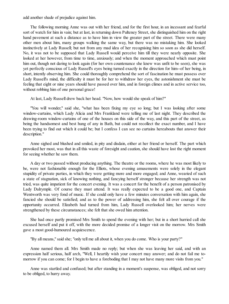add another shade of prejudice against him.

The following morning Anne was out with her friend, and for the first hour, in an incessant and fearful sort of watch for him in vain; but at last, in returning down Pulteney Street, she distinguished him on the right hand pavement at such a distance as to have him in view the greater part of the street. There were many other men about him, many groups walking the same way, but there was no mistaking him. She looked instinctively at Lady Russell; but not from any mad idea of her recognising him so soon as she did herself. No, it was not to be supposed that Lady Russell would perceive him till they were nearly opposite. She looked at her however, from time to time, anxiously; and when the moment approached which must point him out, though not daring to look again (for her own countenance she knew was unfit to be seen), she was yet perfectly conscious of Lady Russell's eyes being turned exactly in the direction for him--of her being, in short, intently observing him. She could thoroughly comprehend the sort of fascination he must possess over Lady Russell's mind, the difficulty it must be for her to withdraw her eyes, the astonishment she must be feeling that eight or nine years should have passed over him, and in foreign climes and in active service too, without robbing him of one personal grace!

At last, Lady Russell drew back her head. "Now, how would she speak of him?"

"You will wonder," said she, "what has been fixing my eye so long; but I was looking after some window-curtains, which Lady Alicia and Mrs Frankland were telling me of last night. They described the drawing-room window-curtains of one of the houses on this side of the way, and this part of the street, as being the handsomest and best hung of any in Bath, but could not recollect the exact number, and I have been trying to find out which it could be; but I confess I can see no curtains hereabouts that answer their description."

Anne sighed and blushed and smiled, in pity and disdain, either at her friend or herself. The part which provoked her most, was that in all this waste of foresight and caution, she should have lost the right moment for seeing whether he saw them.

A day or two passed without producing anything. The theatre or the rooms, where he was most likely to be, were not fashionable enough for the Elliots, whose evening amusements were solely in the elegant stupidity of private parties, in which they were getting more and more engaged; and Anne, wearied of such a state of stagnation, sick of knowing nothing, and fancying herself stronger because her strength was not tried, was quite impatient for the concert evening. It was a concert for the benefit of a person patronised by Lady Dalrymple. Of course they must attend. It was really expected to be a good one, and Captain Wentworth was very fond of music. If she could only have a few minutes conversation with him again, she fancied she should be satisfied; and as to the power of addressing him, she felt all over courage if the opportunity occurred. Elizabeth had turned from him, Lady Russell overlooked him; her nerves were strengthened by these circumstances; she felt that she owed him attention.

She had once partly promised Mrs Smith to spend the evening with her; but in a short hurried call she excused herself and put it off, with the more decided promise of a longer visit on the morrow. Mrs Smith gave a most good-humoured acquiescence.

"By all means," said she; "only tell me all about it, when you do come. Who is your party?"

Anne named them all. Mrs Smith made no reply; but when she was leaving her said, and with an expression half serious, half arch, "Well, I heartily wish your concert may answer; and do not fail me tomorrow if you can come; for I begin to have a foreboding that I may not have many more visits from you."

Anne was startled and confused; but after standing in a moment's suspense, was obliged, and not sorry to be obliged, to hurry away.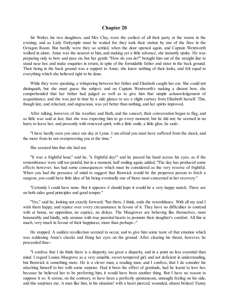#### **Chapter 20**

Sir Walter, his two daughters, and Mrs Clay, were the earliest of all their party at the rooms in the evening; and as Lady Dalrymple must be waited for, they took their station by one of the fires in the Octagon Room. But hardly were they so settled, when the door opened again, and Captain Wentworth walked in alone. Anne was the nearest to him, and making yet a little advance, she instantly spoke. He was preparing only to bow and pass on, but her gentle "How do you do?" brought him out of the straight line to stand near her, and make enquiries in return, in spite of the formidable father and sister in the back ground. Their being in the back ground was a support to Anne; she knew nothing of their looks, and felt equal to everything which she believed right to be done.

While they were speaking, a whispering between her father and Elizabeth caught her ear. She could not distinguish, but she must guess the subject; and on Captain Wentworth's making a distant bow, she comprehended that her father had judged so well as to give him that simple acknowledgement of acquaintance, and she was just in time by a side glance to see a slight curtsey from Elizabeth herself. This, though late, and reluctant, and ungracious, was yet better than nothing, and her spirits improved.

After talking, however, of the weather, and Bath, and the concert, their conversation began to flag, and so little was said at last, that she was expecting him to go every moment, but he did not; he seemed in no hurry to leave her; and presently with renewed spirit, with a little smile, a little glow, he said--

"I have hardly seen you since our day at Lyme. I am afraid you must have suffered from the shock, and the more from its not overpowering you at the time."

She assured him that she had not.

"It was a frightful hour," said he, "a frightful day!" and he passed his hand across his eyes, as if the remembrance were still too painful, but in a moment, half smiling again, added, "The day has produced some effects however; has had some consequences which must be considered as the very reverse of frightful. When you had the presence of mind to suggest that Benwick would be the properest person to fetch a surgeon, you could have little idea of his being eventually one of those most concerned in her recovery."

"Certainly I could have none. But it appears--I should hope it would be a very happy match. There are on both sides good principles and good temper."

"Yes," said he, looking not exactly forward; "but there, I think, ends the resemblance. With all my soul I wish them happy, and rejoice over every circumstance in favour of it. They have no difficulties to contend with at home, no opposition, no caprice, no delays. The Musgroves are behaving like themselves, most honourably and kindly, only anxious with true parental hearts to promote their daughter's comfort. All this is much, very much in favour of their happiness; more than perhaps--"

He stopped. A sudden recollection seemed to occur, and to give him some taste of that emotion which was reddening Anne's cheeks and fixing her eyes on the ground. After clearing his throat, however, he proceeded thus--

"I confess that I do think there is a disparity, too great a disparity, and in a point no less essential than mind. I regard Louisa Musgrove as a very amiable, sweet-tempered girl, and not deficient in understanding, but Benwick is something more. He is a clever man, a reading man; and I confess, that I do consider his attaching himself to her with some surprise. Had it been the effect of gratitude, had he learnt to love her, because he believed her to be preferring him, it would have been another thing. But I have no reason to suppose it so. It seems, on the contrary, to have been a perfectly spontaneous, untaught feeling on his side, and this surprises me. A man like him, in his situation! with a heart pierced, wounded, almost broken! Fanny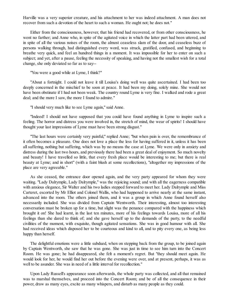Harville was a very superior creature, and his attachment to her was indeed attachment. A man does not recover from such a devotion of the heart to such a woman. He ought not; he does not."

Either from the consciousness, however, that his friend had recovered, or from other consciousness, he went no farther; and Anne who, in spite of the agitated voice in which the latter part had been uttered, and in spite of all the various noises of the room, the almost ceaseless slam of the door, and ceaseless buzz of persons walking through, had distinguished every word, was struck, gratified, confused, and beginning to breathe very quick, and feel an hundred things in a moment. It was impossible for her to enter on such a subject; and yet, after a pause, feeling the necessity of speaking, and having not the smallest wish for a total change, she only deviated so far as to say--

"You were a good while at Lyme, I think?"

"About a fortnight. I could not leave it till Louisa's doing well was quite ascertained. I had been too deeply concerned in the mischief to be soon at peace. It had been my doing, solely mine. She would not have been obstinate if I had not been weak. The country round Lyme is very fine. I walked and rode a great deal; and the more I saw, the more I found to admire."

"I should very much like to see Lyme again," said Anne.

"Indeed! I should not have supposed that you could have found anything in Lyme to inspire such a feeling. The horror and distress you were involved in, the stretch of mind, the wear of spirits! I should have thought your last impressions of Lyme must have been strong disgust."

"The last hours were certainly very painful," replied Anne; "but when pain is over, the remembrance of it often becomes a pleasure. One does not love a place the less for having suffered in it, unless it has been all suffering, nothing but suffering, which was by no means the case at Lyme. We were only in anxiety and distress during the last two hours, and previously there had been a great deal of enjoyment. So much novelty and beauty! I have travelled so little, that every fresh place would be interesting to me; but there is real beauty at Lyme; and in short" (with a faint blush at some recollections), "altogether my impressions of the place are very agreeable."

As she ceased, the entrance door opened again, and the very party appeared for whom they were waiting. "Lady Dalrymple, Lady Dalrymple," was the rejoicing sound; and with all the eagerness compatible with anxious elegance, Sir Walter and his two ladies stepped forward to meet her. Lady Dalrymple and Miss Carteret, escorted by Mr Elliot and Colonel Wallis, who had happened to arrive nearly at the same instant, advanced into the room. The others joined them, and it was a group in which Anne found herself also necessarily included. She was divided from Captain Wentworth. Their interesting, almost too interesting conversation must be broken up for a time, but slight was the penance compared with the happiness which brought it on! She had learnt, in the last ten minutes, more of his feelings towards Louisa, more of all his feelings than she dared to think of; and she gave herself up to the demands of the party, to the needful civilities of the moment, with exquisite, though agitated sensations. She was in good humour with all. She had received ideas which disposed her to be courteous and kind to all, and to pity every one, as being less happy than herself.

The delightful emotions were a little subdued, when on stepping back from the group, to be joined again by Captain Wentworth, she saw that he was gone. She was just in time to see him turn into the Concert Room. He was gone; he had disappeared, she felt a moment's regret. But "they should meet again. He would look for her, he would find her out before the evening were over, and at present, perhaps, it was as well to be asunder. She was in need of a little interval for recollection."

Upon Lady Russell's appearance soon afterwards, the whole party was collected, and all that remained was to marshal themselves, and proceed into the Concert Room; and be of all the consequence in their power, draw as many eyes, excite as many whispers, and disturb as many people as they could.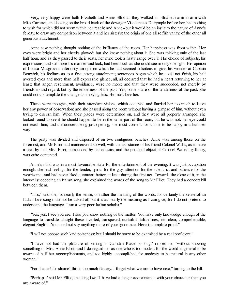Very, very happy were both Elizabeth and Anne Elliot as they walked in. Elizabeth arm in arm with Miss Carteret, and looking on the broad back of the dowager Viscountess Dalrymple before her, had nothing to wish for which did not seem within her reach; and Anne--but it would be an insult to the nature of Anne's felicity, to draw any comparison between it and her sister's; the origin of one allselfish vanity, of the other all generous attachment.

Anne saw nothing, thought nothing of the brilliancy of the room. Her happiness was from within. Her eyes were bright and her cheeks glowed; but she knew nothing about it. She was thinking only of the last half hour, and as they passed to their seats, her mind took a hasty range over it. His choice of subjects, his expressions, and still more his manner and look, had been such as she could see in only one light. His opinion of Louisa Musgrove's inferiority, an opinion which he had seemed solicitous to give, his wonder at Captain Benwick, his feelings as to a first, strong attachment; sentences begun which he could not finish, his half averted eyes and more than half expressive glance, all, all declared that he had a heart returning to her at least; that anger, resentment, avoidance, were no more; and that they were succeeded, not merely by friendship and regard, but by the tenderness of the past. Yes, some share of the tenderness of the past. She could not contemplate the change as implying less. He must love her.

These were thoughts, with their attendant visions, which occupied and flurried her too much to leave her any power of observation; and she passed along the room without having a glimpse of him, without even trying to discern him. When their places were determined on, and they were all properly arranged, she looked round to see if he should happen to be in the same part of the room, but he was not; her eye could not reach him; and the concert being just opening, she must consent for a time to be happy in a humbler way.

The party was divided and disposed of on two contiguous benches: Anne was among those on the foremost, and Mr Elliot had manoeuvred so well, with the assistance of his friend Colonel Wallis, as to have a seat by her. Miss Elliot, surrounded by her cousins, and the principal object of Colonel Wallis's gallantry, was quite contented.

Anne's mind was in a most favourable state for the entertainment of the evening; it was just occupation enough: she had feelings for the tender, spirits for the gay, attention for the scientific, and patience for the wearisome; and had never liked a concert better, at least during the first act. Towards the close of it, in the interval succeeding an Italian song, she explained the words of the song to Mr Elliot. They had a concert bill between them.

"This," said she, "is nearly the sense, or rather the meaning of the words, for certainly the sense of an Italian love-song must not be talked of, but it is as nearly the meaning as I can give; for I do not pretend to understand the language. I am a very poor Italian scholar."

"Yes, yes, I see you are. I see you know nothing of the matter. You have only knowledge enough of the language to translate at sight these inverted, transposed, curtailed Italian lines, into clear, comprehensible, elegant English. You need not say anything more of your ignorance. Here is complete proof."

"I will not oppose such kind politeness; but I should be sorry to be examined by a real proficient."

"I have not had the pleasure of visiting in Camden Place so long," replied he, "without knowing something of Miss Anne Elliot; and I do regard her as one who is too modest for the world in general to be aware of half her accomplishments, and too highly accomplished for modesty to be natural in any other woman."

"For shame! for shame! this is too much flattery. I forget what we are to have next," turning to the bill.

"Perhaps," said Mr Elliot, speaking low, "I have had a longer acquaintance with your character than you are aware of."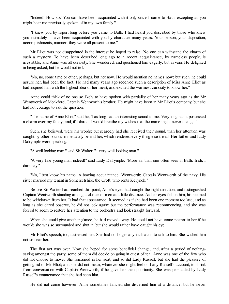"Indeed! How so? You can have been acquainted with it only since I came to Bath, excepting as you might hear me previously spoken of in my own family."

"I knew you by report long before you came to Bath. I had heard you described by those who knew you intimately. I have been acquainted with you by character many years. Your person, your disposition, accomplishments, manner; they were all present to me."

Mr Elliot was not disappointed in the interest he hoped to raise. No one can withstand the charm of such a mystery. To have been described long ago to a recent acquaintance, by nameless people, is irresistible; and Anne was all curiosity. She wondered, and questioned him eagerly; but in vain. He delighted in being asked, but he would not tell.

"No, no, some time or other, perhaps, but not now. He would mention no names now; but such, he could assure her, had been the fact. He had many years ago received such a description of Miss Anne Elliot as had inspired him with the highest idea of her merit, and excited the warmest curiosity to know her."

Anne could think of no one so likely to have spoken with partiality of her many years ago as the Mr Wentworth of Monkford, Captain Wentworth's brother. He might have been in Mr Elliot's company, but she had not courage to ask the question.

"The name of Anne Elliot," said he, "has long had an interesting sound to me. Very long has it possessed a charm over my fancy; and, if I dared, I would breathe my wishes that the name might never change."

Such, she believed, were his words; but scarcely had she received their sound, than her attention was caught by other sounds immediately behind her, which rendered every thing else trivial. Her father and Lady Dalrymple were speaking.

"A well-looking man," said Sir Walter, "a very well-looking man."

"A very fine young man indeed!" said Lady Dalrymple. "More air than one often sees in Bath. Irish, I dare say."

"No, I just know his name. A bowing acquaintance. Wentworth; Captain Wentworth of the navy. His sister married my tenant in Somersetshire, the Croft, who rents Kellynch."

Before Sir Walter had reached this point, Anne's eyes had caught the right direction, and distinguished Captain Wentworth standing among a cluster of men at a little distance. As her eyes fell on him, his seemed to be withdrawn from her. It had that appearance. It seemed as if she had been one moment too late; and as long as she dared observe, he did not look again: but the performance was recommencing, and she was forced to seem to restore her attention to the orchestra and look straight forward.

When she could give another glance, he had moved away. He could not have come nearer to her if he would; she was so surrounded and shut in: but she would rather have caught his eye.

Mr Elliot's speech, too, distressed her. She had no longer any inclination to talk to him. She wished him not so near her.

The first act was over. Now she hoped for some beneficial change; and, after a period of nothingsaying amongst the party, some of them did decide on going in quest of tea. Anne was one of the few who did not choose to move. She remained in her seat, and so did Lady Russell; but she had the pleasure of getting rid of Mr Elliot; and she did not mean, whatever she might feel on Lady Russell's account, to shrink from conversation with Captain Wentworth, if he gave her the opportunity. She was persuaded by Lady Russell's countenance that she had seen him.

He did not come however. Anne sometimes fancied she discerned him at a distance, but he never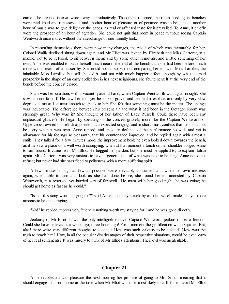came. The anxious interval wore away unproductively. The others returned, the room filled again, benches were reclaimed and repossessed, and another hour of pleasure or of penance was to be sat out, another hour of music was to give delight or the gapes, as real or affected taste for it prevailed. To Anne, it chiefly wore the prospect of an hour of agitation. She could not quit that room in peace without seeing Captain Wentworth once more, without the interchange of one friendly look.

In re-settling themselves there were now many changes, the result of which was favourable for her. Colonel Wallis declined sitting down again, and Mr Elliot was invited by Elizabeth and Miss Carteret, in a manner not to be refused, to sit between them; and by some other removals, and a little scheming of her own, Anne was enabled to place herself much nearer the end of the bench than she had been before, much more within reach of a passer-by. She could not do so, without comparing herself with Miss Larolles, the inimitable Miss Larolles; but still she did it, and not with much happier effect; though by what seemed prosperity in the shape of an early abdication in her next neighbours, she found herself at the very end of the bench before the concert closed.

Such was her situation, with a vacant space at hand, when Captain Wentworth was again in sight. She saw him not far off. He saw her too; yet he looked grave, and seemed irresolute, and only by very slow degrees came at last near enough to speak to her. She felt that something must be the matter. The change was indubitable. The difference between his present air and what it had been in the Octagon Room was strikingly great. Why was it? She thought of her father, of Lady Russell. Could there have been any unpleasant glances? He began by speaking of the concert gravely, more like the Captain Wentworth of Uppercross; owned himself disappointed, had expected singing; and in short, must confess that he should not be sorry when it was over. Anne replied, and spoke in defence of the performance so well, and yet in allowance for his feelings so pleasantly, that his countenance improved, and he replied again with almost a smile. They talked for a few minutes more; the improvement held; he even looked down towards the bench, as if he saw a place on it well worth occupying; when at that moment a touch on her shoulder obliged Anne to turn round. It came from Mr Elliot. He begged her pardon, but she must be applied to, to explain Italian again. Miss Carteret was very anxious to have a general idea of what was next to be sung. Anne could not refuse; but never had she sacrificed to politeness with a more suffering spirit.

A few minutes, though as few as possible, were inevitably consumed; and when her own mistress again, when able to turn and look as she had done before, she found herself accosted by Captain Wentworth, in a reserved yet hurried sort of farewell. "He must wish her good night; he was going; he should get home as fast as he could."

"Is not this song worth staying for?" said Anne, suddenly struck by an idea which made her yet more anxious to be encouraging.

"No!" he replied impressively, "there is nothing worth my staying for;" and he was gone directly.

Jealousy of Mr Elliot! It was the only intelligible motive. Captain Wentworth jealous of her affection! Could she have believed it a week ago; three hours ago! For a moment the gratification was exquisite. But, alas! there were very different thoughts to succeed. How was such jealousy to be quieted? How was the truth to reach him? How, in all the peculiar disadvantages of their respective situations, would he ever learn of her realsentiments? It was misery to think of Mr Elliot's attentions. Their evil was incalculable.

# **Chapter 21**

Anne recollected with pleasure the next morning her promise of going to Mrs Smith, meaning that it should engage her from home at the time when Mr Elliot would be most likely to call; for to avoid Mr Elliot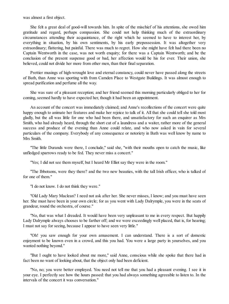was almost a first object.

She felt a great deal of good-will towards him. In spite of the mischief of his attentions, she owed him gratitude and regard, perhaps compassion. She could not help thinking much of the extraordinary circumstances attending their acquaintance, of the right which he seemed to have to interest her, by everything in situation, by his own sentiments, by his early prepossession. It was altogether very extraordinary; flattering, but painful. There was much to regret. How she might have felt had there been no Captain Wentworth in the case, was not worth enquiry; for there was a Captain Wentworth; and be the conclusion of the present suspense good or bad, her affection would be his for ever. Their union, she believed, could not divide her more from other men, than their final separation.

Prettier musings of high-wrought love and eternal constancy, could never have passed along the streets of Bath, than Anne was sporting with from Camden Place to Westgate Buildings. It was almost enough to spread purification and perfume all the way.

She was sure of a pleasant reception; and her friend seemed this morning particularly obliged to her for coming, seemed hardly to have expected her, though it had been an appointment.

An account of the concert was immediately claimed; and Anne's recollections of the concert were quite happy enough to animate her features and make her rejoice to talk of it. All that she could tell she told most gladly, but the all was little for one who had been there, and unsatisfactory for such an enquirer as Mrs Smith, who had already heard, through the short cut of a laundress and a waiter, rather more of the general success and produce of the evening than Anne could relate, and who now asked in vain for several particulars of the company. Everybody of any consequence or notoriety in Bath was well know by name to Mrs Smith.

"The little Durands were there, I conclude," said she, "with their mouths open to catch the music, like unfledged sparrows ready to be fed. They never miss a concert."

"Yes; I did not see them myself, but I heard Mr Elliot say they were in the room."

"The Ibbotsons, were they there? and the two new beauties, with the tall Irish officer, who is talked of for one of them."

"I do not know. I do not think they were."

"Old Lady Mary Maclean? I need not ask after her. She never misses, I know; and you must have seen her. She must have been in your own circle; for as you went with Lady Dalrymple, you were in the seats of grandeur, round the orchestra, of course."

"No, that was what I dreaded. It would have been very unpleasant to me in every respect. But happily Lady Dalrymple always chooses to be farther off; and we were exceedingly well placed, that is, for hearing; I must not say for seeing, because I appear to have seen very little."

"Oh! you saw enough for your own amusement. I can understand. There is a sort of domestic enjoyment to be known even in a crowd, and this you had. You were a large party in yourselves, and you wanted nothing beyond."

"But I ought to have looked about me more," said Anne, conscious while she spoke that there had in fact been no want of looking about, that the object only had been deficient.

"No, no; you were better employed. You need not tell me that you had a pleasant evening. I see it in your eye. I perfectly see how the hours passed: that you had always something agreeable to listen to. In the intervals of the concert it was conversation."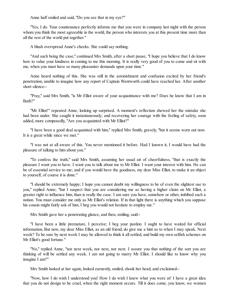Anne half smiled and said, "Do you see that in my eye?"

"Yes, I do. Your countenance perfectly informs me that you were in company last night with the person whom you think the most agreeable in the world, the person who interests you at this present time more than all the rest of the world put together."

A blush overspread Anne's cheeks. She could say nothing.

"And such being the case," continued Mrs Smith, after a short pause, "I hope you believe that I do know how to value your kindness in coming to me this morning. It is really very good of you to come and sit with me, when you must have so many pleasanter demands upon your time."

Anne heard nothing of this. She was still in the astonishment and confusion excited by her friend's penetration, unable to imagine how any report of Captain Wentworth could have reached her. After another short silence--

"Pray," said Mrs Smith, "is Mr Elliot aware of your acquaintance with me? Does he know that I am in Bath?"

"Mr Elliot!" repeated Anne, looking up surprised. A moment's reflection shewed her the mistake she had been under. She caught it instantaneously; and recovering her courage with the feeling of safety, soon added, more composedly, "Are you acquainted with Mr Elliot?"

"I have been a good deal acquainted with him," replied Mrs Smith, gravely, "but it seems worn out now. It is a great while since we met."

"I was not at all aware of this. You never mentioned it before. Had I known it, I would have had the pleasure of talking to him about you."

"To confess the truth," said Mrs Smith, assuming her usual air of cheerfulness, "that is exactly the pleasure I want you to have. I want you to talk about me to Mr Elliot. I want your interest with him. He can be of essential service to me; and if you would have the goodness, my dear Miss Elliot, to make it an object to yourself, of course it is done."

"I should be extremely happy; I hope you cannot doubt my willingness to be of even the slightest use to you," replied Anne; "but I suspect that you are considering me as having a higher claim on Mr Elliot, a greater right to influence him, than is really the case. I am sure you have, somehow or other, imbibed such a notion. You must consider me only as Mr Elliot's relation. If in that light there is anything which you suppose his cousin might fairly ask of him, I beg you would not hesitate to employ me."

Mrs Smith gave her a penetrating glance, and then, smiling, said--

"I have been a little premature, I perceive; I beg your pardon. I ought to have waited for official information, But now, my dear Miss Elliot, as an old friend, do give me a hint as to when I may speak. Next week? To be sure by next week I may be allowed to think it all settled, and build my own selfish schemes on Mr Elliot's good fortune."

"No," replied Anne, "nor next week, nor next, nor next. I assure you that nothing of the sort you are thinking of will be settled any week. I am not going to marry Mr Elliot. I should like to know why you imagine I am?"

Mrs Smith looked at her again, looked earnestly, smiled, shook her head, and exclaimed--

"Now, how I do wish I understood you! How I do wish I knew what you were at! I have a great idea that you do not design to be cruel, when the right moment occurs. Till it does come, you know, we women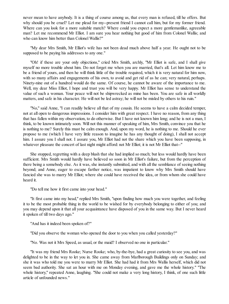never mean to have anybody. It is a thing of course among us, that every man is refused, till he offers. But why should you be cruel? Let me plead for my--present friend I cannot call him, but for my former friend. Where can you look for a more suitable match? Where could you expect a more gentlemanlike, agreeable man? Let me recommend Mr Elliot. I am sure you hear nothing but good of him from Colonel Wallis; and who can know him better than Colonel Wallis?"

"My dear Mrs Smith, Mr Elliot's wife has not been dead much above half a year. He ought not to be supposed to be paying his addresses to any one."

"Oh! if these are your only objections," cried Mrs Smith, archly, "Mr Elliot is safe, and I shall give myself no more trouble about him. Do not forget me when you are married, that's all. Let him know me to be a friend of yours, and then he will think little of the trouble required, which it is very natural for him now, with so many affairs and engagements of his own, to avoid and get rid of as he can; very natural, perhaps. Ninety-nine out of a hundred would do the same. Of course, he cannot be aware of the importance to me. Well, my dear Miss Elliot, I hope and trust you will be very happy. Mr Elliot has sense to understand the value of such a woman. Your peace will not be shipwrecked as mine has been. You are safe in all worldly matters, and safe in his character. He will not be led astray; he will not be misled by others to his ruin."

"No," said Anne, "I can readily believe all that of my cousin. He seems to have a calm decided temper, not at all open to dangerous impressions. I consider him with great respect. I have no reason, from any thing that has fallen within my observation, to do otherwise. But I have not known him long; and he is not a man, I think, to be known intimately soon. Will not this manner of speaking of him, Mrs Smith, convince you that he is nothing to me? Surely this must be calm enough. And, upon my word, he is nothing to me. Should he ever propose to me (which I have very little reason to imagine he has any thought of doing), I shall not accept him. I assure you I shall not. I assure you, Mr Elliot had not the share which you have been supposing, in whatever pleasure the concert of last night might afford: not Mr Elliot; it is not Mr Elliot that--"

She stopped, regretting with a deep blush that she had implied so much; but less would hardly have been sufficient. Mrs Smith would hardly have believed so soon in Mr Elliot's failure, but from the perception of there being a somebody else. As it was, she instantly submitted, and with all the semblance of seeing nothing beyond; and Anne, eager to escape farther notice, was impatient to know why Mrs Smith should have fancied she was to marry Mr Elliot; where she could have received the idea, or from whom she could have heard it.

"Do tell me how it first came into your head."

"It first came into my head," replied Mrs Smith, "upon finding how much you were together, and feeling it to be the most probable thing in the world to be wished for by everybody belonging to either of you; and you may depend upon it that all your acquaintance have disposed of you in the same way. But I never heard it spoken of till two days ago."

"And has it indeed been spoken of?"

"Did you observe the woman who opened the door to you when you called yesterday?"

"No. Was not it Mrs Speed, as usual, or the maid? I observed no one in particular."

"It was my friend Mrs Rooke; Nurse Rooke; who, by-the-bye, had a great curiosity to see you, and was delighted to be in the way to let you in. She came away from Marlborough Buildings only on Sunday; and she it was who told me you were to marry Mr Elliot. She had had it from Mrs Wallis herself, which did not seem bad authority. She sat an hour with me on Monday evening, and gave me the whole history." "The whole history," repeated Anne, laughing. "She could not make a very long history, I think, of one such little article of unfounded news."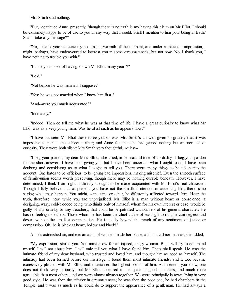Mrs Smith said nothing.

"But," continued Anne, presently, "though there is no truth in my having this claim on Mr Elliot, I should be extremely happy to be of use to you in any way that I could. Shall I mention to him your being in Bath? Shall I take any message?"

"No, I thank you: no, certainly not. In the warmth of the moment, and under a mistaken impression, I might, perhaps, have endeavoured to interest you in some circumstances; but not now. No, I thank you, I have nothing to trouble you with."

"I think you spoke of having known Mr Elliot many years?"

"I did."

"Not before he was married, I suppose?"

"Yes; he was not married when I knew him first."

"And--were you much acquainted?"

"Intimately."

"Indeed! Then do tell me what he was at that time of life. I have a great curiosity to know what Mr Elliot was as a very young man. Was he at allsuch as he appears now?"

"I have not seen Mr Elliot these three years," was Mrs Smith's answer, given so gravely that it was impossible to pursue the subject farther; and Anne felt that she had gained nothing but an increase of curiosity. They were both silent: Mrs Smith very thoughtful. At last--

"I beg your pardon, my dear Miss Elliot," she cried, in her natural tone of cordiality, "I beg your pardon for the short answers I have been giving you, but I have been uncertain what I ought to do. I have been doubting and considering as to what I ought to tell you. There were many things to be taken into the account. One hates to be officious, to be giving bad impressions, making mischief. Even the smooth surface of family-union seems worth preserving, though there may be nothing durable beneath. However, I have determined; I think I am right; I think you ought to be made acquainted with Mr Elliot's real character. Though I fully believe that, at present, you have not the smallest intention of accepting him, there is no saying what may happen. You might, some time or other, be differently affected towards him. Hear the truth, therefore, now, while you are unprejudiced. Mr Elliot is a man without heart or conscience; a designing, wary, cold-blooded being, who thinks only of himself; whom for his own interest or ease, would be guilty of any cruelty, or any treachery, that could be perpetrated without risk of his general character. He has no feeling for others. Those whom he has been the chief cause of leading into ruin, he can neglect and desert without the smallest compunction. He is totally beyond the reach of any sentiment of justice or compassion. Oh! he is black at heart, hollow and black!"

Anne's astonished air, and exclamation of wonder, made her pause, and in a calmer manner, she added,

"My expressions startle you. You must allow for an injured, angry woman. But I will try to command myself. I will not abuse him. I will only tell you what I have found him. Facts shall speak. He was the intimate friend of my dear husband, who trusted and loved him, and thought him as good as himself. The intimacy had been formed before our marriage. I found them most intimate friends; and I, too, became excessively pleased with Mr Elliot, and entertained the highest opinion of him. At nineteen, you know, one does not think very seriously; but Mr Elliot appeared to me quite as good as others, and much more agreeable than most others, and we were almost always together. We were principally in town, living in very good style. He was then the inferior in circumstances; he was then the poor one; he had chambers in the Temple, and it was as much as he could do to support the appearance of a gentleman. He had always a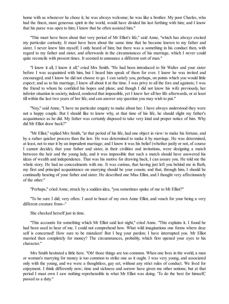home with us whenever he chose it; he was always welcome; he was like a brother. My poor Charles, who had the finest, most generous spirit in the world, would have divided his last farthing with him; and I know that his purse was open to him; I know that he often assisted him."

"This must have been about that very period of Mr Elliot's life," said Anne, "which has always excited my particular curiosity. It must have been about the same time that he became known to my father and sister. I never knew him myself; I only heard of him; but there was a something in his conduct then, with regard to my father and sister, and afterwards in the circumstances of his marriage, which I never could quite reconcile with present times. It seemed to announce a different sort of man."

"I know it all, I know it all," cried Mrs Smith. "He had been introduced to Sir Walter and your sister before I was acquainted with him, but I heard him speak of them for ever. I know he was invited and encouraged, and I know he did not choose to go. I can satisfy you, perhaps, on points which you would little expect; and as to his marriage, I knew all about it at the time. I was privy to all the fors and againsts; I was the friend to whom he confided his hopes and plans; and though I did not know his wife previously, her inferior situation in society, indeed, rendered that impossible, yet I knew her all her life afterwards, or at least till within the last two years of her life, and can answer any question you may wish to put."

"Nay," said Anne, "I have no particular enquiry to make about her. I have always understood they were not a happy couple. But I should like to know why, at that time of his life, he should slight my father's acquaintance as he did. My father was certainly disposed to take very kind and proper notice of him. Why did Mr Elliot draw back?"

"Mr Elliot," replied Mrs Smith, "at that period of his life, had one object in view: to make his fortune, and by a rather quicker process than the law. He was determined to make it by marriage. He was determined, at least, not to mar it by an imprudent marriage; and I know it was his belief (whether justly or not, of course I cannot decide), that your father and sister, in their civilities and invitations, were designing a match between the heir and the young lady, and it was impossible that such a match should have answered his ideas of wealth and independence. That was his motive for drawing back, I can assure you. He told me the whole story. He had no concealments with me. It was curious, that having just left you behind me in Bath, my first and principal acquaintance on marrying should be your cousin; and that, through him, I should be continually hearing of your father and sister. He described one Miss Elliot, and I thought very affectionately of the other."

"Perhaps," cried Anne, struck by a sudden idea, "you sometimes spoke of me to Mr Elliot?"

"To be sure I did; very often. I used to boast of my own Anne Elliot, and vouch for your being a very different creature from--"

She checked herself just in time.

"This accounts for something which Mr Elliot said last night," cried Anne. "This explains it. I found he had been used to hear of me. I could not comprehend how. What wild imaginations one forms where dear self is concerned! How sure to be mistaken! But I beg your pardon; I have interrupted you. Mr Elliot married then completely for money? The circumstances, probably, which first opened your eyes to his character."

Mrs Smith hesitated a little here. "Oh! those things are too common. When one lives in the world, a man or woman's marrying for money is too common to strike one as it ought. I was very young, and associated only with the young, and we were a thoughtless, gay set, without any strict rules of conduct. We lived for enjoyment. I think differently now; time and sickness and sorrow have given me other notions; but at that period I must own I saw nothing reprehensible in what Mr Elliot was doing. 'To do the best for himself,' passed as a duty."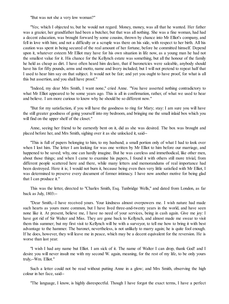"But was not she a very low woman?"

"Yes; which I objected to, but he would not regard. Money, money, was all that he wanted. Her father was a grazier, her grandfather had been a butcher, but that was all nothing. She was a fine woman, had had a decent education, was brought forward by some cousins, thrown by chance into Mr Elliot's company, and fell in love with him; and not a difficulty or a scruple was there on his side, with respect to her birth. All his caution was spent in being secured of the real amount of her fortune, before he committed himself. Depend upon it, whatever esteem Mr Elliot may have for his own situation in life now, as a young man he had not the smallest value for it. His chance for the Kellynch estate was something, but all the honour of the family he held as cheap as dirt. I have often heard him declare, that if baronetcies were saleable, anybody should have his for fifty pounds, arms and motto, name and livery included; but I will not pretend to repeat half that I used to hear him say on that subject. It would not be fair; and yet you ought to have proof, for what is all this but assertion, and you shall have proof."

"Indeed, my dear Mrs Smith, I want none," cried Anne. "You have asserted nothing contradictory to what Mr Elliot appeared to be some years ago. This is all in confirmation, rather, of what we used to hear and believe. I am more curious to know why he should be so different now."

"But for my satisfaction, if you will have the goodness to ring for Mary; stay: I am sure you will have the still greater goodness of going yourself into my bedroom, and bringing me the small inlaid box which you will find on the upper shelf of the closet."

Anne, seeing her friend to be earnestly bent on it, did as she was desired. The box was brought and placed before her, and Mrs Smith, sighing over it as she unlocked it, said--

"This is full of papers belonging to him, to my husband; a small portion only of what I had to look over when I lost him. The letter I am looking for was one written by Mr Elliot to him before our marriage, and happened to be saved; why, one can hardly imagine. But he was careless and immethodical, like other men, about those things; and when I came to examine his papers, I found it with others still more trivial, from different people scattered here and there, while many letters and memorandums of real importance had been destroyed. Here it is; I would not burn it, because being even then very little satisfied with Mr Elliot, I was determined to preserve every document of former intimacy. I have now another motive for being glad that I can produce it."

This was the letter, directed to "Charles Smith, Esq. Tunbridge Wells," and dated from London, as far back as July, 1803:--

"Dear Smith,--I have received yours. Your kindness almost overpowers me. I wish nature had made such hearts as yours more common, but I have lived three-and-twenty years in the world, and have seen none like it. At present, believe me, I have no need of your services, being in cash again. Give me joy: I have got rid of Sir Walter and Miss. They are gone back to Kellynch, and almost made me swear to visit them this summer; but my first visit to Kellynch will be with a surveyor, to tell me how to bring it with best advantage to the hammer. The baronet, nevertheless, is not unlikely to marry again; he is quite fool enough. If he does, however, they will leave me in peace, which may be a decent equivalent for the reversion. He is worse than last year.

"I wish I had any name but Elliot. I am sick of it. The name of Walter I can drop, thank God! and I desire you will never insult me with my second W. again, meaning, for the rest of my life, to be only yours truly,--Wm. Elliot."

Such a letter could not be read without putting Anne in a glow; and Mrs Smith, observing the high colour in her face, said--

"The language, I know, is highly disrespectful. Though I have forgot the exact terms, I have a perfect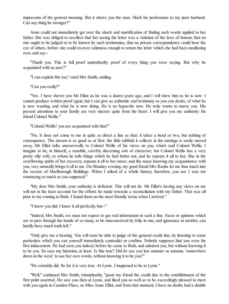impression of the general meaning. But it shows you the man. Mark his professions to my poor husband. Can any thing be stronger?"

Anne could not immediately get over the shock and mortification of finding such words applied to her father. She was obliged to recollect that her seeing the letter was a violation of the laws of honour, that no one ought to be judged or to be known by such testimonies, that no private correspondence could bear the eye of others, before she could recover calmness enough to return the letter which she had been meditating over, and say--

"Thank you. This is full proof undoubtedly; proof of every thing you were saying. But why be acquainted with us now?"

"I can explain this too," cried Mrs Smith, smiling.

"Can you really?"

"Yes. I have shewn you Mr Elliot as he was a dozen years ago, and I will shew him as he is now. I cannot produce written proof again, but I can give as authentic oral testimony as you can desire, of what he is now wanting, and what he is now doing. He is no hypocrite now. He truly wants to marry you. His present attentions to your family are very sincere: quite from the heart. I will give you my authority: his friend Colonel Wallis."

"Colonel Wallis! you are acquainted with him?"

"No. It does not come to me in quite so direct a line as that; it takes a bend or two, but nothing of consequence. The stream is as good as at first; the little rubbish it collects in the turnings is easily moved away. Mr Elliot talks unreservedly to Colonel Wallis of his views on you, which said Colonel Wallis, I imagine to be, in himself, a sensible, careful, discerning sort of character; but Colonel Wallis has a very pretty silly wife, to whom he tells things which he had better not, and he repeats it all to her. She in the overflowing spirits of her recovery, repeats it all to her nurse; and the nurse knowing my acquaintance with you, very naturally brings it all to me. On Monday evening, my good friend Mrs Rooke let me thus much into the secrets of Marlborough Buildings. When I talked of a whole history, therefore, you see I was not romancing so much as you supposed."

"My dear Mrs Smith, your authority is deficient. This will not do. Mr Elliot's having any views on me will not in the least account for the efforts he made towards a reconciliation with my father. That was all prior to my coming to Bath. I found them on the most friendly terms when I arrived."

"I know you did; I know it all perfectly, but--"

"Indeed, Mrs Smith, we must not expect to get real information in such a line. Facts or opinions which are to pass through the hands of so many, to be misconceived by folly in one, and ignorance in another, can hardly have much truth left."

"Only give me a hearing. You will soon be able to judge of the general credit due, by listening to some particulars which you can yourself immediately contradict or confirm. Nobody supposes that you were his first inducement. He had seen you indeed, before he came to Bath, and admired you, but without knowing it to be you. So says my historian, at least. Is this true? Did he see you last summer or autumn, 'somewhere down in the west,' to use her own words, without knowing it to be you?"

"He certainly did. So far it is very true. At Lyme. I happened to be at Lyme."

"Well," continued Mrs Smith, triumphantly, "grant my friend the credit due to the establishment of the first point asserted. He saw you then at Lyme, and liked you so well as to be exceedingly pleased to meet with you again in Camden Place, as Miss Anne Elliot, and from that moment, I have no doubt, had a double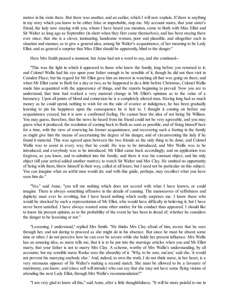motive in his visits there. But there was another, and an earlier, which I will now explain. If there is anything in my story which you know to be either false or improbable, stop me. My account states, that your sister's friend, the lady now staying with you, whom I have heard you mention, came to Bath with Miss Elliot and Sir Walter as long ago as September (in short when they first came themselves), and has been staying there ever since; that she is a clever, insinuating, handsome woman, poor and plausible, and altogether such in situation and manner, as to give a general idea, among Sir Walter's acquaintance, of her meaning to be Lady Elliot, and as general a surprise that Miss Elliot should be apparently, blind to the danger."

Here Mrs Smith paused a moment; but Anne had not a word to say, and she continued--

"This was the light in which it appeared to those who knew the family, long before you returned to it; and Colonel Wallis had his eye upon your father enough to be sensible of it, though he did not then visit in Camden Place; but his regard for Mr Elliot gave him an interest in watching all that was going on there, and when Mr Elliot came to Bath for a day or two, as he happened to do a little before Christmas, Colonel Wallis made him acquainted with the appearance of things, and the reports beginning to prevail. Now you are to understand, that time had worked a very material change in Mr Elliot's opinions as to the value of a baronetcy. Upon all points of blood and connexion he is a completely altered man. Having long had as much money as he could spend, nothing to wish for on the side of avarice or indulgence, he has been gradually learning to pin his happiness upon the consequence he is heir to. I thought it coming on before our acquaintance ceased, but it is now a confirmed feeling. He cannot bear the idea of not being Sir William. You may guess, therefore, that the news he heard from his friend could not be very agreeable, and you may guess what it produced; the resolution of coming back to Bath as soon as possible, and of fixing himself here for a time, with the view of renewing his former acquaintance, and recovering such a footing in the family as might give him the means of ascertaining the degree of his danger, and of circumventing the lady if he found it material. This was agreed upon between the two friends as the only thing to be done; and Colonel Wallis was to assist in every way that he could. He was to be introduced, and Mrs Wallis was to be introduced, and everybody was to be introduced. Mr Elliot came back accordingly; and on application was forgiven, as you know, and re-admitted into the family; and there it was his constant object, and his only object (till your arrival added another motive), to watch Sir Walter and Mrs Clay. He omitted no opportunity of being with them, threw himself in their way, called at all hours; but I need not be particular on this subject. You can imagine what an artful man would do; and with this guide, perhaps, may recollect what you have seen him do."

"Yes," said Anne, "you tell me nothing which does not accord with what I have known, or could imagine. There is always something offensive in the details of cunning. The manoeuvres of selfishness and duplicity must ever be revolting, but I have heard nothing which really surprises me. I know those who would be shocked by such a representation of Mr Elliot, who would have difficulty in believing it; but I have never been satisfied. I have always wanted some other motive for his conduct than appeared. I should like to know his present opinion, as to the probability of the event he has been in dread of; whether he considers the danger to be lessening or not."

"Lessening, I understand," replied Mrs Smith. "He thinks Mrs Clay afraid of him, aware that he sees through her, and not daring to proceed as she might do in his absence. But since he must be absent some time or other, I do not perceive how he can ever be secure while she holds her present influence. Mrs Wallis has an amusing idea, as nurse tells me, that it is to be put into the marriage articles when you and Mr Elliot marry, that your father is not to marry Mrs Clay. A scheme, worthy of Mrs Wallis's understanding, by all accounts; but my sensible nurse Rooke sees the absurdity of it. 'Why, to be sure, ma'am,' said she, 'it would not prevent his marrying anybody else.' And, indeed, to own the truth, I do not think nurse, in her heart, is a very strenuous opposer of Sir Walter's making a second match. She must be allowed to be a favourer of matrimony, you know; and (since self will intrude) who can say that she may not have some flying visions of attending the next Lady Elliot, through Mrs Wallis's recommendation?"

"I am very glad to know all this," said Anne, after a little thoughtfulness. "It will be more painful to me in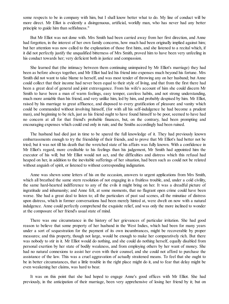some respects to be in company with him, but I shall know better what to do. My line of conduct will be more direct. Mr Elliot is evidently a disingenuous, artificial, worldly man, who has never had any better principle to guide him than selfishness."

But Mr Elliot was not done with. Mrs Smith had been carried away from her first direction, and Anne had forgotten, in the interest of her own family concerns, how much had been originally implied against him; but her attention was now called to the explanation of those first hints, and she listened to a recital which, if it did not perfectly justify the unqualified bitterness of Mrs Smith, proved him to have been very unfeeling in his conduct towards her; very deficient both in justice and compassion.

She learned that (the intimacy between them continuing unimpaired by Mr Elliot's marriage) they had been as before always together, and Mr Elliot had led his friend into expenses much beyond his fortune. Mrs Smith did not want to take blame to herself, and was most tender of throwing any on her husband; but Anne could collect that their income had never been equal to their style of living, and that from the first there had been a great deal of general and joint extravagance. From his wife's account of him she could discern Mr Smith to have been a man of warm feelings, easy temper, careless habits, and not strong understanding, much more amiable than his friend, and very unlike him, led by him, and probably despised by him. Mr Elliot, raised by his marriage to great affluence, and disposed to every gratification of pleasure and vanity which could be commanded without involving himself, (for with all his self-indulgence he had become a prudent man), and beginning to be rich, just as his friend ought to have found himself to be poor, seemed to have had no concern at all for that friend's probable finances, but, on the contrary, had been prompting and encouraging expenses which could end only in ruin; and the Smiths accordingly had been ruined.

The husband had died just in time to be spared the full knowledge of it. They had previously known embarrassments enough to try the friendship of their friends, and to prove that Mr Elliot's had better not be tried; but it was not till his death that the wretched state of his affairs was fully known. With a confidence in Mr Elliot's regard, more creditable to his feelings than his judgement, Mr Smith had appointed him the executor of his will; but Mr Elliot would not act, and the difficulties and distress which this refusal had heaped on her, in addition to the inevitable sufferings of her situation, had been such as could not be related without anguish of spirit, or listened to without corresponding indignation.

Anne was shewn some letters of his on the occasion, answers to urgent applications from Mrs Smith, which all breathed the same stern resolution of not engaging in a fruitless trouble, and, under a cold civility, the same hard-hearted indifference to any of the evils it might bring on her. It was a dreadful picture of ingratitude and inhumanity; and Anne felt, at some moments, that no flagrant open crime could have been worse. She had a great deal to listen to; all the particulars of past sad scenes, all the minutiae of distress upon distress, which in former conversations had been merely hinted at, were dwelt on now with a natural indulgence. Anne could perfectly comprehend the exquisite relief, and was only the more inclined to wonder at the composure of her friend's usualstate of mind.

There was one circumstance in the history of her grievances of particular irritation. She had good reason to believe that some property of her husband in the West Indies, which had been for many years under a sort of sequestration for the payment of its own incumbrances, might be recoverable by proper measures; and this property, though not large, would be enough to make her comparatively rich. But there was nobody to stir in it. Mr Elliot would do nothing, and she could do nothing herself, equally disabled from personal exertion by her state of bodily weakness, and from employing others by her want of money. She had no natural connexions to assist her even with their counsel, and she could not afford to purchase the assistance of the law. This was a cruel aggravation of actually straitened means. To feel that she ought to be in better circumstances, that a little trouble in the right place might do it, and to fear that delay might be even weakening her claims, was hard to bear.

It was on this point that she had hoped to engage Anne's good offices with Mr Elliot. She had previously, in the anticipation of their marriage, been very apprehensive of losing her friend by it; but on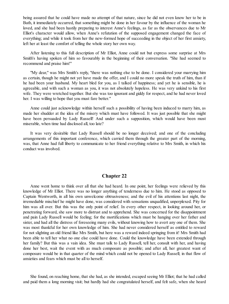being assured that he could have made no attempt of that nature, since he did not even know her to be in Bath, it immediately occurred, that something might be done in her favour by the influence of the woman he loved, and she had been hastily preparing to interest Anne's feelings, as far as the observances due to Mr Elliot's character would allow, when Anne's refutation of the supposed engagement changed the face of everything; and while it took from her the new-formed hope of succeeding in the object of her first anxiety, left her at least the comfort of telling the whole story her own way.

After listening to this full description of Mr Elliot, Anne could not but express some surprise at Mrs Smith's having spoken of him so favourably in the beginning of their conversation. "She had seemed to recommend and praise him!"

"My dear," was Mrs Smith's reply, "there was nothing else to be done. I considered your marrying him as certain, though he might not yet have made the offer, and I could no more speak the truth of him, than if he had been your husband. My heart bled for you, as I talked of happiness; and yet he is sensible, he is agreeable, and with such a woman as you, it was not absolutely hopeless. He was very unkind to his first wife. They were wretched together. But she was too ignorant and giddy for respect, and he had never loved her. I was willing to hope that you must fare better."

Anne could just acknowledge within herself such a possibility of having been induced to marry him, as made her shudder at the idea of the misery which must have followed. It was just possible that she might have been persuaded by Lady Russell! And under such a supposition, which would have been most miserable, when time had disclosed all, too late?

It was very desirable that Lady Russell should be no longer deceived; and one of the concluding arrangements of this important conference, which carried them through the greater part of the morning, was, that Anne had full liberty to communicate to her friend everything relative to Mrs Smith, in which his conduct was involved.

# **Chapter 22**

Anne went home to think over all that she had heard. In one point, her feelings were relieved by this knowledge of Mr Elliot. There was no longer anything of tenderness due to him. He stood as opposed to Captain Wentworth, in all his own unwelcome obtrusiveness; and the evil of his attentions last night, the irremediable mischief he might have done, was considered with sensations unqualified, unperplexed. Pity for him was all over. But this was the only point of relief. In every other respect, in looking around her, or penetrating forward, she saw more to distrust and to apprehend. She was concerned for the disappointment and pain Lady Russell would be feeling; for the mortifications which must be hanging over her father and sister, and had all the distress of foreseeing many evils, without knowing how to avert any one of them. She was most thankful for her own knowledge of him. She had never considered herself as entitled to reward for not slighting an old friend like Mrs Smith, but here was a reward indeed springing from it! Mrs Smith had been able to tell her what no one else could have done. Could the knowledge have been extended through her family? But this was a vain idea. She must talk to Lady Russell, tell her, consult with her, and having done her best, wait the event with as much composure as possible; and after all, her greatest want of composure would be in that quarter of the mind which could not be opened to Lady Russell; in that flow of anxieties and fears which must be all to herself.

She found, on reaching home, that she had, as she intended, escaped seeing Mr Elliot; that he had called and paid them a long morning visit; but hardly had she congratulated herself, and felt safe, when she heard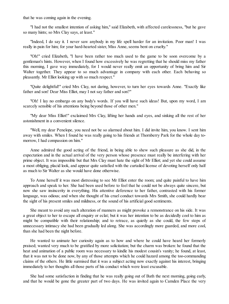that he was coming again in the evening.

"I had not the smallest intention of asking him," said Elizabeth, with affected carelessness, "but he gave so many hints; so Mrs Clay says, at least."

"Indeed, I do say it. I never saw anybody in my life spell harder for an invitation. Poor man! I was really in pain for him; for your hard-hearted sister, Miss Anne, seems bent on cruelty."

"Oh!" cried Elizabeth, "I have been rather too much used to the game to be soon overcome by a gentleman's hints. However, when I found how excessively he was regretting that he should miss my father this morning, I gave way immediately, for I would never really omit an opportunity of bring him and Sir Walter together. They appear to so much advantage in company with each other. Each behaving so pleasantly. Mr Elliot looking up with so much respect."

"Quite delightful!" cried Mrs Clay, not daring, however, to turn her eyes towards Anne. "Exactly like father and son! Dear Miss Elliot, may I not say father and son?"

"Oh! I lay no embargo on any body's words. If you will have such ideas! But, upon my word, I am scarcely sensible of his attentions being beyond those of other men."

"My dear Miss Elliot!" exclaimed Mrs Clay, lifting her hands and eyes, and sinking all the rest of her astonishment in a convenient silence.

"Well, my dear Penelope, you need not be so alarmed about him. I did invite him, you know. I sent him away with smiles. When I found he was really going to his friends at Thornberry Park for the whole day tomorrow, I had compassion on him."

Anne admired the good acting of the friend, in being able to shew such pleasure as she did, in the expectation and in the actual arrival of the very person whose presence must really be interfering with her prime object. It was impossible but that Mrs Clay must hate the sight of Mr Elliot; and yet she could assume a most obliging, placid look, and appear quite satisfied with the curtailed license of devoting herself only half as much to Sir Walter as she would have done otherwise.

To Anne herself it was most distressing to see Mr Elliot enter the room; and quite painful to have him approach and speak to her. She had been used before to feel that he could not be always quite sincere, but now she saw insincerity in everything. His attentive deference to her father, contrasted with his former language, was odious; and when she thought of his cruel conduct towards Mrs Smith, she could hardly bear the sight of his present smiles and mildness, or the sound of his artificial good sentiments.

She meant to avoid any such alteration of manners as might provoke a remonstrance on his side. It was a great object to her to escape all enquiry or eclat; but it was her intention to be as decidedly cool to him as might be compatible with their relationship; and to retrace, as quietly as she could, the few steps of unnecessary intimacy she had been gradually led along. She was accordingly more guarded, and more cool, than she had been the night before.

He wanted to animate her curiosity again as to how and where he could have heard her formerly praised; wanted very much to be gratified by more solicitation; but the charm was broken: he found that the heat and animation of a public room was necessary to kindle his modest cousin's vanity; he found, at least, that it was not to be done now, by any of those attempts which he could hazard among the too-commanding claims of the others. He little surmised that it was a subject acting now exactly against his interest, bringing immediately to her thoughts all those parts of his conduct which were least excusable.

She had some satisfaction in finding that he was really going out of Bath the next morning, going early, and that he would be gone the greater part of two days. He was invited again to Camden Place the very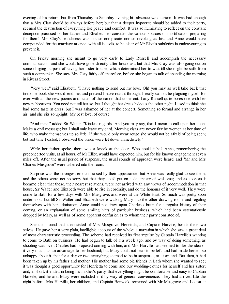evening of his return; but from Thursday to Saturday evening his absence was certain. It was bad enough that a Mrs Clay should be always before her; but that a deeper hypocrite should be added to their party, seemed the destruction of everything like peace and comfort. It was so humiliating to reflect on the constant deception practised on her father and Elizabeth; to consider the various sources of mortification preparing for them! Mrs Clay's selfishness was not so complicate nor so revolting as his; and Anne would have compounded for the marriage at once, with all its evils, to be clear of Mr Elliot's subtleties in endeavouring to prevent it.

On Friday morning she meant to go very early to Lady Russell, and accomplish the necessary communication; and she would have gone directly after breakfast, but that Mrs Clay was also going out on some obliging purpose of saving her sister trouble, which determined her to wait till she might be safe from such a companion. She saw Mrs Clay fairly off, therefore, before she began to talk of spending the morning in Rivers Street.

"Very well," said Elizabeth, "I have nothing to send but my love. Oh! you may as well take back that tiresome book she would lend me, and pretend I have read it through. I really cannot be plaguing myself for ever with all the new poems and states of the nation that come out. Lady Russell quite bores one with her new publications. You need not tell her so, but I thought her dress hideous the other night. I used to think she had some taste in dress, but I was ashamed of her at the concert. Something so formal and arrange in her air! and she sits so upright! My best love, of course."

"And mine," added Sir Walter. "Kindest regards. And you may say, that I mean to call upon her soon. Make a civil message; but I shall only leave my card. Morning visits are never fair by women at her time of life, who make themselves up so little. If she would only wear rouge she would not be afraid of being seen; but last time I called, I observed the blinds were let down immediately."

While her father spoke, there was a knock at the door. Who could it be? Anne, remembering the preconcerted visits, at all hours, of Mr Elliot, would have expected him, but for his known engagement seven miles off. After the usual period of suspense, the usual sounds of approach were heard, and "Mr and Mrs Charles Musgrove" were ushered into the room.

Surprise was the strongest emotion raised by their appearance; but Anne was really glad to see them; and the others were not so sorry but that they could put on a decent air of welcome; and as soon as it became clear that these, their nearest relations, were not arrived with any views of accommodation in that house, Sir Walter and Elizabeth were able to rise in cordiality, and do the honours of it very well. They were come to Bath for a few days with Mrs Musgrove, and were at the White Hart. So much was pretty soon understood; but till Sir Walter and Elizabeth were walking Mary into the other drawing-room, and regaling themselves with her admiration, Anne could not draw upon Charles's brain for a regular history of their coming, or an explanation of some smiling hints of particular business, which had been ostentatiously dropped by Mary, as well as of some apparent confusion as to whom their party consisted of.

She then found that it consisted of Mrs Musgrove, Henrietta, and Captain Harville, beside their two selves. He gave her a very plain, intelligible account of the whole; a narration in which she saw a great deal of most characteristic proceeding. The scheme had received its first impulse by Captain Harville's wanting to come to Bath on business. He had begun to talk of it a week ago; and by way of doing something, as shooting was over, Charles had proposed coming with him, and Mrs Harville had seemed to like the idea of it very much, as an advantage to her husband; but Mary could not bear to be left, and had made herself so unhappy about it, that for a day or two everything seemed to be in suspense, or at an end. But then, it had been taken up by his father and mother. His mother had some old friends in Bath whom she wanted to see; it was thought a good opportunity for Henrietta to come and buy wedding-clothes for herself and her sister; and, in short, it ended in being his mother's party, that everything might be comfortable and easy to Captain Harville; and he and Mary were included in it by way of general convenience. They had arrived late the night before. Mrs Harville, her children, and Captain Benwick, remained with Mr Musgrove and Louisa at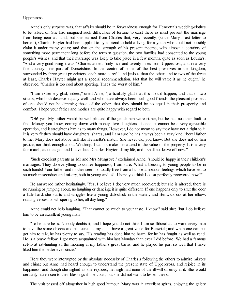#### Uppercross.

Anne's only surprise was, that affairs should be in forwardness enough for Henrietta's wedding-clothes to be talked of. She had imagined such difficulties of fortune to exist there as must prevent the marriage from being near at hand; but she learned from Charles that, very recently, (since Mary's last letter to herself), Charles Hayter had been applied to by a friend to hold a living for a youth who could not possibly claim it under many years; and that on the strength of his present income, with almost a certainty of something more permanent long before the term in question, the two families had consented to the young people's wishes, and that their marriage was likely to take place in a few months, quite as soon as Louisa's. "And a very good living it was," Charles added: "only five-and-twenty miles from Uppercross, and in a very fine country: fine part of Dorsetshire. In the centre of some of the best preserves in the kingdom, surrounded by three great proprietors, each more careful and jealous than the other; and to two of the three at least, Charles Hayter might get a special recommendation. Not that he will value it as he ought," he observed, "Charles is too cool about sporting. That's the worst of him."

"I am extremely glad, indeed," cried Anne, "particularly glad that this should happen; and that of two sisters, who both deserve equally well, and who have always been such good friends, the pleasant prospect of one should not be dimming those of the other--that they should be so equal in their prosperity and comfort. I hope your father and mother are quite happy with regard to both."

"Oh! yes. My father would be well pleased if the gentlemen were richer, but he has no other fault to find. Money, you know, coming down with money--two daughters at once--it cannot be a very agreeable operation, and it streightens him as to many things. However, I do not mean to say they have not a right to it. It is very fit they should have daughters' shares; and I am sure he has always been a very kind, liberal father to me. Mary does not above half like Henrietta's match. She never did, you know. But she does not do him justice, nor think enough about Winthrop. I cannot make her attend to the value of the property. It is a very fair match, as times go; and I have liked Charles Hayter all my life, and I shall not leave off now."

"Such excellent parents as Mr and Mrs Musgrove," exclaimed Anne, "should be happy in their children's marriages. They do everything to confer happiness, I am sure. What a blessing to young people to be in such hands! Your father and mother seem so totally free from all those ambitious feelings which have led to so much misconduct and misery, both in young and old. I hope you think Louisa perfectly recovered now?"

He answered rather hesitatingly, "Yes, I believe I do; very much recovered; but she is altered; there is no running or jumping about, no laughing or dancing; it is quite different. If one happens only to shut the door a little hard, she starts and wriggles like a young dab-chick in the water; and Benwick sits at her elbow, reading verses, or whispering to her, all day long."

Anne could not help laughing. "That cannot be much to your taste, I know," said she; "but I do believe him to be an excellent young man."

"To be sure he is. Nobody doubts it; and I hope you do not think I am so illiberal as to want every man to have the same objects and pleasures as myself. I have a great value for Benwick; and when one can but get him to talk, he has plenty to say. His reading has done him no harm, for he has fought as well as read. He is a brave fellow. I got more acquainted with him last Monday than ever I did before. We had a famous set-to at rat-hunting all the morning in my father's great barns; and he played his part so well that I have liked him the better ever since."

Here they were interrupted by the absolute necessity of Charles's following the others to admire mirrors and china; but Anne had heard enough to understand the present state of Uppercross, and rejoice in its happiness; and though she sighed as she rejoiced, her sigh had none of the ill-will of envy in it. She would certainly have risen to their blessings if she could, but she did not want to lessen theirs.

The visit passed off altogether in high good humour. Mary was in excellent spirits, enjoying the gaiety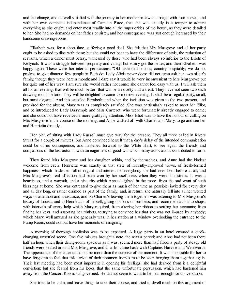and the change, and so well satisfied with the journey in her mother-in-law's carriage with four horses, and with her own complete independence of Camden Place, that she was exactly in a temper to admire everything as she ought, and enter most readily into all the superiorities of the house, as they were detailed to her. She had no demands on her father or sister, and her consequence was just enough increased by their handsome drawing-rooms.

Elizabeth was, for a short time, suffering a good deal. She felt that Mrs Musgrove and all her party ought to be asked to dine with them; but she could not bear to have the difference of style, the reduction of servants, which a dinner must betray, witnessed by those who had been always so inferior to the Elliots of Kellynch. It was a struggle between propriety and vanity; but vanity got the better, and then Elizabeth was happy again. These were her internal persuasions: "Old fashioned notions; country hospitality; we do not profess to give dinners; few people in Bath do; Lady Alicia never does; did not even ask her own sister's family, though they were here a month: and I dare say it would be very inconvenient to Mrs Musgrove; put her quite out of her way. I am sure she would rather not come; she cannot feel easy with us. I will ask them all for an evening; that will be much better; that will be a novelty and a treat. They have not seen two such drawing rooms before. They will be delighted to come to-morrow evening. It shall be a regular party, small, but most elegant." And this satisfied Elizabeth: and when the invitation was given to the two present, and promised for the absent, Mary was as completely satisfied. She was particularly asked to meet Mr Elliot, and be introduced to Lady Dalrymple and Miss Carteret, who were fortunately already engaged to come; and she could not have received a more gratifying attention. Miss Elliot was to have the honour of calling on Mrs Musgrove in the course of the morning; and Anne walked off with Charles and Mary, to go and see her and Henrietta directly.

Her plan of sitting with Lady Russell must give way for the present. They all three called in Rivers Street for a couple of minutes; but Anne convinced herself that a day's delay of the intended communication could be of no consequence, and hastened forward to the White Hart, to see again the friends and companions of the last autumn, with an eagerness of good-will which many associations contributed to form.

They found Mrs Musgrove and her daughter within, and by themselves, and Anne had the kindest welcome from each. Henrietta was exactly in that state of recently-improved views, of fresh-formed happiness, which made her full of regard and interest for everybody she had ever liked before at all; and Mrs Musgrove's real affection had been won by her usefulness when they were in distress. It was a heartiness, and a warmth, and a sincerity which Anne delighted in the more, from the sad want of such blessings at home. She was entreated to give them as much of her time as possible, invited for every day and all day long, or rather claimed as part of the family; and, in return, she naturally fell into all her wonted ways of attention and assistance, and on Charles's leaving them together, was listening to Mrs Musgrove's history of Louisa, and to Henrietta's of herself, giving opinions on business, and recommendations to shops; with intervals of every help which Mary required, from altering her ribbon to settling her accounts; from finding her keys, and assorting her trinkets, to trying to convince her that she was not ill-used by anybody; which Mary, well amused as she generally was, in her station at a window overlooking the entrance to the Pump Room, could not but have her moments of imagining.

A morning of thorough confusion was to be expected. A large party in an hotel ensured a quickchanging, unsettled scene. One five minutes brought a note, the next a parcel; and Anne had not been there half an hour, when their dining-room, spacious as it was, seemed more than half filled: a party of steady old friends were seated around Mrs Musgrove, and Charles came back with Captains Harville and Wentworth. The appearance of the latter could not be more than the surprise of the moment. It was impossible for her to have forgotten to feel that this arrival of their common friends must be soon bringing them together again. Their last meeting had been most important in opening his feelings; she had derived from it a delightful conviction; but she feared from his looks, that the same unfortunate persuasion, which had hastened him away from the Concert Room, still governed. He did not seem to want to be near enough for conversation.

She tried to be calm, and leave things to take their course, and tried to dwell much on this argument of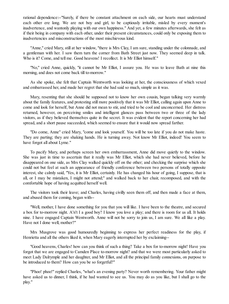rational dependence:--"Surely, if there be constant attachment on each side, our hearts must understand each other ere long. We are not boy and girl, to be captiously irritable, misled by every moment's inadvertence, and wantonly playing with our own happiness." And yet, a few minutes afterwards, she felt as if their being in company with each other, under their present circumstances, could only be exposing them to inadvertencies and misconstructions of the most mischievous kind.

"Anne," cried Mary, still at her window, "there is Mrs Clay, I am sure, standing under the colonnade, and a gentleman with her. I saw them turn the corner from Bath Street just now. They seemed deep in talk. Who is it? Come, and tell me. Good heavens! I recollect. It is Mr Elliot himself."

"No," cried Anne, quickly, "it cannot be Mr Elliot, I assure you. He was to leave Bath at nine this morning, and does not come back till to-morrow."

As she spoke, she felt that Captain Wentworth was looking at her, the consciousness of which vexed and embarrassed her, and made her regret that she had said so much, simple as it was.

Mary, resenting that she should be supposed not to know her own cousin, began talking very warmly about the family features, and protesting still more positively that it was Mr Elliot, calling again upon Anne to come and look for herself, but Anne did not mean to stir, and tried to be cool and unconcerned. Her distress returned, however, on perceiving smiles and intelligent glances pass between two or three of the lady visitors, as if they believed themselves quite in the secret. It was evident that the report concerning her had spread, and a short pause succeeded, which seemed to ensure that it would now spread farther.

"Do come, Anne" cried Mary, "come and look yourself. You will be too late if you do not make haste. They are parting; they are shaking hands. He is turning away. Not know Mr Elliot, indeed! You seem to have forgot all about Lyme."

To pacify Mary, and perhaps screen her own embarrassment, Anne did move quietly to the window. She was just in time to ascertain that it really was Mr Elliot, which she had never believed, before he disappeared on one side, as Mrs Clay walked quickly off on the other; and checking the surprise which she could not but feel at such an appearance of friendly conference between two persons of totally opposite interest, she calmly said, "Yes, it is Mr Elliot, certainly. He has changed his hour of going, I suppose, that is all, or I may be mistaken, I might not attend;" and walked back to her chair, recomposed, and with the comfortable hope of having acquitted herself well.

The visitors took their leave; and Charles, having civilly seen them off, and then made a face at them, and abused them for coming, began with--

"Well, mother, I have done something for you that you will like. I have been to the theatre, and secured a box for to-morrow night. A'n't I a good boy? I know you love a play; and there is room for us all. It holds nine. I have engaged Captain Wentworth. Anne will not be sorry to join us, I am sure. We all like a play. Have not I done well, mother?"

Mrs Musgrove was good humouredly beginning to express her perfect readiness for the play, if Henrietta and all the others liked it, when Mary eagerly interrupted her by exclaiming--

"Good heavens, Charles! how can you think of such a thing? Take a box for to-morrow night! Have you forgot that we are engaged to Camden Place to-morrow night? and that we were most particularly asked to meet Lady Dalrymple and her daughter, and Mr Elliot, and all the principal family connexions, on purpose to be introduced to them? How can you be so forgetful?"

"Phoo! phoo!" replied Charles, "what's an evening party? Never worth remembering. Your father might have asked us to dinner, I think, if he had wanted to see us. You may do as you like, but I shall go to the play."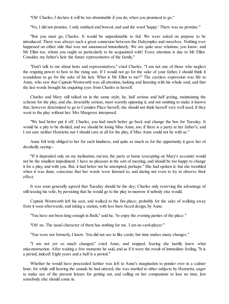"Oh! Charles, I declare it will be too abominable if you do, when you promised to go."

"No, I did not promise. I only smirked and bowed, and said the word 'happy.' There was no promise."

"But you must go, Charles. It would be unpardonable to fail. We were asked on purpose to be introduced. There was always such a great connexion between the Dalrymples and ourselves. Nothing ever happened on either side that was not announced immediately. We are quite near relations, you know; and Mr Elliot too, whom you ought so particularly to be acquainted with! Every attention is due to Mr Elliot. Consider, my father's heir: the future representative of the family."

"Don't talk to me about heirs and representatives," cried Charles. "I am not one of those who neglect the reigning power to bow to the rising sun. If I would not go for the sake of your father, I should think it scandalous to go for the sake of his heir. What is Mr Elliot to me?" The careless expression was life to Anne, who saw that Captain Wentworth was all attention, looking and listening with his whole soul; and that the last words brought his enquiring eyes from Charles to herself.

Charles and Mary still talked on in the same style; he, half serious and half jesting, maintaining the scheme for the play, and she, invariably serious, most warmly opposing it, and not omitting to make it known that, however determined to go to Camden Place herself, she should not think herself very well used, if they went to the play without her. Mrs Musgrove interposed.

"We had better put it off. Charles, you had much better go back and change the box for Tuesday. It would be a pity to be divided, and we should be losing Miss Anne, too, if there is a party at her father's; and I am sure neither Henrietta nor I should care at all for the play, if Miss Anne could not be with us."

Anne felt truly obliged to her for such kindness; and quite as much so for the opportunity it gave her of decidedly saying--

"If it depended only on my inclination, ma'am, the party at home (excepting on Mary's account) would not be the smallest impediment. I have no pleasure in the sort of meeting, and should be too happy to change it for a play, and with you. But, it had better not be attempted, perhaps." She had spoken it; but she trembled when it was done, conscious that her words were listened to, and daring not even to try to observe their effect.

It was soon generally agreed that Tuesday should be the day; Charles only reserving the advantage of still teasing his wife, by persisting that he would go to the play to-morrow if nobody else would.

Captain Wentworth left his seat, and walked to the fire-place; probably for the sake of walking away from it soon afterwards, and taking a station, with less bare-faced design, by Anne.

"You have not been long enough in Bath," said he, "to enjoy the evening parties of the place."

"Oh! no. The usual character of them has nothing for me. I am no card-player."

"You were not formerly, I know. You did not use to like cards; but time makes many changes."

"I am not yet so much changed," cried Anne, and stopped, fearing she hardly knew what misconstruction. After waiting a few moments he said, and as if it were the result of immediate feeling, "It is a period, indeed! Eight years and a half is a period."

Whether he would have proceeded farther was left to Anne's imagination to ponder over in a calmer hour; for while still hearing the sounds he had uttered, she was startled to other subjects by Henrietta, eager to make use of the present leisure for getting out, and calling on her companions to lose no time, lest somebody else should come in.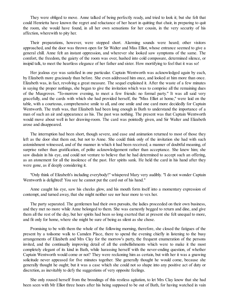They were obliged to move. Anne talked of being perfectly ready, and tried to look it; but she felt that could Henrietta have known the regret and reluctance of her heart in quitting that chair, in preparing to quit the room, she would have found, in all her own sensations for her cousin, in the very security of his affection, wherewith to pity her.

Their preparations, however, were stopped short. Alarming sounds were heard; other visitors approached, and the door was thrown open for Sir Walter and Miss Elliot, whose entrance seemed to give a general chill. Anne felt an instant oppression, and wherever she looked saw symptoms of the same. The comfort, the freedom, the gaiety of the room was over, hushed into cold composure, determined silence, or insipid talk, to meet the heartless elegance of her father and sister. How mortifying to feel that it was so!

Her jealous eye was satisfied in one particular. Captain Wentworth was acknowledged again by each, by Elizabeth more graciously than before. She even addressed him once, and looked at him more than once. Elizabeth was, in fact, revolving a great measure. The sequel explained it. After the waste of a few minutes in saying the proper nothings, she began to give the invitation which was to comprise all the remaining dues of the Musgroves. "To-morrow evening, to meet a few friends: no formal party." It was all said very gracefully, and the cards with which she had provided herself, the "Miss Elliot at home," were laid on the table, with a courteous, comprehensive smile to all, and one smile and one card more decidedly for Captain Wentworth. The truth was, that Elizabeth had been long enough in Bath to understand the importance of a man of such an air and appearance as his. The past was nothing. The present was that Captain Wentworth would move about well in her drawing-room. The card was pointedly given, and Sir Walter and Elizabeth arose and disappeared.

The interruption had been short, though severe, and ease and animation returned to most of those they left as the door shut them out, but not to Anne. She could think only of the invitation she had with such astonishment witnessed, and of the manner in which it had been received; a manner of doubtful meaning, of surprise rather than gratification, of polite acknowledgement rather than acceptance. She knew him; she saw disdain in his eye, and could not venture to believe that he had determined to accept such an offering, as an atonement for all the insolence of the past. Her spirits sank. He held the card in his hand after they were gone, as if deeply considering it.

"Only think of Elizabeth's including everybody!" whispered Mary very audibly. "I do not wonder Captain Wentworth is delighted! You see he cannot put the card out of his hand."

Anne caught his eye, saw his cheeks glow, and his mouth form itself into a momentary expression of contempt, and turned away, that she might neither see nor hear more to vex her.

The party separated. The gentlemen had their own pursuits, the ladies proceeded on their own business, and they met no more while Anne belonged to them. She was earnestly begged to return and dine, and give them all the rest of the day, but her spirits had been so long exerted that at present she felt unequal to more, and fit only for home, where she might be sure of being as silent as she chose.

Promising to be with them the whole of the following morning, therefore, she closed the fatigues of the present by a toilsome walk to Camden Place, there to spend the evening chiefly in listening to the busy arrangements of Elizabeth and Mrs Clay for the morrow's party, the frequent enumeration of the persons invited, and the continually improving detail of all the embellishments which were to make it the most completely elegant of its kind in Bath, while harassing herself with the never-ending question, of whether Captain Wentworth would come or not? They were reckoning him as certain, but with her it was a gnawing solicitude never appeased for five minutes together. She generally thought he would come, because she generally thought he ought; but it was a case which she could not so shape into any positive act of duty or discretion, as inevitably to defy the suggestions of very opposite feelings.

She only roused herself from the broodings of this restless agitation, to let Mrs Clay know that she had been seen with Mr Elliot three hours after his being supposed to be out of Bath, for having watched in vain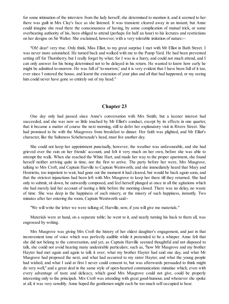for some intimation of the interview from the lady herself, she determined to mention it, and it seemed to her there was guilt in Mrs Clay's face as she listened. It was transient: cleared away in an instant; but Anne could imagine she read there the consciousness of having, by some complication of mutual trick, or some overbearing authority of his, been obliged to attend (perhaps for half an hour) to his lectures and restrictions on her designs on Sir Walter. She exclaimed, however, with a very tolerable imitation of nature:--

"Oh! dear! very true. Only think, Miss Elliot, to my great surprise I met with Mr Elliot in Bath Street. I was never more astonished. He turned back and walked with me to the Pump Yard. He had been prevented setting off for Thornberry, but I really forget by what; for I was in a hurry, and could not much attend, and I can only answer for his being determined not to be delayed in his return. He wanted to know how early he might be admitted to-morrow. He was full of 'to-morrow,' and it is very evident that I have been full of it too, ever since I entered the house, and learnt the extension of your plan and all that had happened, or my seeing him could never have gone so entirely out of my head."

# **Chapter 23**

One day only had passed since Anne's conversation with Mrs Smith; but a keener interest had succeeded, and she was now so little touched by Mr Elliot's conduct, except by its effects in one quarter, that it became a matter of course the next morning, still to defer her explanatory visit in Rivers Street. She had promised to be with the Musgroves from breakfast to dinner. Her faith was plighted, and Mr Elliot's character, like the Sultaness Scheherazade's head, must live another day.

She could not keep her appointment punctually, however; the weather was unfavourable, and she had grieved over the rain on her friends' account, and felt it very much on her own, before she was able to attempt the walk. When she reached the White Hart, and made her way to the proper apartment, she found herself neither arriving quite in time, nor the first to arrive. The party before her were, Mrs Musgrove, talking to Mrs Croft, and Captain Harville to Captain Wentworth; and she immediately heard that Mary and Henrietta, too impatient to wait, had gone out the moment it had cleared, but would be back again soon, and that the strictest injunctions had been left with Mrs Musgrove to keep her there till they returned. She had only to submit, sit down, be outwardly composed, and feel herself plunged at once in all the agitations which she had merely laid her account of tasting a little before the morning closed. There was no delay, no waste of time. She was deep in the happiness of such misery, or the misery of such happiness, instantly. Two minutes after her entering the room, Captain Wentworth said--

"We will write the letter we were talking of, Harville, now, if you will give me materials."

Materials were at hand, on a separate table; he went to it, and nearly turning his back to them all, was engrossed by writing.

Mrs Musgrove was giving Mrs Croft the history of her eldest daughter's engagement, and just in that inconvenient tone of voice which was perfectly audible while it pretended to be a whisper. Anne felt that she did not belong to the conversation, and yet, as Captain Harville seemed thoughtful and not disposed to talk, she could not avoid hearing many undesirable particulars; such as, "how Mr Musgrove and my brother Hayter had met again and again to talk it over; what my brother Hayter had said one day, and what Mr Musgrove had proposed the next, and what had occurred to my sister Hayter, and what the young people had wished, and what I said at first I never could consent to, but was afterwards persuaded to think might do very well," and a great deal in the same style of open-hearted communication: minutiae which, even with every advantage of taste and delicacy, which good Mrs Musgrove could not give, could be properly interesting only to the principals. Mrs Croft was attending with great good-humour, and whenever she spoke at all, it was very sensibly. Anne hoped the gentlemen might each be too much self-occupied to hear.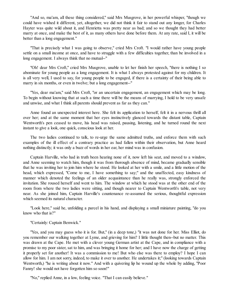"And so, ma'am, all these thing considered," said Mrs Musgrove, in her powerful whisper, "though we could have wished it different, yet, altogether, we did not think it fair to stand out any longer, for Charles Hayter was quite wild about it, and Henrietta was pretty near as bad; and so we thought they had better marry at once, and make the best of it, as many others have done before them. At any rate, said I, it will be better than a long engagement."

"That is precisely what I was going to observe," cried Mrs Croft. "I would rather have young people settle on a small income at once, and have to struggle with a few difficulties together, than be involved in a long engagement. I always think that no mutual--"

"Oh! dear Mrs Croft," cried Mrs Musgrove, unable to let her finish her speech, "there is nothing I so abominate for young people as a long engagement. It is what I always protested against for my children. It is all very well, I used to say, for young people to be engaged, if there is a certainty of their being able to marry in six months, or even in twelve; but a long engagement--"

"Yes, dear ma'am," said Mrs Croft, "or an uncertain engagement, an engagement which may be long. To begin without knowing that at such a time there will be the means of marrying, I hold to be very unsafe and unwise, and what I think all parents should prevent as far as they can."

Anne found an unexpected interest here. She felt its application to herself, felt it in a nervous thrill all over her; and at the same moment that her eyes instinctively glanced towards the distant table, Captain Wentworth's pen ceased to move, his head was raised, pausing, listening, and he turned round the next instant to give a look, one quick, conscious look at her.

The two ladies continued to talk, to re-urge the same admitted truths, and enforce them with such examples of the ill effect of a contrary practice as had fallen within their observation, but Anne heard nothing distinctly; it was only a buzz of words in her ear, her mind was in confusion.

Captain Harville, who had in truth been hearing none of it, now left his seat, and moved to a window, and Anne seeming to watch him, though it was from thorough absence of mind, became gradually sensible that he was inviting her to join him where he stood. He looked at her with a smile, and a little motion of the head, which expressed, "Come to me, I have something to say;" and the unaffected, easy kindness of manner which denoted the feelings of an older acquaintance than he really was, strongly enforced the invitation. She roused herself and went to him. The window at which he stood was at the other end of the room from where the two ladies were sitting, and though nearer to Captain Wentworth's table, not very near. As she joined him, Captain Harville's countenance re-assumed the serious, thoughtful expression which seemed its natural character.

"Look here," said he, unfolding a parcel in his hand, and displaying a small miniature painting, "do you know who that is?"

"Certainly: Captain Benwick."

"Yes, and you may guess who it is for. But," (in a deep tone,) "it was not done for her. Miss Elliot, do you remember our walking together at Lyme, and grieving for him? I little thought then--but no matter. This was drawn at the Cape. He met with a clever young German artist at the Cape, and in compliance with a promise to my poor sister, sat to him, and was bringing it home for her; and I have now the charge of getting it properly set for another! It was a commission to me! But who else was there to employ? I hope I can allow for him. I am not sorry, indeed, to make it over to another. He undertakes it;" (looking towards Captain Wentworth,) "he is writing about it now." And with a quivering lip he wound up the whole by adding, "Poor Fanny! she would not have forgotten him so soon!"

"No," replied Anne, in a low, feeling voice. "That I can easily believe."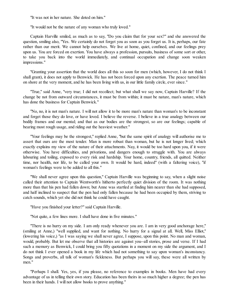"It was not in her nature. She doted on him."

"It would not be the nature of any woman who truly loved."

Captain Harville smiled, as much as to say, "Do you claim that for your sex?" and she answered the question, smiling also, "Yes. We certainly do not forget you as soon as you forget us. It is, perhaps, our fate rather than our merit. We cannot help ourselves. We live at home, quiet, confined, and our feelings prey upon us. You are forced on exertion. You have always a profession, pursuits, business of some sort or other, to take you back into the world immediately, and continual occupation and change soon weaken impressions."

"Granting your assertion that the world does all this so soon for men (which, however, I do not think I shall grant), it does not apply to Benwick. He has not been forced upon any exertion. The peace turned him on shore at the very moment, and he has been living with us, in our little family circle, ever since."

"True," said Anne, "very true; I did not recollect; but what shall we say now, Captain Harville? If the change be not from outward circumstances, it must be from within; it must be nature, man's nature, which has done the business for Captain Benwick."

"No, no, it is not man's nature. I will not allow it to be more man's nature than woman's to be inconstant and forget those they do love, or have loved. I believe the reverse. I believe in a true analogy between our bodily frames and our mental; and that as our bodies are the strongest, so are our feelings; capable of bearing most rough usage, and riding out the heaviest weather."

"Your feelings may be the strongest," replied Anne, "but the same spirit of analogy will authorise me to assert that ours are the most tender. Man is more robust than woman, but he is not longer lived; which exactly explains my view of the nature of their attachments. Nay, it would be too hard upon you, if it were otherwise. You have difficulties, and privations, and dangers enough to struggle with. You are always labouring and toiling, exposed to every risk and hardship. Your home, country, friends, all quitted. Neither time, nor health, nor life, to be called your own. It would be hard, indeed" (with a faltering voice), "if woman's feelings were to be added to all this."

"We shall never agree upon this question," Captain Harville was beginning to say, when a slight noise called their attention to Captain Wentworth's hitherto perfectly quiet division of the room. It was nothing more than that his pen had fallen down; but Anne was startled at finding him nearer than she had supposed, and half inclined to suspect that the pen had only fallen because he had been occupied by them, striving to catch sounds, which yet she did not think he could have caught.

"Have you finished your letter?" said Captain Harville.

"Not quite, a few lines more. I shall have done in five minutes."

"There is no hurry on my side. I am only ready whenever you are. I am in very good anchorage here," (smiling at Anne,) "well supplied, and want for nothing. No hurry for a signal at all. Well, Miss Elliot," (lowering his voice,) "as I was saying we shall never agree, I suppose, upon this point. No man and woman, would, probably. But let me observe that all histories are against you--all stories, prose and verse. If I had such a memory as Benwick, I could bring you fifty quotations in a moment on my side the argument, and I do not think I ever opened a book in my life which had not something to say upon woman's inconstancy. Songs and proverbs, all talk of woman's fickleness. But perhaps you will say, these were all written by men."

"Perhaps I shall. Yes, yes, if you please, no reference to examples in books. Men have had every advantage of us in telling their own story. Education has been theirs in so much higher a degree; the pen has been in their hands. I will not allow books to prove anything."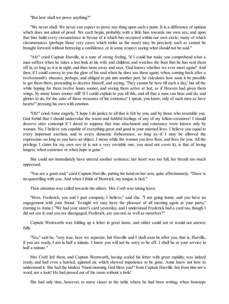"But how shall we prove anything?"

"We never shall. We never can expect to prove any thing upon such a point. It is a difference of opinion which does not admit of proof. We each begin, probably, with a little bias towards our own sex; and upon that bias build every circumstance in favour of it which has occurred within our own circle; many of which circumstances (perhaps those very cases which strike us the most) may be precisely such as cannot be brought forward without betraying a confidence, or in some respect saying what should not be said."

"Ah!" cried Captain Harville, in a tone of strong feeling, "if I could but make you comprehend what a man suffers when he takes a last look at his wife and children, and watches the boat that he has sent them off in, as long as it is in sight, and then turns away and says, 'God knows whether we ever meet again!' And then, if I could convey to you the glow of his soul when he does see them again; when, coming back after a twelvemonth's absence, perhaps, and obliged to put into another port, he calculates how soon it be possible to get them there, pretending to deceive himself, and saying, 'They cannot be here till such a day,' but all the while hoping for them twelve hours sooner, and seeing them arrive at last, as if Heaven had given them wings, by many hours sooner still! If I could explain to you all this, and all that a man can bear and do, and glories to do, for the sake of these treasures of his existence! I speak, you know, only of such men as have hearts!" pressing his own with emotion.

"Oh!" cried Anne eagerly, "I hope I do justice to all that is felt by you, and by those who resemble you. God forbid that I should undervalue the warm and faithful feelings of any of my fellow-creatures! I should deserve utter contempt if I dared to suppose that true attachment and constancy were known only by woman. No, I believe you capable of everything great and good in your married lives. I believe you equal to every important exertion, and to every domestic forbearance, so long as--if I may be allowed the expression--so long as you have an object. I mean while the woman you love lives, and lives for you. All the privilege I claim for my own sex (it is not a very enviable one; you need not covet it), is that of loving longest, when existence or when hope is gone."

She could not immediately have uttered another sentence; her heart was too full, her breath too much oppressed.

"You are a good soul," cried Captain Harville, putting his hand on her arm, quite affectionately. "There is no quarrelling with you. And when I think of Benwick, my tongue is tied."

Their attention was called towards the others. Mrs Croft was taking leave.

"Here, Frederick, you and I part company, I believe," said she. "I am going home, and you have an engagement with your friend. To-night we may have the pleasure of all meeting again at your party," (turning to Anne.) "We had your sister's card yesterday, and I understood Frederick had a card too, though I did not see it; and you are disengaged, Frederick, are you not, as well as ourselves?"

Captain Wentworth was folding up a letter in great haste, and either could not or would not answer fully.

"Yes," said he, "very true; here we separate, but Harville and I shall soon be after you; that is, Harville, if you are ready, I am in half a minute. I know you will not be sorry to be off. I shall be at your service in half a minute."

Mrs Croft left them, and Captain Wentworth, having sealed his letter with great rapidity, was indeed ready, and had even a hurried, agitated air, which shewed impatience to be gone. Anne knew not how to understand it. She had the kindest "Good morning, God bless you!" from Captain Harville, but from him not a word, nor a look! He had passed out of the room without a look!

She had only time, however, to move closer to the table where he had been writing, when footsteps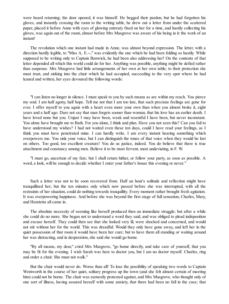were heard returning; the door opened, it was himself. He begged their pardon, but he had forgotten his gloves, and instantly crossing the room to the writing table, he drew out a letter from under the scattered paper, placed it before Anne with eyes of glowing entreaty fixed on her for a time, and hastily collecting his gloves, was again out of the room, almost before Mrs Musgrove was aware of his being in it: the work of an instant!

The revolution which one instant had made in Anne, was almost beyond expression. The letter, with a direction hardly legible, to "Miss A. E.--," was evidently the one which he had been folding so hastily. While supposed to be writing only to Captain Benwick, he had been also addressing her! On the contents of that letter depended all which this world could do for her. Anything was possible, anything might be defied rather than suspense. Mrs Musgrove had little arrangements of her own at her own table; to their protection she must trust, and sinking into the chair which he had occupied, succeeding to the very spot where he had leaned and written, her eyes devoured the following words:

"I can listen no longer in silence. I must speak to you by such means as are within my reach. You pierce my soul. I am half agony, half hope. Tell me not that I am too late, that such precious feelings are gone for ever. I offer myself to you again with a heart even more your own than when you almost broke it, eight years and a half ago. Dare not say that man forgets sooner than woman, that his love has an earlier death. I have loved none but you. Unjust I may have been, weak and resentful I have been, but never inconstant. You alone have brought me to Bath. For you alone, I think and plan. Have you not seen this? Can you fail to have understood my wishes? I had not waited even these ten days, could I have read your feelings, as I think you must have penetrated mine. I can hardly write. I am every instant hearing something which overpowers me. You sink your voice, but I can distinguish the tones of that voice when they would be lost on others. Too good, too excellent creature! You do us justice, indeed. You do believe that there is true attachment and constancy among men. Believe it to be most fervent, most undeviating, in F. W.

"I must go, uncertain of my fate; but I shall return hither, or follow your party, as soon as possible. A word, a look, will be enough to decide whether I enter your father's house this evening or never."

Such a letter was not to be soon recovered from. Half an hour's solitude and reflection might have tranquillized her; but the ten minutes only which now passed before she was interrupted, with all the restraints of her situation, could do nothing towards tranquillity. Every moment rather brought fresh agitation. It was overpowering happiness. And before she was beyond the first stage of full sensation, Charles, Mary, and Henrietta all came in.

The absolute necessity of seeming like herself produced then an immediate struggle; but after a while she could do no more. She began not to understand a word they said, and was obliged to plead indisposition and excuse herself. They could then see that she looked very ill, were shocked and concerned, and would not stir without her for the world. This was dreadful. Would they only have gone away, and left her in the quiet possession of that room it would have been her cure; but to have them all standing or waiting around her was distracting, and in desperation, she said she would go home.

"By all means, my dear," cried Mrs Musgrove, "go home directly, and take care of yourself, that you may be fit for the evening. I wish Sarah was here to doctor you, but I am no doctor myself. Charles, ring and order a chair. She must not walk."

But the chair would never do. Worse than all! To lose the possibility of speaking two words to Captain Wentworth in the course of her quiet, solitary progress up the town (and she felt almost certain of meeting him) could not be borne. The chair was earnestly protested against, and Mrs Musgrove, who thought only of one sort of illness, having assured herself with some anxiety, that there had been no fall in the case; that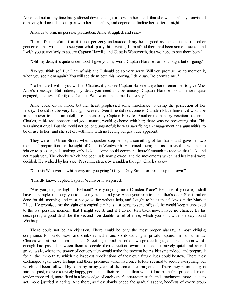Anne had not at any time lately slipped down, and got a blow on her head; that she was perfectly convinced of having had no fall; could part with her cheerfully, and depend on finding her better at night.

Anxious to omit no possible precaution, Anne struggled, and said--

"I am afraid, ma'am, that it is not perfectly understood. Pray be so good as to mention to the other gentlemen that we hope to see your whole party this evening. I am afraid there had been some mistake; and I wish you particularly to assure Captain Harville and Captain Wentworth, that we hope to see them both."

"Oh! my dear, it is quite understood, I give you my word. Captain Harville has no thought but of going."

"Do you think so? But I am afraid; and I should be so very sorry. Will you promise me to mention it, when you see them again? You will see them both this morning, I dare say. Do promise me."

"To be sure I will, if you wish it. Charles, if you see Captain Harville anywhere, remember to give Miss Anne's message. But indeed, my dear, you need not be uneasy. Captain Harville holds himself quite engaged, I'll answer for it; and Captain Wentworth the same, I dare say."

Anne could do no more; but her heart prophesied some mischance to damp the perfection of her felicity. It could not be very lasting, however. Even if he did not come to Camden Place himself, it would be in her power to send an intelligible sentence by Captain Harville. Another momentary vexation occurred. Charles, in his real concern and good nature, would go home with her; there was no preventing him. This was almost cruel. But she could not be long ungrateful; he was sacrificing an engagement at a gunsmith's, to be of use to her; and she set off with him, with no feeling but gratitude apparent.

They were on Union Street, when a quicker step behind, a something of familiar sound, gave her two moments' preparation for the sight of Captain Wentworth. He joined them; but, as if irresolute whether to join or to pass on, said nothing, only looked. Anne could command herself enough to receive that look, and not repulsively. The cheeks which had been pale now glowed, and the movements which had hesitated were decided. He walked by her side. Presently, struck by a sudden thought, Charles said--

"Captain Wentworth, which way are you going? Only to Gay Street, or farther up the town?"

"I hardly know," replied Captain Wentworth, surprised.

"Are you going as high as Belmont? Are you going near Camden Place? Because, if you are, I shall have no scruple in asking you to take my place, and give Anne your arm to her father's door. She is rather done for this morning, and must not go so far without help, and I ought to be at that fellow's in the Market Place. He promised me the sight of a capital gun he is just going to send off; said he would keep it unpacked to the last possible moment, that I might see it; and if I do not turn back now, I have no chance. By his description, a good deal like the second size double-barrel of mine, which you shot with one day round Winthrop."

There could not be an objection. There could be only the most proper alacrity, a most obliging compliance for public view; and smiles reined in and spirits dancing in private rapture. In half a minute Charles was at the bottom of Union Street again, and the other two proceeding together: and soon words enough had passed between them to decide their direction towards the comparatively quiet and retired gravel walk, where the power of conversation would make the present hour a blessing indeed, and prepare it for all the immortality which the happiest recollections of their own future lives could bestow. There they exchanged again those feelings and those promises which had once before seemed to secure everything, but which had been followed by so many, many years of division and estrangement. There they returned again into the past, more exquisitely happy, perhaps, in their re-union, than when it had been first projected; more tender, more tried, more fixed in a knowledge of each other's character, truth, and attachment; more equal to act, more justified in acting. And there, as they slowly paced the gradual ascent, heedless of every group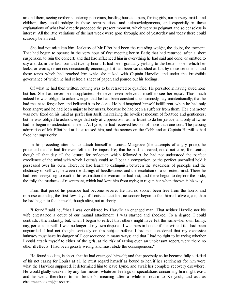around them, seeing neither sauntering politicians, bustling housekeepers, flirting girls, nor nursery-maids and children, they could indulge in those retrospections and acknowledgements, and especially in those explanations of what had directly preceded the present moment, which were so poignant and so ceaseless in interest. All the little variations of the last week were gone through; and of yesterday and today there could scarcely be an end.

She had not mistaken him. Jealousy of Mr Elliot had been the retarding weight, the doubt, the torment. That had begun to operate in the very hour of first meeting her in Bath; that had returned, after a short suspension, to ruin the concert; and that had influenced him in everything he had said and done, or omitted to say and do, in the last four-and-twenty hours. It had been gradually yielding to the better hopes which her looks, or words, or actions occasionally encouraged; it had been vanquished at last by those sentiments and those tones which had reached him while she talked with Captain Harville; and under the irresistible governance of which he had seized a sheet of paper, and poured out his feelings.

Of what he had then written, nothing was to be retracted or qualified. He persisted in having loved none but her. She had never been supplanted. He never even believed himself to see her equal. Thus much indeed he was obliged to acknowledge: that he had been constant unconsciously, nay unintentionally; that he had meant to forget her, and believed it to be done. He had imagined himself indifferent, when he had only been angry; and he had been unjust to her merits, because he had been a sufferer from them. Her character was now fixed on his mind as perfection itself, maintaining the loveliest medium of fortitude and gentleness; but he was obliged to acknowledge that only at Uppercross had he learnt to do her justice, and only at Lyme had he begun to understand himself. At Lyme, he had received lessons of more than one sort. The passing admiration of Mr Elliot had at least roused him, and the scenes on the Cobb and at Captain Harville's had fixed her superiority.

In his preceding attempts to attach himself to Louisa Musgrove (the attempts of angry pride), he protested that he had for ever felt it to be impossible; that he had not cared, could not care, for Louisa; though till that day, till the leisure for reflection which followed it, he had not understood the perfect excellence of the mind with which Louisa's could so ill bear a comparison, or the perfect unrivalled hold it possessed over his own. There, he had learnt to distinguish between the steadiness of principle and the obstinacy of self-will, between the darings of heedlessness and the resolution of a collected mind. There he had seen everything to exalt in his estimation the woman he had lost; and there begun to deplore the pride, the folly, the madness of resentment, which had kept him from trying to regain her when thrown in his way.

From that period his penance had become severe. He had no sooner been free from the horror and remorse attending the first few days of Louisa's accident, no sooner begun to feel himself alive again, than he had begun to feel himself, though alive, not at liberty.

"I found," said he, "that I was considered by Harville an engaged man! That neither Harville nor his wife entertained a doubt of our mutual attachment. I was startled and shocked. To a degree, I could contradict this instantly; but, when I began to reflect that others might have felt the same--her own family, nay, perhaps herself--I was no longer at my own disposal. I was hers in honour if she wished it. I had been unguarded. I had not thought seriously on this subject before. I had not considered that my excessive intimacy must have its danger of ill consequence in many ways; and that I had no right to be trying whether I could attach myself to either of the girls, at the risk of raising even an unpleasant report, were there no other ill effects. I had been grossly wrong, and must abide the consequences."

He found too late, in short, that he had entangled himself; and that precisely as he became fully satisfied of his not caring for Louisa at all, he must regard himself as bound to her, if her sentiments for him were what the Harvilles supposed. It determined him to leave Lyme, and await her complete recovery elsewhere. He would gladly weaken, by any fair means, whatever feelings or speculations concerning him might exist; and he went, therefore, to his brother's, meaning after a while to return to Kellynch, and act as circumstances might require.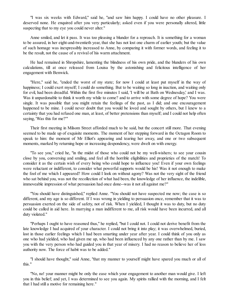"I was six weeks with Edward," said he, "and saw him happy. I could have no other pleasure. I deserved none. He enquired after you very particularly; asked even if you were personally altered, little suspecting that to my eye you could never alter."

Anne smiled, and let it pass. It was too pleasing a blunder for a reproach. It is something for a woman to be assured, in her eight-and-twentieth year, that she has not lost one charm of earlier youth; but the value of such homage was inexpressibly increased to Anne, by comparing it with former words, and feeling it to be the result, not the cause of a revival of his warm attachment.

He had remained in Shropshire, lamenting the blindness of his own pride, and the blunders of his own calculations, till at once released from Louisa by the astonishing and felicitous intelligence of her engagement with Benwick.

"Here," said he, "ended the worst of my state; for now I could at least put myself in the way of happiness; I could exert myself; I could do something. But to be waiting so long in inaction, and waiting only for evil, had been dreadful. Within the first five minutes I said, 'I will be at Bath on Wednesday,' and I was. Was it unpardonable to think it worth my while to come? and to arrive with some degree of hope? You were single. It was possible that you might retain the feelings of the past, as I did; and one encouragement happened to be mine. I could never doubt that you would be loved and sought by others, but I knew to a certainty that you had refused one man, at least, of better pretensions than myself; and I could not help often saying, 'Was this for me?'"

Their first meeting in Milsom Street afforded much to be said, but the concert still more. That evening seemed to be made up of exquisite moments. The moment of her stepping forward in the Octagon Room to speak to him: the moment of Mr Elliot's appearing and tearing her away, and one or two subsequent moments, marked by returning hope or increasing despondency, were dwelt on with energy.

"To see you," cried he, "in the midst of those who could not be my well-wishers; to see your cousin close by you, conversing and smiling, and feel all the horrible eligibilities and proprieties of the match! To consider it as the certain wish of every being who could hope to influence you! Even if your own feelings were reluctant or indifferent, to consider what powerful supports would be his! Was it not enough to make the fool of me which I appeared? How could I look on without agony? Was not the very sight of the friend who sat behind you, was not the recollection of what had been, the knowledge of her influence, the indelible, immoveable impression of what persuasion had once done--was it not all against me?"

"You should have distinguished," replied Anne. "You should not have suspected me now; the case is so different, and my age is so different. If I was wrong in yielding to persuasion once, remember that it was to persuasion exerted on the side of safety, not of risk. When I yielded, I thought it was to duty, but no duty could be called in aid here. In marrying a man indifferent to me, all risk would have been incurred, and all duty violated."

"Perhaps I ought to have reasoned thus," he replied, "but I could not. I could not derive benefit from the late knowledge I had acquired of your character. I could not bring it into play; it was overwhelmed, buried, lost in those earlier feelings which I had been smarting under year after year. I could think of you only as one who had yielded, who had given me up, who had been influenced by any one rather than by me. I saw you with the very person who had guided you in that year of misery. I had no reason to believe her of less authority now. The force of habit was to be added."

"I should have thought," said Anne, "that my manner to yourself might have spared you much or all of this."

"No, no! your manner might be only the ease which your engagement to another man would give. I left you in this belief; and yet, I was determined to see you again. My spirits rallied with the morning, and I felt that I had still a motive for remaining here."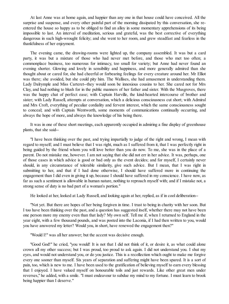At last Anne was at home again, and happier than any one in that house could have conceived. All the surprise and suspense, and every other painful part of the morning dissipated by this conversation, she reentered the house so happy as to be obliged to find an alloy in some momentary apprehensions of its being impossible to last. An interval of meditation, serious and grateful, was the best corrective of everything dangerous in such high-wrought felicity; and she went to her room, and grew steadfast and fearless in the thankfulness of her enjoyment.

The evening came, the drawing-rooms were lighted up, the company assembled. It was but a card party, it was but a mixture of those who had never met before, and those who met too often; a commonplace business, too numerous for intimacy, too small for variety; but Anne had never found an evening shorter. Glowing and lovely in sensibility and happiness, and more generally admired than she thought about or cared for, she had cheerful or forbearing feelings for every creature around her. Mr Elliot was there; she avoided, but she could pity him. The Wallises, she had amusement in understanding them. Lady Dalrymple and Miss Carteret--they would soon be innoxious cousins to her. She cared not for Mrs Clay, and had nothing to blush for in the public manners of her father and sister. With the Musgroves, there was the happy chat of perfect ease; with Captain Harville, the kind-hearted intercourse of brother and sister; with Lady Russell, attempts at conversation, which a delicious consciousness cut short; with Admiral and Mrs Croft, everything of peculiar cordiality and fervent interest, which the same consciousness sought to conceal; and with Captain Wentworth, some moments of communications continually occurring, and always the hope of more, and always the knowledge of his being there.

It was in one of these short meetings, each apparently occupied in admiring a fine display of greenhouse plants, that she said--

"I have been thinking over the past, and trying impartially to judge of the right and wrong, I mean with regard to myself; and I must believe that I was right, much as I suffered from it, that I was perfectly right in being guided by the friend whom you will love better than you do now. To me, she was in the place of a parent. Do not mistake me, however. I am not saying that she did not err in her advice. It was, perhaps, one of those cases in which advice is good or bad only as the event decides; and for myself, I certainly never should, in any circumstance of tolerable similarity, give such advice. But I mean, that I was right in submitting to her, and that if I had done otherwise, I should have suffered more in continuing the engagement than I did even in giving it up, because I should have suffered in my conscience. I have now, as far as such a sentiment is allowable in human nature, nothing to reproach myself with; and if I mistake not, a strong sense of duty is no bad part of a woman's portion."

He looked at her, looked at Lady Russell, and looking again at her, replied, as if in cool deliberation--

"Not yet. But there are hopes of her being forgiven in time. I trust to being in charity with her soon. But I too have been thinking over the past, and a question has suggested itself, whether there may not have been one person more my enemy even than that lady? My own self. Tell me if, when I returned to England in the year eight, with a few thousand pounds, and was posted into the Laconia, if I had then written to you, would you have answered my letter? Would you, in short, have renewed the engagement then?"

"Would I!" was all her answer; but the accent was decisive enough.

"Good God!" he cried, "you would! It is not that I did not think of it, or desire it, as what could alone crown all my other success; but I was proud, too proud to ask again. I did not understand you. I shut my eyes, and would not understand you, or do you justice. This is a recollection which ought to make me forgive every one sooner than myself. Six years of separation and suffering might have been spared. It is a sort of pain, too, which is new to me. I have been used to the gratification of believing myself to earn every blessing that I enjoyed. I have valued myself on honourable toils and just rewards. Like other great men under reverses," he added, with a smile. "I must endeavour to subdue my mind to my fortune. I must learn to brook being happier than I deserve."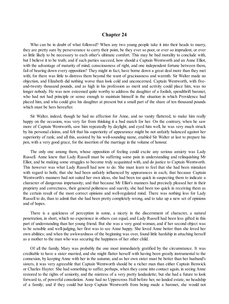## **Chapter 24**

<span id="page-112-0"></span>Who can be in doubt of what followed? When any two young people take it into their heads to marry, they are pretty sure by perseverance to carry their point, be they ever so poor, or ever so imprudent, or ever so little likely to be necessary to each other's ultimate comfort. This may be bad morality to conclude with, but I believe it to be truth; and if such parties succeed, how should a Captain Wentworth and an Anne Elliot, with the advantage of maturity of mind, consciousness of right, and one independent fortune between them, fail of bearing down every opposition? They might in fact, have borne down a great deal more than they met with, for there was little to distress them beyond the want of graciousness and warmth. Sir Walter made no objection, and Elizabeth did nothing worse than look cold and unconcerned. Captain Wentworth, with fiveand-twenty thousand pounds, and as high in his profession as merit and activity could place him, was no longer nobody. He was now esteemed quite worthy to address the daughter of a foolish, spendthrift baronet, who had not had principle or sense enough to maintain himself in the situation in which Providence had placed him, and who could give his daughter at present but a small part of the share of ten thousand pounds which must be hers hereafter.

Sir Walter, indeed, though he had no affection for Anne, and no vanity flattered, to make him really happy on the occasion, was very far from thinking it a bad match for her. On the contrary, when he saw more of Captain Wentworth, saw him repeatedly by daylight, and eyed him well, he was very much struck by his personal claims, and felt that his superiority of appearance might be not unfairly balanced against her superiority of rank; and all this, assisted by his well-sounding name, enabled Sir Walter at last to prepare his pen, with a very good grace, for the insertion of the marriage in the volume of honour.

The only one among them, whose opposition of feeling could excite any serious anxiety was Lady Russell. Anne knew that Lady Russell must be suffering some pain in understanding and relinquishing Mr Elliot, and be making some struggles to become truly acquainted with, and do justice to Captain Wentworth. This however was what Lady Russell had now to do. She must learn to feel that she had been mistaken with regard to both; that she had been unfairly influenced by appearances in each; that because Captain Wentworth's manners had not suited her own ideas, she had been too quick in suspecting them to indicate a character of dangerous impetuosity; and that because Mr Elliot's manners had precisely pleased her in their propriety and correctness, their general politeness and suavity, she had been too quick in receiving them as the certain result of the most correct opinions and well-regulated mind. There was nothing less for Lady Russell to do, than to admit that she had been pretty completely wrong, and to take up a new set of opinions and of hopes.

There is a quickness of perception in some, a nicety in the discernment of character, a natural penetration, in short, which no experience in others can equal, and Lady Russell had been less gifted in this part of understanding than her young friend. But she was a very good woman, and if her second object was to be sensible and well-judging, her first was to see Anne happy. She loved Anne better than she loved her own abilities; and when the awkwardness of the beginning was over, found little hardship in attaching herself as a mother to the man who was securing the happiness of her other child.

Of all the family, Mary was probably the one most immediately gratified by the circumstance. It was creditable to have a sister married, and she might flatter herself with having been greatly instrumental to the connexion, by keeping Anne with her in the autumn; and as her own sister must be better than her husband's sisters, it was very agreeable that Captain Wentworth should be a richer man than either Captain Benwick or Charles Hayter. She had something to suffer, perhaps, when they came into contact again, in seeing Anne restored to the rights of seniority, and the mistress of a very pretty landaulette; but she had a future to look forward to, of powerful consolation. Anne had no Uppercross Hall before her, no landed estate, no headship of a family; and if they could but keep Captain Wentworth from being made a baronet, she would not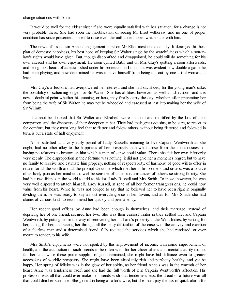change situations with Anne.

It would be well for the eldest sister if she were equally satisfied with her situation, for a change is not very probable there. She had soon the mortification of seeing Mr Elliot withdraw, and no one of proper condition has since presented himself to raise even the unfounded hopes which sunk with him.

The news of his cousin Anne's engagement burst on Mr Elliot most unexpectedly. It deranged his best plan of domestic happiness, his best hope of keeping Sir Walter single by the watchfulness which a son-inlaw's rights would have given. But, though discomfited and disappointed, he could still do something for his own interest and his own enjoyment. He soon quitted Bath; and on Mrs Clay's quitting it soon afterwards, and being next heard of as established under his protection in London, it was evident how double a game he had been playing, and how determined he was to save himself from being cut out by one artful woman, at least.

Mrs Clay's affections had overpowered her interest, and she had sacrificed, for the young man's sake, the possibility of scheming longer for Sir Walter. She has abilities, however, as well as affections; and it is now a doubtful point whether his cunning, or hers, may finally carry the day; whether, after preventing her from being the wife of Sir Walter, he may not be wheedled and caressed at last into making her the wife of Sir William.

It cannot be doubted that Sir Walter and Elizabeth were shocked and mortified by the loss of their companion, and the discovery of their deception in her. They had their great cousins, to be sure, to resort to for comfort; but they must long feel that to flatter and follow others, without being flattered and followed in turn, is but a state of half enjoyment.

Anne, satisfied at a very early period of Lady Russell's meaning to love Captain Wentworth as she ought, had no other alloy to the happiness of her prospects than what arose from the consciousness of having no relations to bestow on him which a man of sense could value. There she felt her own inferiority very keenly. The disproportion in their fortune was nothing; it did not give her a moment's regret; but to have no family to receive and estimate him properly, nothing of respectability, of harmony, of good will to offer in return for all the worth and all the prompt welcome which met her in his brothers and sisters, was a source of as lively pain as her mind could well be sensible of under circumstances of otherwise strong felicity. She had but two friends in the world to add to his list, Lady Russell and Mrs Smith. To those, however, he was very well disposed to attach himself. Lady Russell, in spite of all her former transgressions, he could now value from his heart. While he was not obliged to say that he believed her to have been right in originally dividing them, he was ready to say almost everything else in her favour, and as for Mrs Smith, she had claims of various kinds to recommend her quickly and permanently.

Her recent good offices by Anne had been enough in themselves, and their marriage, instead of depriving her of one friend, secured her two. She was their earliest visitor in their settled life; and Captain Wentworth, by putting her in the way of recovering her husband's property in the West Indies, by writing for her, acting for her, and seeing her through all the petty difficulties of the case with the activity and exertion of a fearless man and a determined friend, fully requited the services which she had rendered, or ever meant to render, to his wife.

Mrs Smith's enjoyments were not spoiled by this improvement of income, with some improvement of health, and the acquisition of such friends to be often with, for her cheerfulness and mental alacrity did not fail her; and while these prime supplies of good remained, she might have bid defiance even to greater accessions of worldly prosperity. She might have been absolutely rich and perfectly healthy, and yet be happy. Her spring of felicity was in the glow of her spirits, as her friend Anne's was in the warmth of her heart. Anne was tenderness itself, and she had the full worth of it in Captain Wentworth's affection. His profession was all that could ever make her friends wish that tenderness less, the dread of a future war all that could dim her sunshine. She gloried in being a sailor's wife, but she must pay the tax of quick alarm for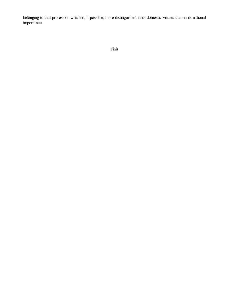belonging to that profession which is, if possible, more distinguished in its domestic virtues than in its national importance.